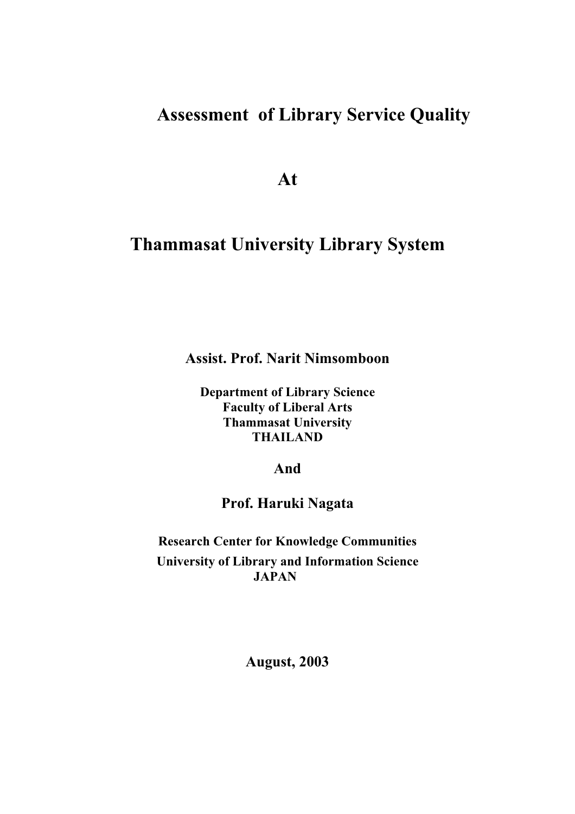# **Assessment of Library Service Quality**

**At**

# **Thammasat University Library System**

**Assist. Prof. Narit Nimsomboon**

**Department of Library Science Faculty of Liberal Arts Thammasat University THAILAND**

**And**

**Prof. Haruki Nagata**

**Research Center for Knowledge Communities University of Library and Information Science JAPAN**

**August, 2003**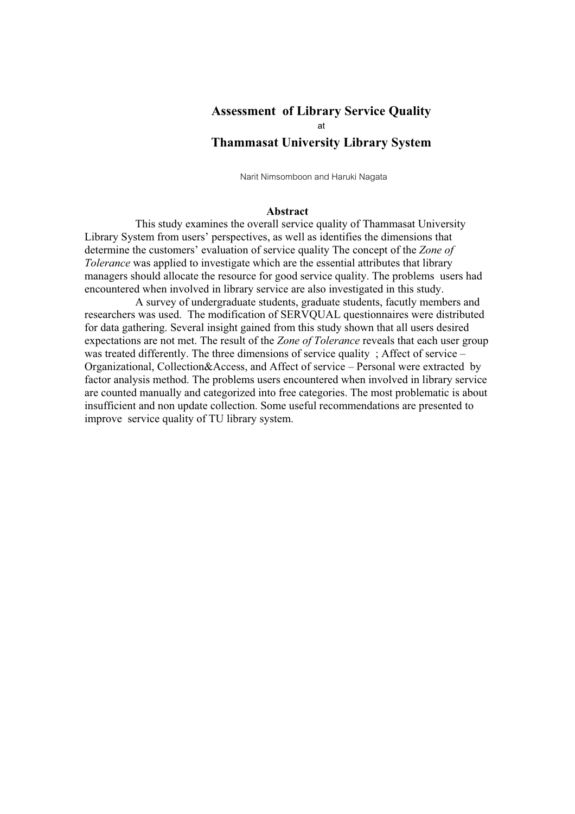# **Assessment of Library Service Quality at Thammasat University Library System**

Narit Nimsomboon and Haruki Nagata

#### **Abstract**

This study examines the overall service quality of Thammasat University Library System from users' perspectives, as well as identifies the dimensions that determine the customers' evaluation of service quality The concept of the *Zone of Tolerance* was applied to investigate which are the essential attributes that library managers should allocate the resource for good service quality. The problems users had encountered when involved in library service are also investigated in this study.

A survey of undergraduate students, graduate students, facutly members and researchers was used. The modification of SERVQUAL questionnaires were distributed for data gathering. Several insight gained from this study shown that all users desired expectations are not met. The result of the *Zone of Tolerance* reveals that each user group was treated differently. The three dimensions of service quality ; Affect of service – Organizational, Collection&Access, and Affect of service – Personal were extracted by factor analysis method. The problems users encountered when involved in library service are counted manually and categorized into free categories. The most problematic is about insufficient and non update collection. Some useful recommendations are presented to improve service quality of TU library system.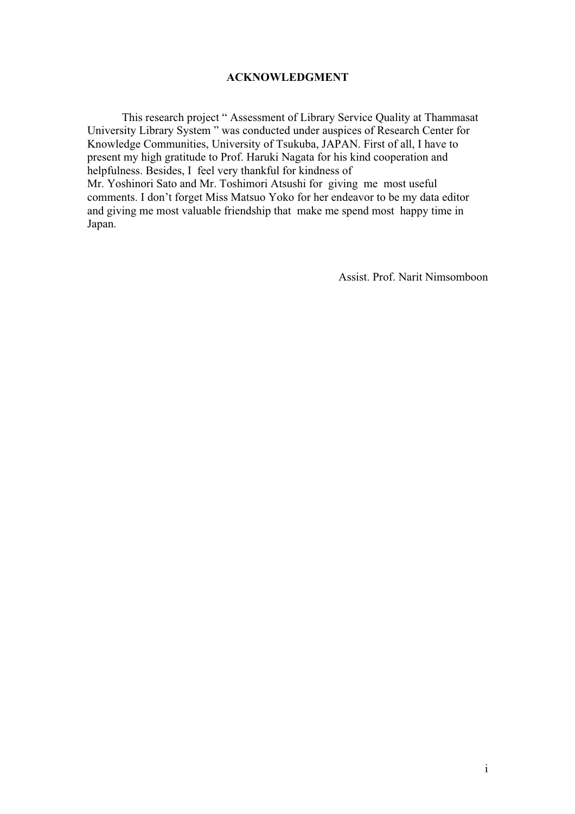# **ACKNOWLEDGMENT**

This research project " Assessment of Library Service Quality at Thammasat University Library System " was conducted under auspices of Research Center for Knowledge Communities, University of Tsukuba, JAPAN. First of all, I have to present my high gratitude to Prof. Haruki Nagata for his kind cooperation and helpfulness. Besides, I feel very thankful for kindness of Mr. Yoshinori Sato and Mr. Toshimori Atsushi for giving me most useful comments. I don't forget Miss Matsuo Yoko for her endeavor to be my data editor and giving me most valuable friendship that make me spend most happy time in Japan.

Assist. Prof. Narit Nimsomboon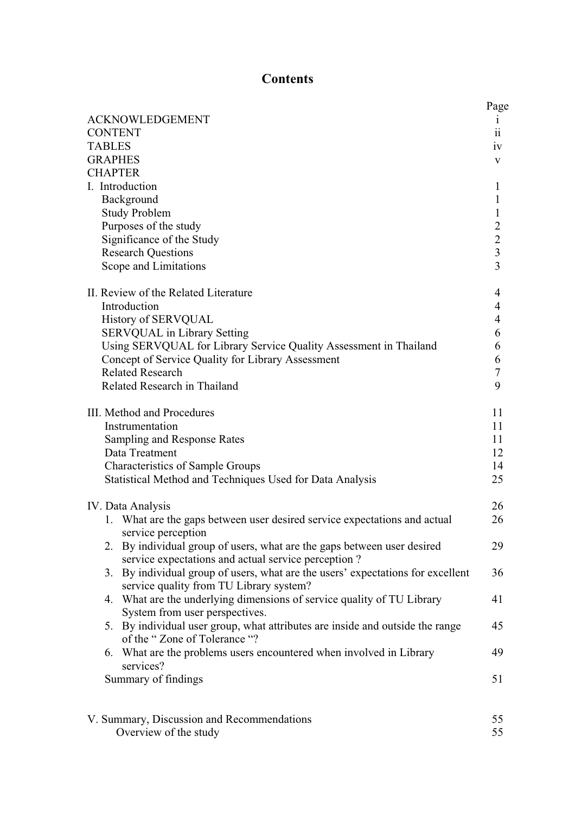# **Contents**

|                                                                                                                                           | Page                    |
|-------------------------------------------------------------------------------------------------------------------------------------------|-------------------------|
| <b>ACKNOWLEDGEMENT</b>                                                                                                                    | 1                       |
| <b>CONTENT</b>                                                                                                                            | 11                      |
| <b>TABLES</b>                                                                                                                             | iv                      |
| <b>GRAPHES</b>                                                                                                                            | V                       |
| <b>CHAPTER</b>                                                                                                                            |                         |
| I. Introduction                                                                                                                           | 1                       |
| Background<br><b>Study Problem</b>                                                                                                        | 1<br>1                  |
| Purposes of the study                                                                                                                     | $\overline{2}$          |
| Significance of the Study                                                                                                                 | $\overline{2}$          |
| <b>Research Questions</b>                                                                                                                 | $\overline{\mathbf{3}}$ |
| Scope and Limitations                                                                                                                     | $\overline{3}$          |
|                                                                                                                                           |                         |
| II. Review of the Related Literature                                                                                                      | 4                       |
| Introduction                                                                                                                              | 4                       |
| <b>History of SERVQUAL</b>                                                                                                                | 4                       |
| <b>SERVQUAL</b> in Library Setting                                                                                                        | 6                       |
| Using SERVQUAL for Library Service Quality Assessment in Thailand                                                                         | 6                       |
| Concept of Service Quality for Library Assessment                                                                                         | 6                       |
| <b>Related Research</b>                                                                                                                   | 7                       |
| Related Research in Thailand                                                                                                              | 9                       |
|                                                                                                                                           |                         |
| III. Method and Procedures                                                                                                                | 11                      |
| Instrumentation                                                                                                                           | 11                      |
| Sampling and Response Rates                                                                                                               | 11                      |
| Data Treatment<br><b>Characteristics of Sample Groups</b>                                                                                 | 12<br>14                |
| Statistical Method and Techniques Used for Data Analysis                                                                                  | 25                      |
|                                                                                                                                           |                         |
| IV. Data Analysis                                                                                                                         | 26                      |
| 1. What are the gaps between user desired service expectations and actual<br>service perception                                           | 26                      |
| By individual group of users, what are the gaps between user desired<br>2.                                                                | 29                      |
| service expectations and actual service perception?<br>By individual group of users, what are the users' expectations for excellent<br>3. | 36                      |
| service quality from TU Library system?<br>What are the underlying dimensions of service quality of TU Library<br>4.                      | 41                      |
| System from user perspectives.                                                                                                            |                         |
| By individual user group, what attributes are inside and outside the range<br>5.<br>of the "Zone of Tolerance "?                          | 45                      |
| What are the problems users encountered when involved in Library<br>6.<br>services?                                                       | 49                      |
| Summary of findings                                                                                                                       | 51                      |
|                                                                                                                                           |                         |
| V. Summary, Discussion and Recommendations                                                                                                | 55                      |
| Overview of the study                                                                                                                     | 55                      |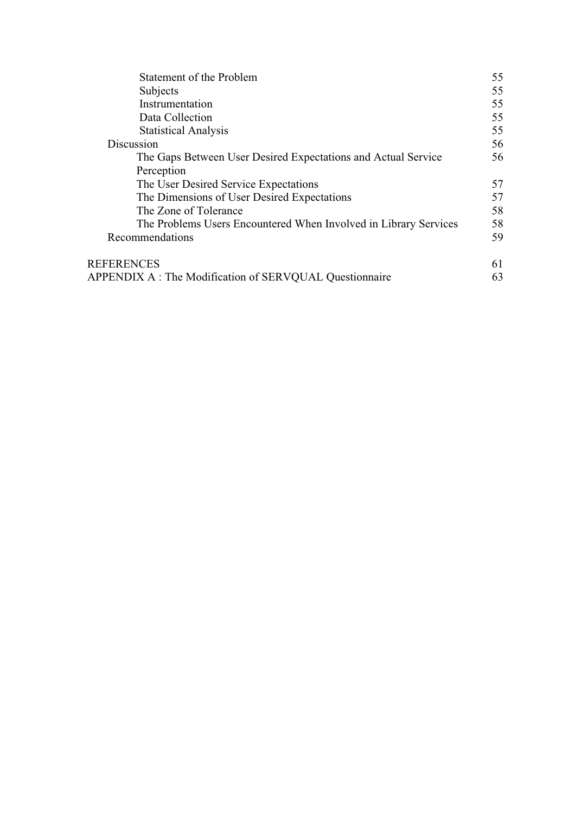| <b>Statement of the Problem</b>                                  | 55 |
|------------------------------------------------------------------|----|
| Subjects                                                         | 55 |
| Instrumentation                                                  | 55 |
| Data Collection                                                  | 55 |
| <b>Statistical Analysis</b>                                      | 55 |
| Discussion                                                       | 56 |
| The Gaps Between User Desired Expectations and Actual Service    | 56 |
| Perception                                                       |    |
| The User Desired Service Expectations                            | 57 |
| The Dimensions of User Desired Expectations                      | 57 |
| The Zone of Tolerance                                            | 58 |
| The Problems Users Encountered When Involved in Library Services | 58 |
| Recommendations                                                  | 59 |
| <b>REFERENCES</b>                                                | 61 |
| APPENDIX A : The Modification of SERVQUAL Questionnaire          | 63 |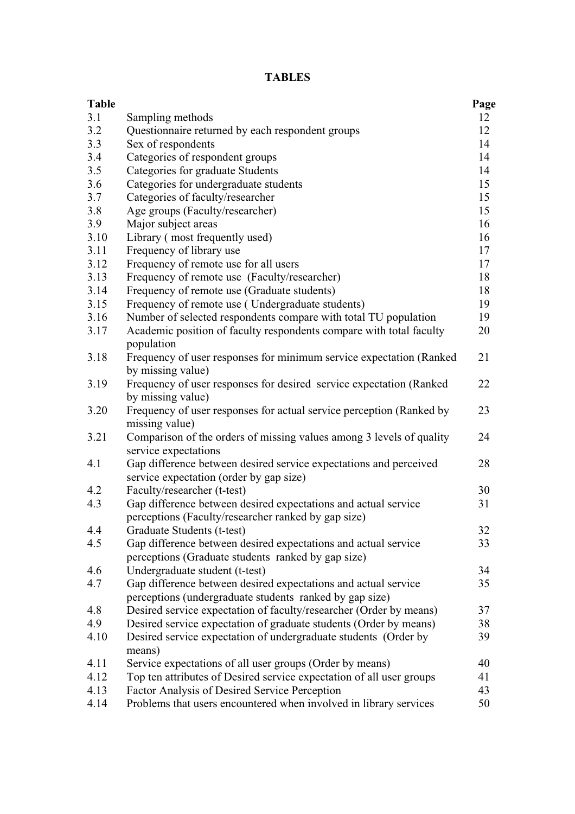# **TABLES**

| <b>Table</b> |                                                                                        | Page |
|--------------|----------------------------------------------------------------------------------------|------|
| 3.1          | Sampling methods                                                                       | 12   |
| 3.2          | Questionnaire returned by each respondent groups                                       | 12   |
| 3.3          | Sex of respondents                                                                     | 14   |
| 3.4          | Categories of respondent groups                                                        | 14   |
| 3.5          | Categories for graduate Students                                                       | 14   |
| 3.6          | Categories for undergraduate students                                                  | 15   |
| 3.7          | Categories of faculty/researcher                                                       | 15   |
| 3.8          | Age groups (Faculty/researcher)                                                        | 15   |
| 3.9          | Major subject areas                                                                    | 16   |
| 3.10         | Library (most frequently used)                                                         | 16   |
| 3.11         | Frequency of library use                                                               | 17   |
| 3.12         | Frequency of remote use for all users                                                  | 17   |
| 3.13         | Frequency of remote use (Faculty/researcher)                                           | 18   |
| 3.14         | Frequency of remote use (Graduate students)                                            | 18   |
| 3.15         | Frequency of remote use (Undergraduate students)                                       | 19   |
| 3.16         | Number of selected respondents compare with total TU population                        | 19   |
| 3.17         | Academic position of faculty respondents compare with total faculty                    | 20   |
|              | population                                                                             |      |
| 3.18         | Frequency of user responses for minimum service expectation (Ranked                    | 21   |
|              | by missing value)                                                                      |      |
| 3.19         | Frequency of user responses for desired service expectation (Ranked                    | 22   |
|              | by missing value)                                                                      |      |
| 3.20         | Frequency of user responses for actual service perception (Ranked by<br>missing value) | 23   |
| 3.21         | Comparison of the orders of missing values among 3 levels of quality                   | 24   |
|              | service expectations                                                                   |      |
| 4.1          | Gap difference between desired service expectations and perceived                      | 28   |
|              | service expectation (order by gap size)                                                |      |
| 4.2          | Faculty/researcher (t-test)                                                            | 30   |
| 4.3          | Gap difference between desired expectations and actual service                         | 31   |
|              | perceptions (Faculty/researcher ranked by gap size)                                    |      |
| 4.4          | Graduate Students (t-test)                                                             | 32   |
| 4.5          | Gap difference between desired expectations and actual service                         | 33   |
|              | perceptions (Graduate students ranked by gap size)                                     |      |
| 4.6          | Undergraduate student (t-test)                                                         | 34   |
| 4.7          | Gap difference between desired expectations and actual service                         | 35   |
|              | perceptions (undergraduate students ranked by gap size)                                |      |
| 4.8          | Desired service expectation of faculty/researcher (Order by means)                     | 37   |
| 4.9          | Desired service expectation of graduate students (Order by means)                      | 38   |
| 4.10         | Desired service expectation of undergraduate students (Order by<br>means)              | 39   |
| 4.11         | Service expectations of all user groups (Order by means)                               | 40   |
| 4.12         | Top ten attributes of Desired service expectation of all user groups                   | 41   |
| 4.13         | Factor Analysis of Desired Service Perception                                          | 43   |
| 4.14         | Problems that users encountered when involved in library services                      | 50   |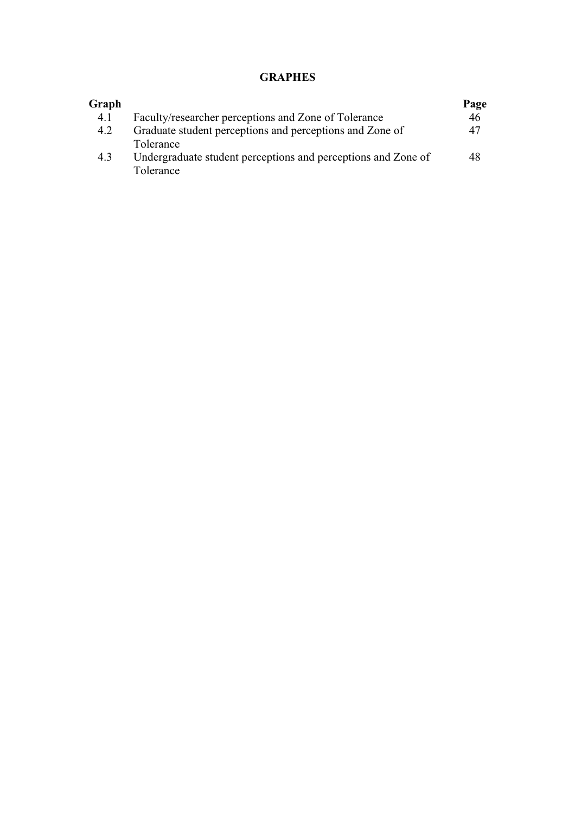# **GRAPHES**

| Graph |                                                                            | Page |
|-------|----------------------------------------------------------------------------|------|
| 4.1   | Faculty/researcher perceptions and Zone of Tolerance                       | 46   |
| 4.2   | Graduate student perceptions and perceptions and Zone of                   | 47   |
|       | Tolerance                                                                  |      |
| 4.3   | Undergraduate student perceptions and perceptions and Zone of<br>Tolerance | 48   |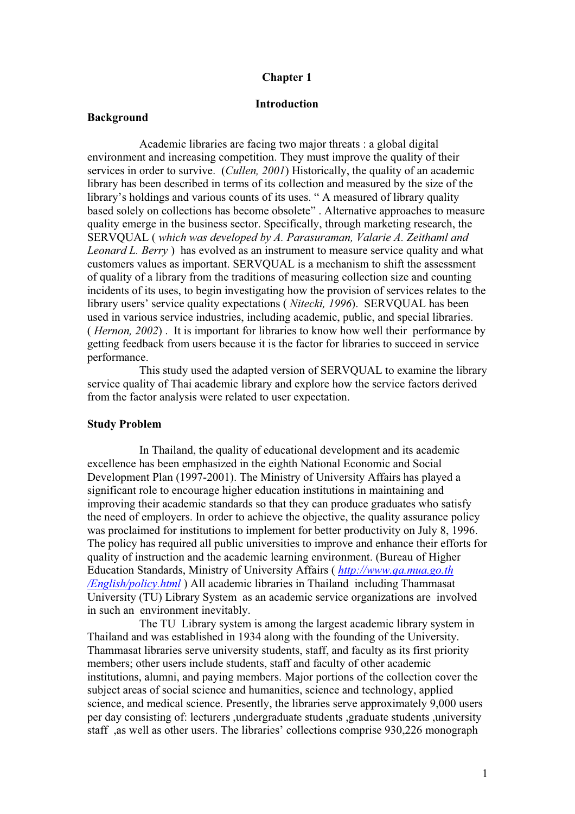#### **Chapter 1**

### **Introduction**

#### **Background**

Academic libraries are facing two major threats : a global digital environment and increasing competition. They must improve the quality of their services in order to survive. (*Cullen, 2001*) Historically, the quality of an academic library has been described in terms of its collection and measured by the size of the library's holdings and various counts of its uses. " A measured of library quality based solely on collections has become obsolete" . Alternative approaches to measure quality emerge in the business sector. Specifically, through marketing research, the SERVQUAL ( *which was developed by A. Parasuraman, Valarie A. Zeithaml and Leonard L. Berry* ) has evolved as an instrument to measure service quality and what customers values as important. SERVQUAL is a mechanism to shift the assessment of quality of a library from the traditions of measuring collection size and counting incidents of its uses, to begin investigating how the provision of services relates to the library users' service quality expectations ( *Nitecki, 1996*). SERVQUAL has been used in various service industries, including academic, public, and special libraries. ( *Hernon, 2002*) . It is important for libraries to know how well their performance by getting feedback from users because it is the factor for libraries to succeed in service performance.

This study used the adapted version of SERVQUAL to examine the library service quality of Thai academic library and explore how the service factors derived from the factor analysis were related to user expectation.

#### **Study Problem**

In Thailand, the quality of educational development and its academic excellence has been emphasized in the eighth National Economic and Social Development Plan (1997-2001). The Ministry of University Affairs has played a significant role to encourage higher education institutions in maintaining and improving their academic standards so that they can produce graduates who satisfy the need of employers. In order to achieve the objective, the quality assurance policy was proclaimed for institutions to implement for better productivity on July 8, 1996. The policy has required all public universities to improve and enhance their efforts for quality of instruction and the academic learning environment. (Bureau of Higher Education Standards, Ministry of University Affairs ( *http://www.qa.mua.go.th /English/policy.html* ) All academic libraries in Thailand including Thammasat University (TU) Library System as an academic service organizations are involved in such an environment inevitably.

The TU Library system is among the largest academic library system in Thailand and was established in 1934 along with the founding of the University. Thammasat libraries serve university students, staff, and faculty as its first priority members; other users include students, staff and faculty of other academic institutions, alumni, and paying members. Major portions of the collection cover the subject areas of social science and humanities, science and technology, applied science, and medical science. Presently, the libraries serve approximately 9,000 users per day consisting of: lecturers ,undergraduate students ,graduate students ,university staff ,as well as other users. The libraries' collections comprise 930,226 monograph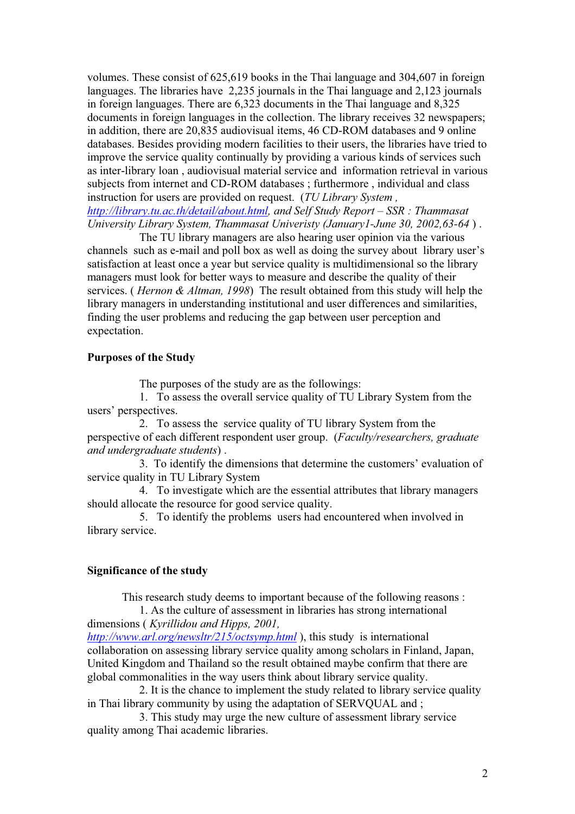volumes. These consist of 625,619 books in the Thai language and 304,607 in foreign languages. The libraries have 2,235 journals in the Thai language and 2,123 journals in foreign languages. There are 6,323 documents in the Thai language and 8,325 documents in foreign languages in the collection. The library receives 32 newspapers; in addition, there are 20,835 audiovisual items, 46 CD-ROM databases and 9 online databases. Besides providing modern facilities to their users, the libraries have tried to improve the service quality continually by providing a various kinds of services such as inter-library loan , audiovisual material service and information retrieval in various subjects from internet and CD-ROM databases ; furthermore , individual and class instruction for users are provided on request. (*TU Library System , http://library.tu.ac.th/detail/about.html, and Self Study Report – SSR : Thammasat*

*University Library System, Thammasat Univeristy (January1-June 30, 2002,63-64* ) .

The TU library managers are also hearing user opinion via the various channels such as e-mail and poll box as well as doing the survey about library user's satisfaction at least once a year but service quality is multidimensional so the library managers must look for better ways to measure and describe the quality of their services. ( *Hernon & Altman, 1998*) The result obtained from this study will help the library managers in understanding institutional and user differences and similarities, finding the user problems and reducing the gap between user perception and expectation.

### **Purposes of the Study**

The purposes of the study are as the followings:

1. To assess the overall service quality of TU Library System from the users' perspectives.

2. To assess the service quality of TU library System from the perspective of each different respondent user group. (*Faculty/researchers, graduate and undergraduate students*) .

3. To identify the dimensions that determine the customers' evaluation of service quality in TU Library System

4. To investigate which are the essential attributes that library managers should allocate the resource for good service quality.

5. To identify the problems users had encountered when involved in library service.

#### **Significance of the study**

This research study deems to important because of the following reasons :

1. As the culture of assessment in libraries has strong international dimensions ( *Kyrillidou and Hipps, 2001, http://www.arl.org/newsltr/215/octsymp.html* ), this study is international

collaboration on assessing library service quality among scholars in Finland, Japan, United Kingdom and Thailand so the result obtained maybe confirm that there are global commonalities in the way users think about library service quality.

2. It is the chance to implement the study related to library service quality in Thai library community by using the adaptation of SERVQUAL and ;

3. This study may urge the new culture of assessment library service quality among Thai academic libraries.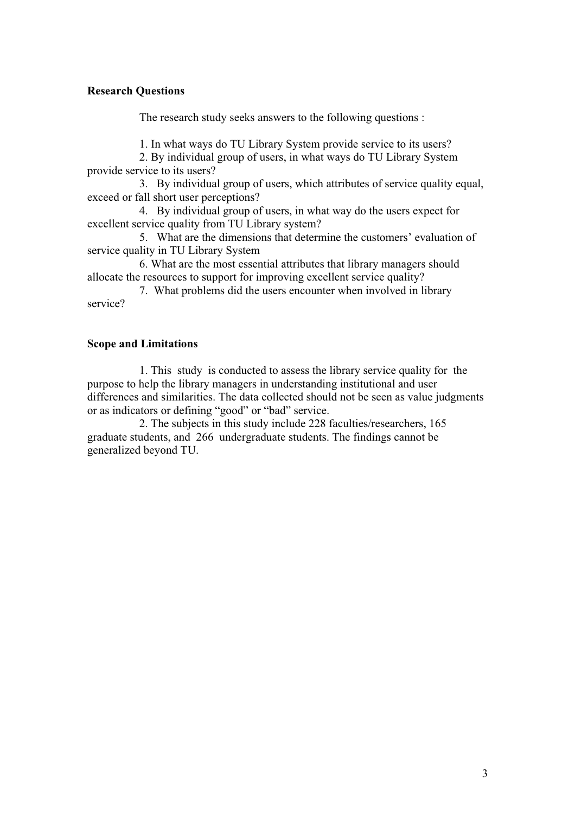# **Research Questions**

The research study seeks answers to the following questions :

1. In what ways do TU Library System provide service to its users?

2. By individual group of users, in what ways do TU Library System provide service to its users?

3. By individual group of users, which attributes of service quality equal, exceed or fall short user perceptions?

4. By individual group of users, in what way do the users expect for excellent service quality from TU Library system?

5. What are the dimensions that determine the customers' evaluation of service quality in TU Library System

6. What are the most essential attributes that library managers should allocate the resources to support for improving excellent service quality?

7. What problems did the users encounter when involved in library service?

### **Scope and Limitations**

1. This study is conducted to assess the library service quality for the purpose to help the library managers in understanding institutional and user differences and similarities. The data collected should not be seen as value judgments or as indicators or defining "good" or "bad" service.

2. The subjects in this study include 228 faculties/researchers, 165 graduate students, and 266 undergraduate students. The findings cannot be generalized beyond TU.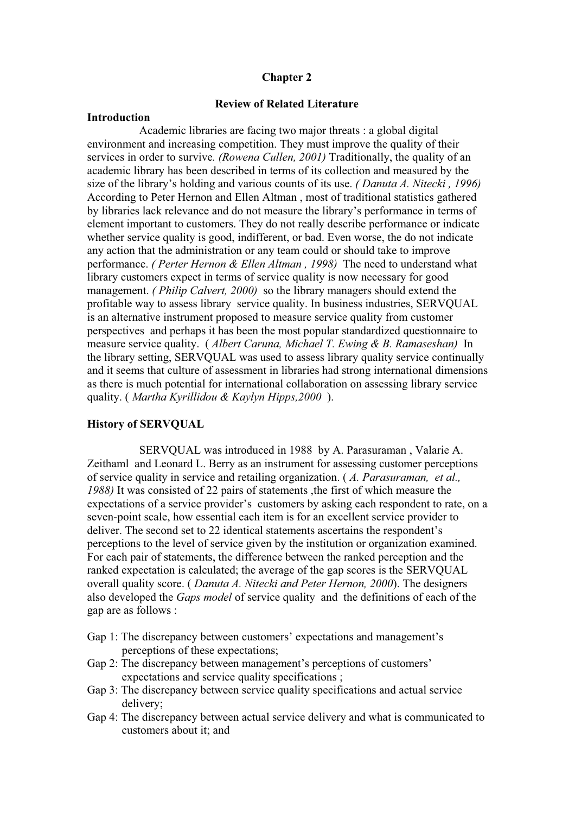### **Chapter 2**

## **Review of Related Literature**

#### **Introduction**

Academic libraries are facing two major threats : a global digital environment and increasing competition. They must improve the quality of their services in order to survive*. (Rowena Cullen, 2001)* Traditionally, the quality of an academic library has been described in terms of its collection and measured by the size of the library's holding and various counts of its use. *( Danuta A. Nitecki , 1996)* According to Peter Hernon and Ellen Altman , most of traditional statistics gathered by libraries lack relevance and do not measure the library's performance in terms of element important to customers. They do not really describe performance or indicate whether service quality is good, indifferent, or bad. Even worse, the do not indicate any action that the administration or any team could or should take to improve performance. *( Perter Hernon & Ellen Altman , 1998)* The need to understand what library customers expect in terms of service quality is now necessary for good management. *(Philip Calvert, 2000)* so the library managers should extend the profitable way to assess library service quality. In business industries, SERVQUAL is an alternative instrument proposed to measure service quality from customer perspectives and perhaps it has been the most popular standardized questionnaire to measure service quality. ( *Albert Caruna, Michael T. Ewing & B. Ramaseshan)* In the library setting, SERVQUAL was used to assess library quality service continually and it seems that culture of assessment in libraries had strong international dimensions as there is much potential for international collaboration on assessing library service quality. ( *Martha Kyrillidou & Kaylyn Hipps,2000* ).

#### **History of SERVQUAL**

SERVQUAL was introduced in 1988 by A. Parasuraman , Valarie A. Zeithaml and Leonard L. Berry as an instrument for assessing customer perceptions of service quality in service and retailing organization. ( *A. Parasuraman, et al., 1988)* It was consisted of 22 pairs of statements ,the first of which measure the expectations of a service provider's customers by asking each respondent to rate, on a seven-point scale, how essential each item is for an excellent service provider to deliver. The second set to 22 identical statements ascertains the respondent's perceptions to the level of service given by the institution or organization examined. For each pair of statements, the difference between the ranked perception and the ranked expectation is calculated; the average of the gap scores is the SERVQUAL overall quality score. ( *Danuta A. Nitecki and Peter Hernon, 2000*). The designers also developed the *Gaps model* of service quality and the definitions of each of the gap are as follows :

- Gap 1: The discrepancy between customers' expectations and management's perceptions of these expectations;
- Gap 2: The discrepancy between management's perceptions of customers' expectations and service quality specifications ;
- Gap 3: The discrepancy between service quality specifications and actual service delivery;
- Gap 4: The discrepancy between actual service delivery and what is communicated to customers about it; and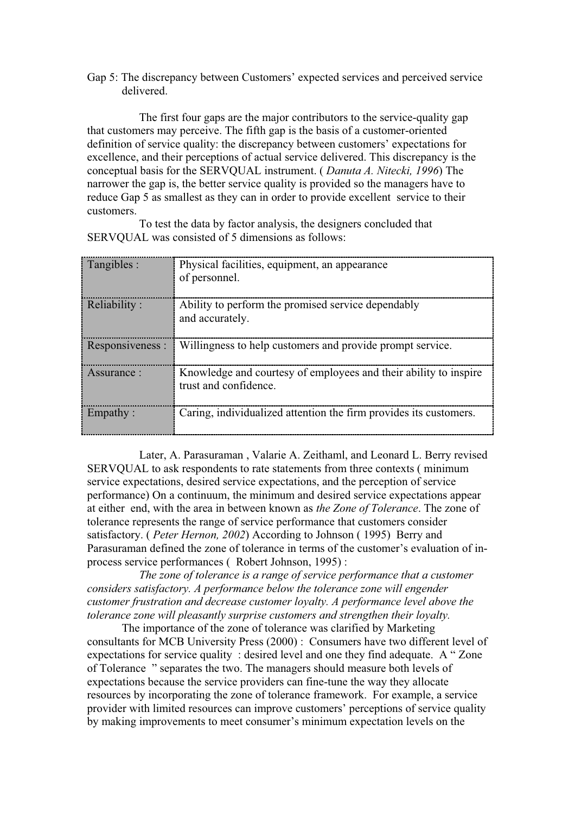Gap 5: The discrepancy between Customers' expected services and perceived service delivered.

 The first four gaps are the major contributors to the service-quality gap that customers may perceive. The fifth gap is the basis of a customer-oriented definition of service quality: the discrepancy between customers' expectations for excellence, and their perceptions of actual service delivered. This discrepancy is the conceptual basis for the SERVQUAL instrument. ( *Danuta A. Nitecki, 1996*) The narrower the gap is, the better service quality is provided so the managers have to reduce Gap 5 as smallest as they can in order to provide excellent service to their customers.

To test the data by factor analysis, the designers concluded that SERVQUAL was consisted of 5 dimensions as follows:

| Tangibles :      | Physical facilities, equipment, an appearance<br>of personnel.                            |
|------------------|-------------------------------------------------------------------------------------------|
| Reliability:     | Ability to perform the promised service dependably<br>and accurately.                     |
| Responsiveness : | Willingness to help customers and provide prompt service.                                 |
| Assurance:       | Knowledge and courtesy of employees and their ability to inspire<br>trust and confidence. |
| Empathy:         | Caring, individualized attention the firm provides its customers.                         |

Later, A. Parasuraman , Valarie A. Zeithaml, and Leonard L. Berry revised SERVQUAL to ask respondents to rate statements from three contexts ( minimum service expectations, desired service expectations, and the perception of service performance) On a continuum, the minimum and desired service expectations appear at either end, with the area in between known as *the Zone of Tolerance*. The zone of tolerance represents the range of service performance that customers consider satisfactory. ( *Peter Hernon, 2002*) According to Johnson ( 1995) Berry and Parasuraman defined the zone of tolerance in terms of the customer's evaluation of inprocess service performances ( Robert Johnson, 1995) :

*The zone of tolerance is a range of service performance that a customer considers satisfactory. A performance below the tolerance zone will engender customer frustration and decrease customer loyalty. A performance level above the tolerance zone will pleasantly surprise customers and strengthen their loyalty.*

The importance of the zone of tolerance was clarified by Marketing consultants for MCB University Press (2000) : Consumers have two different level of expectations for service quality : desired level and one they find adequate. A " Zone of Tolerance " separates the two. The managers should measure both levels of expectations because the service providers can fine-tune the way they allocate resources by incorporating the zone of tolerance framework. For example, a service provider with limited resources can improve customers' perceptions of service quality by making improvements to meet consumer's minimum expectation levels on the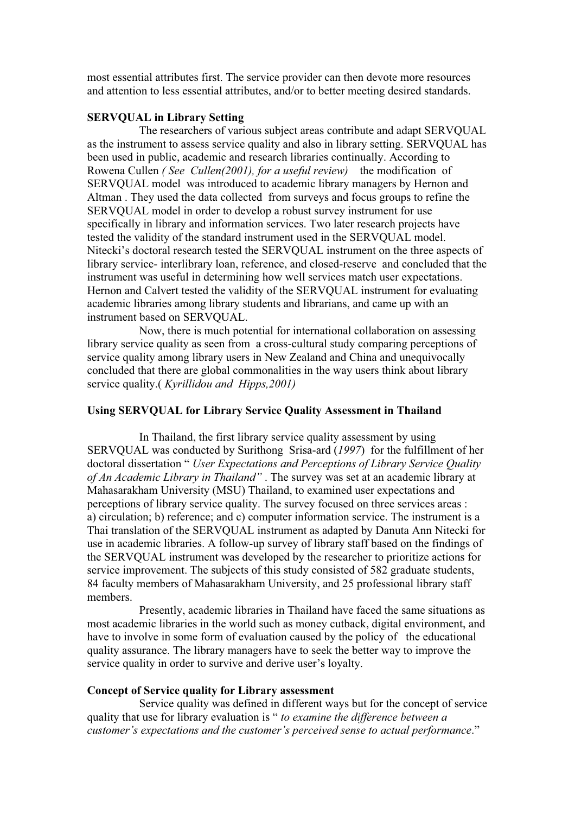most essential attributes first. The service provider can then devote more resources and attention to less essential attributes, and/or to better meeting desired standards.

#### **SERVQUAL in Library Setting**

The researchers of various subject areas contribute and adapt SERVQUAL as the instrument to assess service quality and also in library setting. SERVQUAL has been used in public, academic and research libraries continually. According to Rowena Cullen *( See Cullen(2001), for a useful review)* the modification of SERVQUAL model was introduced to academic library managers by Hernon and Altman . They used the data collected from surveys and focus groups to refine the SERVQUAL model in order to develop a robust survey instrument for use specifically in library and information services. Two later research projects have tested the validity of the standard instrument used in the SERVQUAL model. Nitecki's doctoral research tested the SERVQUAL instrument on the three aspects of library service- interlibrary loan, reference, and closed-reserve and concluded that the instrument was useful in determining how well services match user expectations. Hernon and Calvert tested the validity of the SERVQUAL instrument for evaluating academic libraries among library students and librarians, and came up with an instrument based on SERVQUAL.

Now, there is much potential for international collaboration on assessing library service quality as seen from a cross-cultural study comparing perceptions of service quality among library users in New Zealand and China and unequivocally concluded that there are global commonalities in the way users think about library service quality.( *Kyrillidou and Hipps,2001)*

# **Using SERVQUAL for Library Service Quality Assessment in Thailand**

In Thailand, the first library service quality assessment by using SERVQUAL was conducted by Surithong Srisa-ard (*1997*) for the fulfillment of her doctoral dissertation " *User Expectations and Perceptions of Library Service Quality of An Academic Library in Thailand"* . The survey was set at an academic library at Mahasarakham University (MSU) Thailand, to examined user expectations and perceptions of library service quality. The survey focused on three services areas : a) circulation; b) reference; and c) computer information service. The instrument is a Thai translation of the SERVQUAL instrument as adapted by Danuta Ann Nitecki for use in academic libraries. A follow-up survey of library staff based on the findings of the SERVQUAL instrument was developed by the researcher to prioritize actions for service improvement. The subjects of this study consisted of 582 graduate students, 84 faculty members of Mahasarakham University, and 25 professional library staff members.

Presently, academic libraries in Thailand have faced the same situations as most academic libraries in the world such as money cutback, digital environment, and have to involve in some form of evaluation caused by the policy of the educational quality assurance. The library managers have to seek the better way to improve the service quality in order to survive and derive user's loyalty.

#### **Concept of Service quality for Library assessment**

Service quality was defined in different ways but for the concept of service quality that use for library evaluation is " *to examine the difference between a customer's expectations and the customer's perceived sense to actual performance*."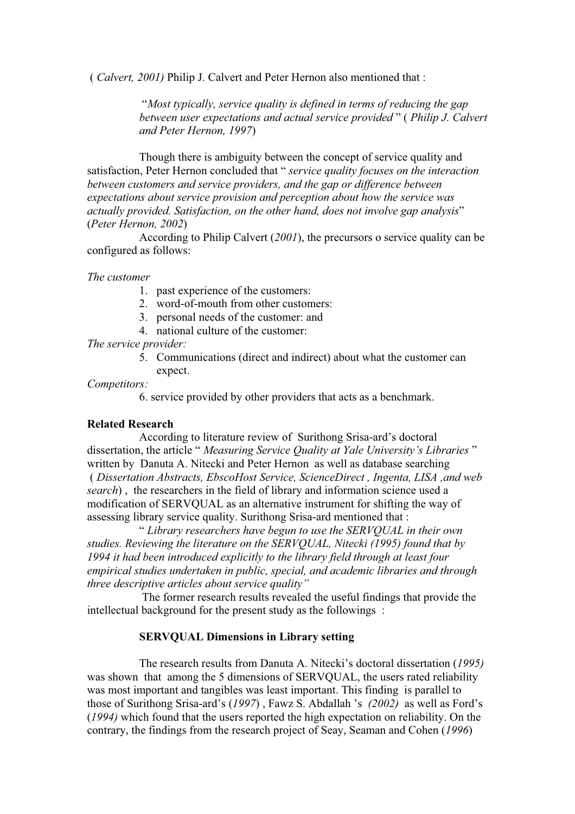( *Calvert, 2001)* Philip J. Calvert and Peter Hernon also mentioned that :

 "*Most typically, service quality is defined in terms of reducing the gap between user expectations and actual service provided* " ( *Philip J. Calvert and Peter Hernon, 1997*)

Though there is ambiguity between the concept of service quality and satisfaction, Peter Hernon concluded that " *service quality focuses on the interaction between customers and service providers, and the gap or difference between expectations about service provision and perception about how the service was actually provided. Satisfaction, on the other hand, does not involve gap analysis*" (*Peter Hernon, 2002*)

According to Philip Calvert (*2001*), the precursors o service quality can be configured as follows:

*The customer*

- 1. past experience of the customers:
- 2. word-of-mouth from other customers:
- 3. personal needs of the customer: and
- 4. national culture of the customer:

*The service provider:*

expect.

5. Communications (direct and indirect) about what the customer can

# *Competitors:*

6. service provided by other providers that acts as a benchmark.

#### **Related Research**

According to literature review of Surithong Srisa-ard's doctoral dissertation, the article " *Measuring Service Quality at Yale University's Libraries* " written by Danuta A. Nitecki and Peter Hernon as well as database searching ( *Dissertation Abstracts, EbscoHost Service, ScienceDirect , Ingenta, LISA ,and web search*) , the researchers in the field of library and information science used a modification of SERVQUAL as an alternative instrument for shifting the way of assessing library service quality. Surithong Srisa-ard mentioned that :

" *Library researchers have begun to use the SERVQUAL in their own studies. Reviewing the literature on the SERVQUAL, Nitecki (1995) found that by 1994 it had been introduced explicitly to the library field through at least four empirical studies undertaken in public, special, and academic libraries and through three descriptive articles about service quality"*

 The former research results revealed the useful findings that provide the intellectual background for the present study as the followings :

## **SERVQUAL Dimensions in Library setting**

The research results from Danuta A. Nitecki's doctoral dissertation (*1995)* was shown that among the 5 dimensions of SERVQUAL, the users rated reliability was most important and tangibles was least important. This finding is parallel to those of Surithong Srisa-ard's (*1997*) , Fawz S. Abdallah 's *(2002)* as well as Ford's (*1994)* which found that the users reported the high expectation on reliability. On the contrary, the findings from the research project of Seay, Seaman and Cohen (*1996*)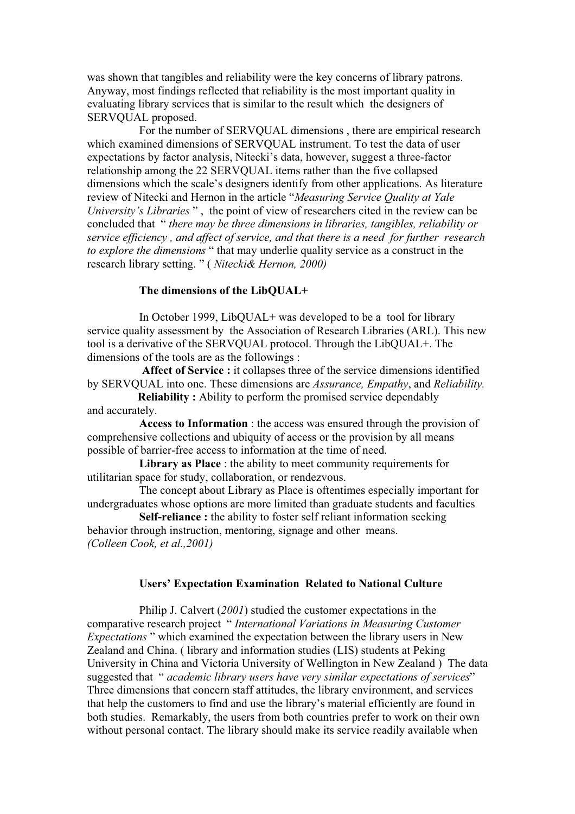was shown that tangibles and reliability were the key concerns of library patrons. Anyway, most findings reflected that reliability is the most important quality in evaluating library services that is similar to the result which the designers of SERVQUAL proposed.

For the number of SERVQUAL dimensions , there are empirical research which examined dimensions of SERVQUAL instrument. To test the data of user expectations by factor analysis, Nitecki's data, however, suggest a three-factor relationship among the 22 SERVQUAL items rather than the five collapsed dimensions which the scale's designers identify from other applications. As literature review of Nitecki and Hernon in the article "*Measuring Service Quality at Yale University's Libraries* ", the point of view of researchers cited in the review can be concluded that " *there may be three dimensions in libraries, tangibles, reliability or service efficiency , and affect of service, and that there is a need for further research to explore the dimensions* " that may underlie quality service as a construct in the research library setting. " ( *Nitecki& Hernon, 2000)*

# **The dimensions of the LibQUAL+**

 In October 1999, LibQUAL+ was developed to be a tool for library service quality assessment by the Association of Research Libraries (ARL). This new tool is a derivative of the SERVQUAL protocol. Through the LibQUAL+. The dimensions of the tools are as the followings :

**Affect of Service :** it collapses three of the service dimensions identified by SERVQUAL into one. These dimensions are *Assurance, Empathy*, and *Reliability.*

**Reliability :** Ability to perform the promised service dependably and accurately.

**Access to Information** : the access was ensured through the provision of comprehensive collections and ubiquity of access or the provision by all means possible of barrier-free access to information at the time of need.

**Library as Place** : the ability to meet community requirements for utilitarian space for study, collaboration, or rendezvous.

The concept about Library as Place is oftentimes especially important for undergraduates whose options are more limited than graduate students and faculties

**Self-reliance :** the ability to foster self reliant information seeking behavior through instruction, mentoring, signage and other means. *(Colleen Cook, et al.,2001)*

#### **Users' Expectation Examination Related to National Culture**

Philip J. Calvert (*2001*) studied the customer expectations in the comparative research project " *International Variations in Measuring Customer Expectations* " which examined the expectation between the library users in New Zealand and China. ( library and information studies (LIS) students at Peking University in China and Victoria University of Wellington in New Zealand ) The data suggested that " *academic library users have very similar expectations of services*" Three dimensions that concern staff attitudes, the library environment, and services that help the customers to find and use the library's material efficiently are found in both studies. Remarkably, the users from both countries prefer to work on their own without personal contact. The library should make its service readily available when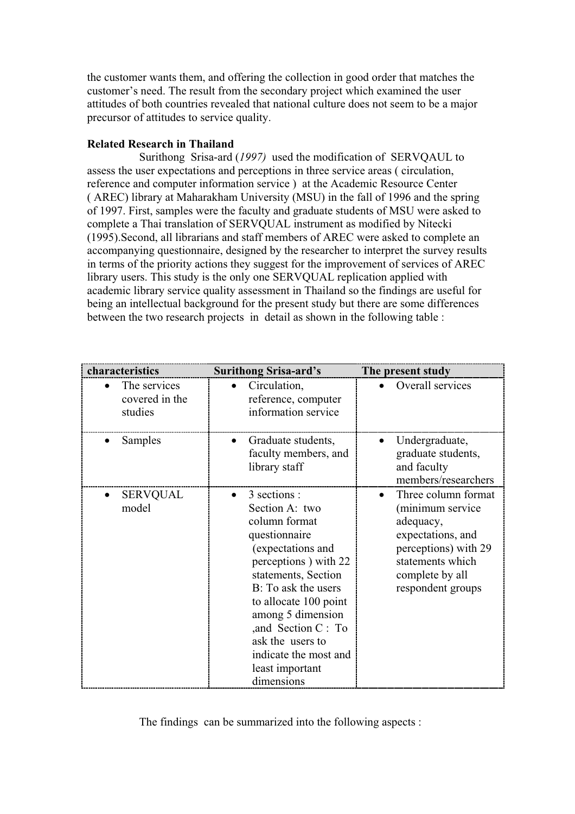the customer wants them, and offering the collection in good order that matches the customer's need. The result from the secondary project which examined the user attitudes of both countries revealed that national culture does not seem to be a major precursor of attitudes to service quality.

# **Related Research in Thailand**

Surithong Srisa-ard (*1997)* used the modification of SERVQAUL to assess the user expectations and perceptions in three service areas ( circulation, reference and computer information service ) at the Academic Resource Center ( AREC) library at Maharakham University (MSU) in the fall of 1996 and the spring of 1997. First, samples were the faculty and graduate students of MSU were asked to complete a Thai translation of SERVQUAL instrument as modified by Nitecki (1995).Second, all librarians and staff members of AREC were asked to complete an accompanying questionnaire, designed by the researcher to interpret the survey results in terms of the priority actions they suggest for the improvement of services of AREC library users. This study is the only one SERVQUAL replication applied with academic library service quality assessment in Thailand so the findings are useful for being an intellectual background for the present study but there are some differences between the two research projects in detail as shown in the following table :

| characteristics                           | <b>Surithong Srisa-ard's</b>                                                                                                                                                                                                                                                                                   | The present study                                                                                                                                             |
|-------------------------------------------|----------------------------------------------------------------------------------------------------------------------------------------------------------------------------------------------------------------------------------------------------------------------------------------------------------------|---------------------------------------------------------------------------------------------------------------------------------------------------------------|
| The services<br>covered in the<br>studies | Circulation,<br>reference, computer<br>information service                                                                                                                                                                                                                                                     | Overall services                                                                                                                                              |
| Samples                                   | Graduate students,<br>faculty members, and<br>library staff                                                                                                                                                                                                                                                    | Undergraduate,<br>graduate students,<br>and faculty<br>members/researchers                                                                                    |
| SERVQUAL<br>model                         | 3 sections :<br>Section A: two<br>column format<br>questionnaire<br>(expectations and<br>perceptions) with 22<br>statements, Section<br>B: To ask the users<br>to allocate 100 point<br>among 5 dimension<br>,and Section C : To<br>ask the users to<br>indicate the most and<br>least important<br>dimensions | Three column format<br>(minimum service<br>adequacy,<br>expectations, and<br>perceptions) with 29<br>statements which<br>complete by all<br>respondent groups |

The findings can be summarized into the following aspects :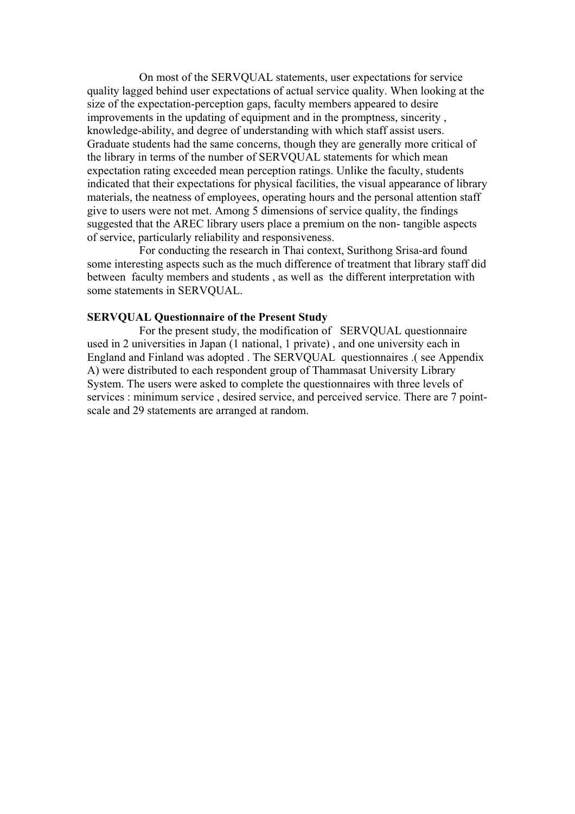On most of the SERVQUAL statements, user expectations for service quality lagged behind user expectations of actual service quality. When looking at the size of the expectation-perception gaps, faculty members appeared to desire improvements in the updating of equipment and in the promptness, sincerity , knowledge-ability, and degree of understanding with which staff assist users. Graduate students had the same concerns, though they are generally more critical of the library in terms of the number of SERVQUAL statements for which mean expectation rating exceeded mean perception ratings. Unlike the faculty, students indicated that their expectations for physical facilities, the visual appearance of library materials, the neatness of employees, operating hours and the personal attention staff give to users were not met. Among 5 dimensions of service quality, the findings suggested that the AREC library users place a premium on the non- tangible aspects of service, particularly reliability and responsiveness.

For conducting the research in Thai context, Surithong Srisa-ard found some interesting aspects such as the much difference of treatment that library staff did between faculty members and students , as well as the different interpretation with some statements in SERVQUAL.

#### **SERVQUAL Questionnaire of the Present Study**

For the present study, the modification of SERVQUAL questionnaire used in 2 universities in Japan (1 national, 1 private) , and one university each in England and Finland was adopted . The SERVQUAL questionnaires .( see Appendix A) were distributed to each respondent group of Thammasat University Library System. The users were asked to complete the questionnaires with three levels of services : minimum service , desired service, and perceived service. There are 7 pointscale and 29 statements are arranged at random.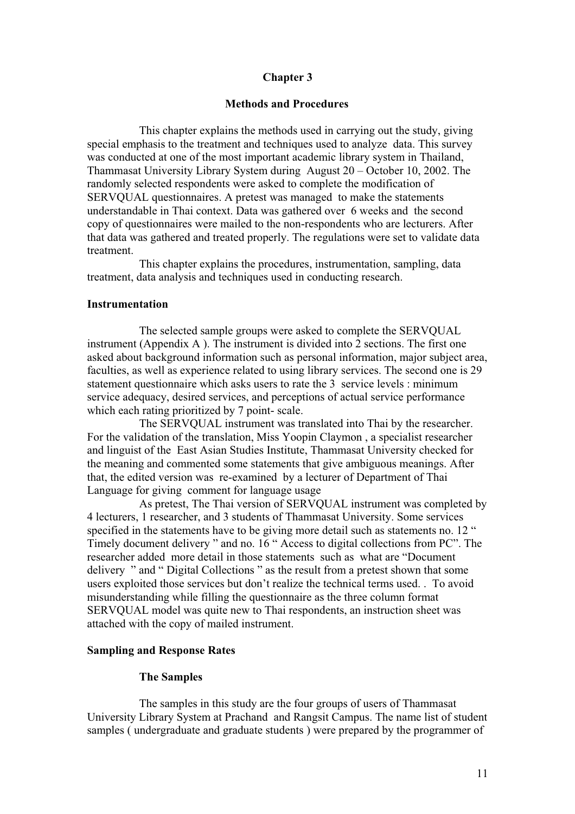# **Chapter 3**

# **Methods and Procedures**

This chapter explains the methods used in carrying out the study, giving special emphasis to the treatment and techniques used to analyze data. This survey was conducted at one of the most important academic library system in Thailand, Thammasat University Library System during August 20 – October 10, 2002. The randomly selected respondents were asked to complete the modification of SERVQUAL questionnaires. A pretest was managed to make the statements understandable in Thai context. Data was gathered over 6 weeks and the second copy of questionnaires were mailed to the non-respondents who are lecturers. After that data was gathered and treated properly. The regulations were set to validate data treatment.

This chapter explains the procedures, instrumentation, sampling, data treatment, data analysis and techniques used in conducting research.

#### **Instrumentation**

The selected sample groups were asked to complete the SERVQUAL instrument (Appendix A ). The instrument is divided into 2 sections. The first one asked about background information such as personal information, major subject area, faculties, as well as experience related to using library services. The second one is 29 statement questionnaire which asks users to rate the 3 service levels : minimum service adequacy, desired services, and perceptions of actual service performance which each rating prioritized by 7 point- scale.

The SERVQUAL instrument was translated into Thai by the researcher. For the validation of the translation, Miss Yoopin Claymon , a specialist researcher and linguist of the East Asian Studies Institute, Thammasat University checked for the meaning and commented some statements that give ambiguous meanings. After that, the edited version was re-examined by a lecturer of Department of Thai Language for giving comment for language usage

As pretest, The Thai version of SERVQUAL instrument was completed by 4 lecturers, 1 researcher, and 3 students of Thammasat University. Some services specified in the statements have to be giving more detail such as statements no. 12 " Timely document delivery " and no. 16 " Access to digital collections from PC". The researcher added more detail in those statements such as what are "Document delivery " and " Digital Collections " as the result from a pretest shown that some users exploited those services but don't realize the technical terms used. . To avoid misunderstanding while filling the questionnaire as the three column format SERVQUAL model was quite new to Thai respondents, an instruction sheet was attached with the copy of mailed instrument.

### **Sampling and Response Rates**

#### **The Samples**

The samples in this study are the four groups of users of Thammasat University Library System at Prachand and Rangsit Campus. The name list of student samples ( undergraduate and graduate students ) were prepared by the programmer of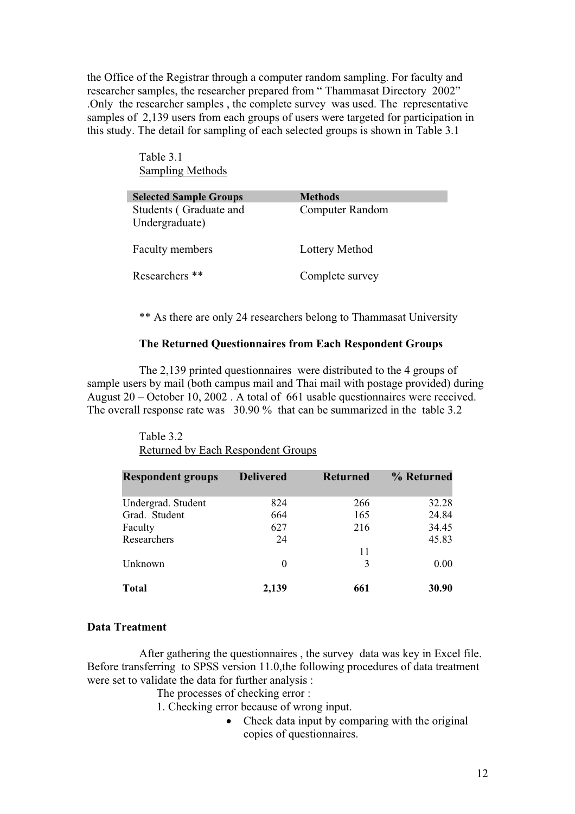the Office of the Registrar through a computer random sampling. For faculty and researcher samples, the researcher prepared from " Thammasat Directory 2002" .Only the researcher samples , the complete survey was used. The representative samples of 2,139 users from each groups of users were targeted for participation in this study. The detail for sampling of each selected groups is shown in Table 3.1

> Table 3.1 Sampling Methods

| <b>Selected Sample Groups</b>            | <b>Methods</b>  |
|------------------------------------------|-----------------|
| Students (Graduate and<br>Undergraduate) | Computer Random |
| <b>Faculty members</b>                   | Lottery Method  |
| Researchers **                           | Complete survey |

\*\* As there are only 24 researchers belong to Thammasat University

# **The Returned Questionnaires from Each Respondent Groups**

The 2,139 printed questionnaires were distributed to the 4 groups of sample users by mail (both campus mail and Thai mail with postage provided) during August 20 – October 10, 2002 . A total of 661 usable questionnaires were received. The overall response rate was 30.90 % that can be summarized in the table 3.2

#### Table 3.2 Returned by Each Respondent Groups

| <b>Respondent groups</b> | <b>Delivered</b> | <b>Returned</b> | % Returned |
|--------------------------|------------------|-----------------|------------|
| Undergrad. Student       | 824              | 266             | 32.28      |
| Grad. Student            | 664              | 165             | 24.84      |
| Faculty                  | 627              | 216             | 34.45      |
| Researchers              | 24               |                 | 45.83      |
|                          |                  | 11              |            |
| Unknown                  | $\Omega$         | 3               | 0.00       |
| <b>Total</b>             | 2,139            | 661             | 30.90      |

#### **Data Treatment**

After gathering the questionnaires , the survey data was key in Excel file. Before transferring to SPSS version 11.0,the following procedures of data treatment were set to validate the data for further analysis :

The processes of checking error :

1. Checking error because of wrong input.

 $\bullet$  Check data input by comparing with the original copies of questionnaires.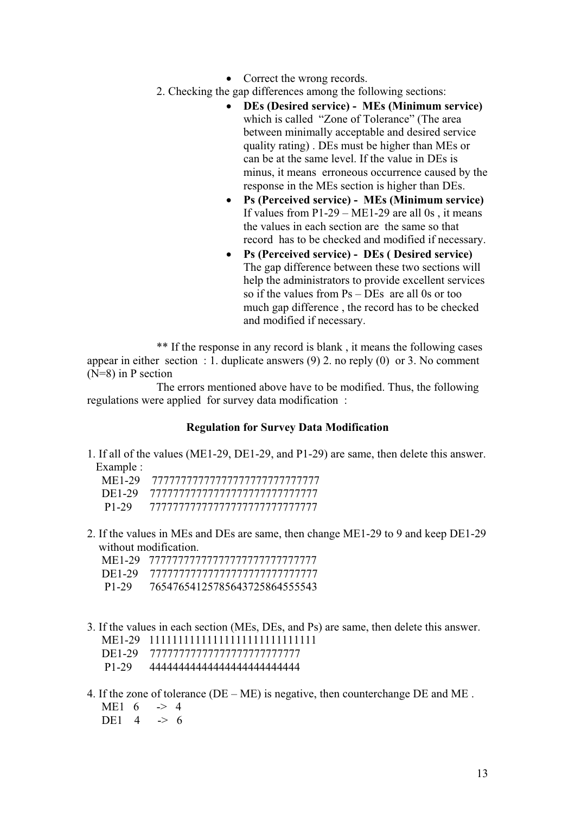- $\bullet$  Correct the wrong records.
- 2. Checking the gap differences among the following sections:
	- x **DEs (Desired service) MEs (Minimum service)** which is called "Zone of Tolerance" (The area between minimally acceptable and desired service quality rating) . DEs must be higher than MEs or can be at the same level. If the value in DEs is minus, it means erroneous occurrence caused by the response in the MEs section is higher than DEs.
	- x **Ps (Perceived service) MEs (Minimum service)** If values from  $P1-29 - ME1-29$  are all 0s, it means the values in each section are the same so that record has to be checked and modified if necessary.
	- x **Ps (Perceived service) DEs ( Desired service)** The gap difference between these two sections will help the administrators to provide excellent services so if the values from Ps – DEs are all 0s or too much gap difference , the record has to be checked and modified if necessary.

\*\* If the response in any record is blank , it means the following cases appear in either section : 1. duplicate answers (9) 2. no reply (0) or 3. No comment (N=8) in P section

 The errors mentioned above have to be modified. Thus, the following regulations were applied for survey data modification :

# **Regulation for Survey Data Modification**

1. If all of the values (ME1-29, DE1-29, and P1-29) are same, then delete this answer. Example :

| ME1-29 |                                       |
|--------|---------------------------------------|
|        | DE1-29 777777777777777777777777777777 |
| P1-29  |                                       |

2. If the values in MEs and DEs are same, then change ME1-29 to 9 and keep DE1-29 without modification.

|       | ME1-29 <i>TELENTERERY TELEVILIS</i>    |
|-------|----------------------------------------|
|       | DE1-29 7777777777777777777777777777777 |
| P1-29 | 76547654125785643725864555543          |

- 3. If the values in each section (MEs, DEs, and Ps) are same, then delete this answer.
	- ME1-29 11111111111111111111111111111
	- DE1-29 77777777777777777777777777
	- P1-29 44444444444444444444444444
- 4. If the zone of tolerance ( $DE ME$ ) is negative, then counterchange  $DE$  and  $ME$ . ME1  $6 \rightarrow 4$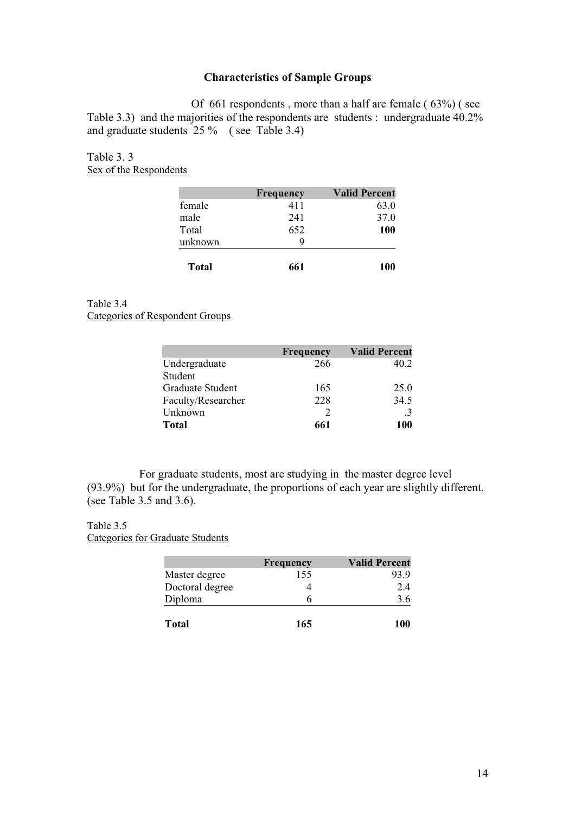# **Characteristics of Sample Groups**

Of 661 respondents , more than a half are female ( 63%) ( see Table 3.3) and the majorities of the respondents are students : undergraduate 40.2% and graduate students 25 % ( see Table 3.4)

Table 3. 3 Sex of the Respondents

|         | <b>Frequency</b> | <b>Valid Percent</b> |
|---------|------------------|----------------------|
| female  | 411              | 63.0                 |
| male    | 241              | 37.0                 |
| Total   | 652              | <b>100</b>           |
| unknown | 9                |                      |
| Total   | 661              | 100                  |

# Table 3.4

Categories of Respondent Groups

|                    | <b>Frequency</b> | <b>Valid Percent</b> |
|--------------------|------------------|----------------------|
| Undergraduate      | 266              | 40.2                 |
| Student            |                  |                      |
| Graduate Student   | 165              | 25.0                 |
| Faculty/Researcher | 228              | 34.5                 |
| Unknown            |                  | .3                   |
| Total              | 661              | 100                  |

For graduate students, most are studying in the master degree level (93.9%) but for the undergraduate, the proportions of each year are slightly different. (see Table 3.5 and 3.6).

# Table 3.5

Categories for Graduate Students

|                 | Frequency | <b>Valid Percent</b> |
|-----------------|-----------|----------------------|
| Master degree   | 155       | 93.9                 |
| Doctoral degree |           | 2.4                  |
| Diploma         | h         | 3.6                  |
| Total           | 165       | 100                  |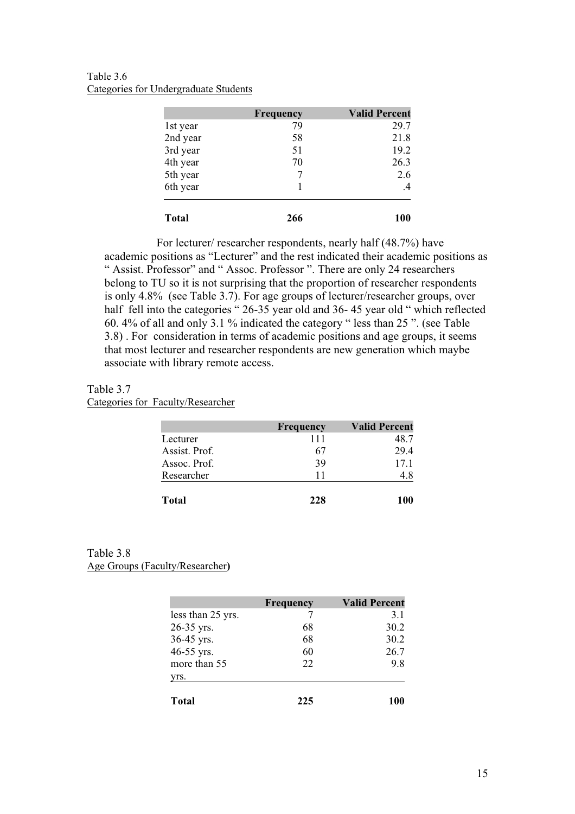Table 3.6 Categories for Undergraduate Students

|              | Frequency | <b>Valid Percent</b> |
|--------------|-----------|----------------------|
| 1st year     | 79        | 29.7                 |
| 2nd year     | 58        | 21.8                 |
| 3rd year     | 51        | 19.2                 |
| 4th year     | 70        | 26.3                 |
| 5th year     | 7         | 2.6                  |
| 6th year     |           | $\mathcal{A}$        |
| <b>Total</b> | 266       | 100                  |

For lecturer/ researcher respondents, nearly half (48.7%) have academic positions as "Lecturer" and the rest indicated their academic positions as " Assist. Professor" and " Assoc. Professor ". There are only 24 researchers belong to TU so it is not surprising that the proportion of researcher respondents is only 4.8% (see Table 3.7). For age groups of lecturer/researcher groups, over half fell into the categories " 26-35 year old and 36-45 year old " which reflected 60. 4% of all and only 3.1 % indicated the category " less than 25 ". (see Table 3.8) . For consideration in terms of academic positions and age groups, it seems that most lecturer and researcher respondents are new generation which maybe associate with library remote access.

Table 3.7 Categories for Faculty/Researcher

|               | <b>Frequency</b> | <b>Valid Percent</b> |
|---------------|------------------|----------------------|
| Lecturer      | 111              | 48.7                 |
| Assist. Prof. | 67               | 29.4                 |
| Assoc. Prof.  | 39               | 17.1                 |
| Researcher    | 11               | 4.8                  |
| <b>Total</b>  | 228              | 100                  |

### Table 3.8 Age Groups (Faculty/Researcher**)**

|                   | <b>Frequency</b> | <b>Valid Percent</b> |
|-------------------|------------------|----------------------|
| less than 25 yrs. |                  | 3.1                  |
| 26-35 yrs.        | 68               | 30.2                 |
| 36-45 yrs.        | 68               | 30.2                 |
| 46-55 yrs.        | 60               | 26.7                 |
| more than 55      | 22               | 9.8                  |
| yrs.              |                  |                      |
| Total             | 225              | 100                  |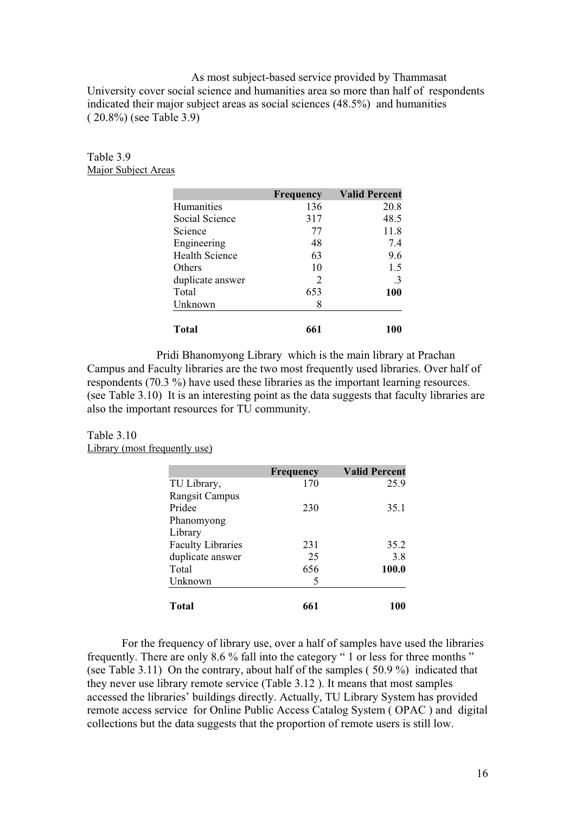As most subject-based service provided by Thammasat University cover social science and humanities area so more than half of respondents indicated their major subject areas as social sciences (48.5%) and humanities ( 20.8%) (see Table 3.9)

# Table 3.9 Major Subject Areas

|                       | <b>Frequency</b> | <b>Valid Percent</b> |
|-----------------------|------------------|----------------------|
| Humanities            | 136              | 20.8                 |
| Social Science        | 317              | 48.5                 |
| Science               | 77               | 11.8                 |
| Engineering           | 48               | 7.4                  |
| <b>Health Science</b> | 63               | 9.6                  |
| Others                | 10               | 1.5                  |
| duplicate answer      | $\overline{2}$   | $\cdot$ 3            |
| Total                 | 653              | 100                  |
| Unknown               | 8                |                      |
| Total                 | 661              | <b>100</b>           |

Pridi Bhanomyong Library which is the main library at Prachan Campus and Faculty libraries are the two most frequently used libraries. Over half of respondents (70.3 %) have used these libraries as the important learning resources. (see Table 3.10) It is an interesting point as the data suggests that faculty libraries are also the important resources for TU community.

# Table 3.10 Library (most frequently use)

|                          | <b>Frequency</b> | <b>Valid Percent</b> |
|--------------------------|------------------|----------------------|
| TU Library,              | 170              | 25.9                 |
| <b>Rangsit Campus</b>    |                  |                      |
| Pridee                   | 230              | 35.1                 |
| Phanomyong               |                  |                      |
| Library                  |                  |                      |
| <b>Faculty Libraries</b> | 231              | 35.2                 |
| duplicate answer         | 25               | 3.8                  |
| Total                    | 656              | 100.0                |
| Unknown                  | 5                |                      |
| <b>Total</b>             | 661              | 100                  |

For the frequency of library use, over a half of samples have used the libraries frequently. There are only 8.6 % fall into the category " 1 or less for three months " (see Table 3.11) On the contrary, about half of the samples ( 50.9 %) indicated that they never use library remote service (Table 3.12 ). It means that most samples accessed the libraries' buildings directly. Actually, TU Library System has provided remote access service for Online Public Access Catalog System ( OPAC ) and digital collections but the data suggests that the proportion of remote users is still low.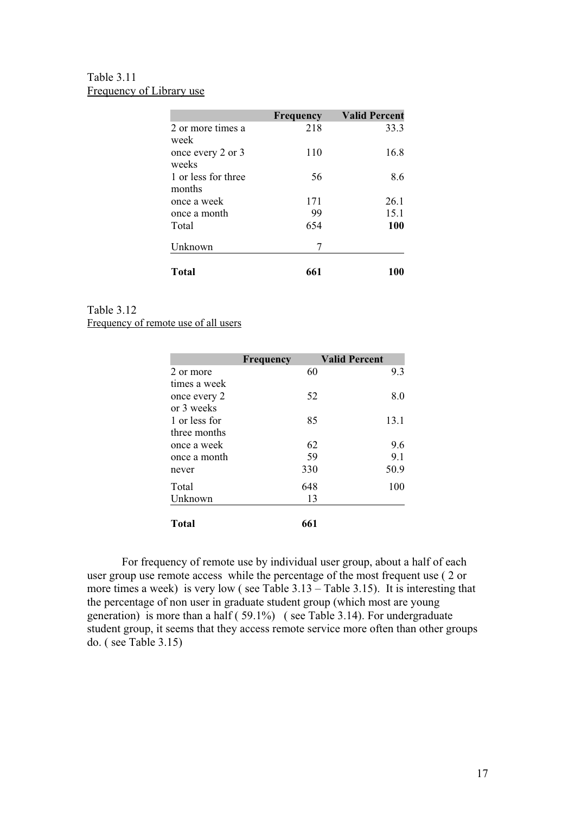# Table 3.11 Frequency of Library use

|                               | <b>Frequency</b> | <b>Valid Percent</b> |
|-------------------------------|------------------|----------------------|
| 2 or more times a<br>week     | 218              | 33.3                 |
| once every 2 or 3<br>weeks    | 110              | 16.8                 |
| 1 or less for three<br>months | 56               | 8.6                  |
| once a week                   | 171              | 26.1                 |
| once a month                  | 99               | 15.1                 |
| Total                         | 654              | 100                  |
| Unknown                       | 7                |                      |
| Total                         | 661              | 100                  |

#### Table 3.12 Frequency of remote use of all users

|               | <b>Frequency</b> | <b>Valid Percent</b> |
|---------------|------------------|----------------------|
| 2 or more     | 60               | 9.3                  |
| times a week  |                  |                      |
| once every 2  | 52               | 8.0                  |
| or 3 weeks    |                  |                      |
| 1 or less for | 85               | 13.1                 |
| three months  |                  |                      |
| once a week   | 62               | 9.6                  |
| once a month  | 59               | 9.1                  |
| never         | 330              | 50.9                 |
| Total         | 648              | 100                  |
| Unknown       | 13               |                      |
| <b>Total</b>  | 661              |                      |

For frequency of remote use by individual user group, about a half of each user group use remote access while the percentage of the most frequent use ( 2 or more times a week) is very low ( see Table 3.13 – Table 3.15). It is interesting that the percentage of non user in graduate student group (which most are young generation) is more than a half ( 59.1%) ( see Table 3.14). For undergraduate student group, it seems that they access remote service more often than other groups do. ( see Table 3.15)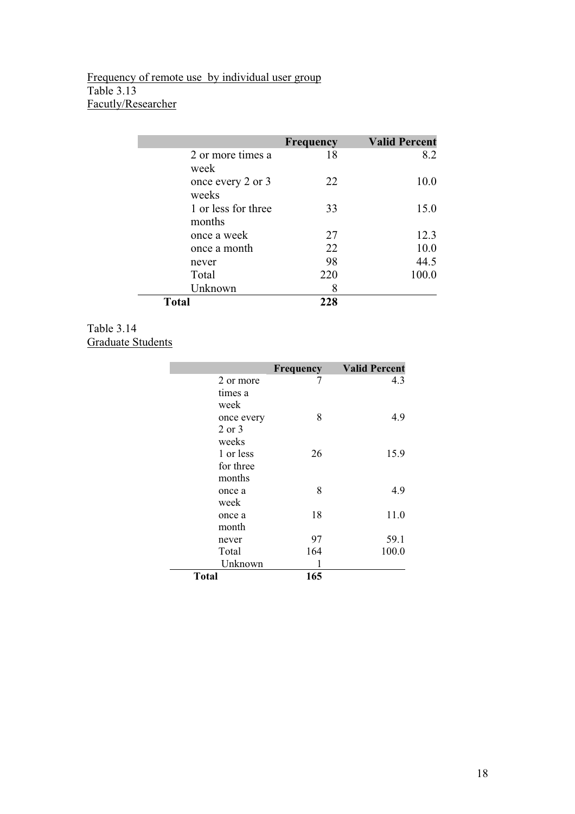# Frequency of remote use by individual user group Table 3.13 Facutly/Researcher

|                               | Frequency | <b>Valid Percent</b> |
|-------------------------------|-----------|----------------------|
| 2 or more times a<br>week     | 18        | 8.2                  |
| once every 2 or 3<br>weeks    | 22        | 10.0                 |
| 1 or less for three<br>months | 33        | 15.0                 |
| once a week                   | 27        | 12.3                 |
| once a month                  | 22        | 10.0                 |
| never                         | 98        | 44.5                 |
| Total                         | 220       | 100.0                |
| Unknown                       | 8         |                      |
| Total                         | 228       |                      |

Table 3.14 Graduate Students

|            | Frequency | <b>Valid Percent</b> |
|------------|-----------|----------------------|
| 2 or more  |           | 4.3                  |
| times a    |           |                      |
| week       |           |                      |
| once every | 8         | 4.9                  |
| $2$ or $3$ |           |                      |
| weeks      |           |                      |
| 1 or less  | 26        | 15.9                 |
| for three  |           |                      |
| months     |           |                      |
| once a     | 8         | 4.9                  |
| week       |           |                      |
| once a     | 18        | 11.0                 |
| month      |           |                      |
| never      | 97        | 59.1                 |
| Total      | 164       | 100.0                |
| Unknown    | 1         |                      |
| Total      | 165       |                      |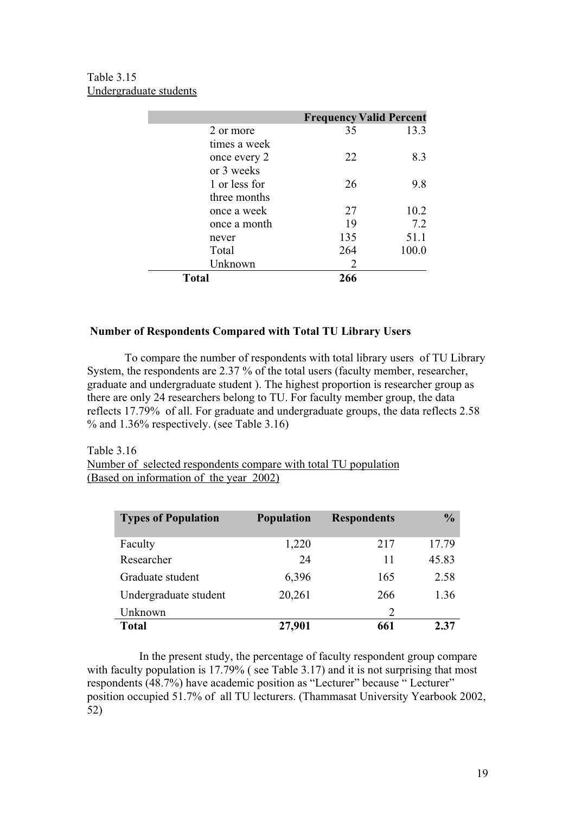Table 3.15 Undergraduate students

|               | <b>Frequency Valid Percent</b> |       |
|---------------|--------------------------------|-------|
| 2 or more     | 35                             | 13.3  |
| times a week  |                                |       |
| once every 2  | 22                             | 8.3   |
| or 3 weeks    |                                |       |
| 1 or less for | 26                             | 9.8   |
| three months  |                                |       |
| once a week   | 27                             | 10.2  |
| once a month  | 19                             | 7.2   |
| never         | 135                            | 51.1  |
| Total         | 264                            | 100.0 |
| Unknown       | 2                              |       |
| <b>Total</b>  | 266                            |       |

# **Number of Respondents Compared with Total TU Library Users**

 To compare the number of respondents with total library users of TU Library System, the respondents are 2.37 % of the total users (faculty member, researcher, graduate and undergraduate student ). The highest proportion is researcher group as there are only 24 researchers belong to TU. For faculty member group, the data reflects 17.79% of all. For graduate and undergraduate groups, the data reflects 2.58 % and 1.36% respectively. (see Table 3.16)

Table 3.16 Number of selected respondents compare with total TU population (Based on information of the year 2002)

| <b>Types of Population</b> | <b>Population</b> | <b>Respondents</b> | $\frac{0}{0}$ |
|----------------------------|-------------------|--------------------|---------------|
| Faculty                    | 1,220             | 217                | 17.79         |
| Researcher                 | 24                | 11                 | 45.83         |
| Graduate student           | 6,396             | 165                | 2.58          |
| Undergraduate student      | 20,261            | 266                | 1.36          |
| Unknown                    |                   | $\overline{2}$     |               |
| Total                      | 27,901            | 661                | 2.37          |

In the present study, the percentage of faculty respondent group compare with faculty population is 17.79% (see Table 3.17) and it is not surprising that most respondents (48.7%) have academic position as "Lecturer" because " Lecturer" position occupied 51.7% of all TU lecturers. (Thammasat University Yearbook 2002, 52)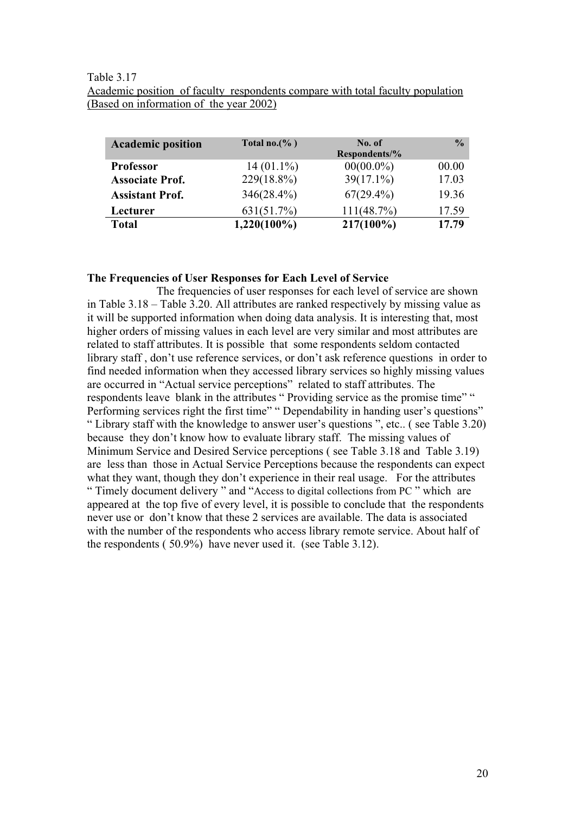### Table 3.17

Academic position of faculty respondents compare with total faculty population (Based on information of the year 2002)

| <b>Academic position</b> | Total no.(%)   | No. of<br>Respondents/% | $\frac{0}{0}$ |
|--------------------------|----------------|-------------------------|---------------|
| <b>Professor</b>         | $14(01.1\%)$   | $00(00.0\%)$            | 00.00         |
| <b>Associate Prof.</b>   | $229(18.8\%)$  | $39(17.1\%)$            | 17.03         |
| <b>Assistant Prof.</b>   | $346(28.4\%)$  | $67(29.4\%)$            | 19.36         |
| Lecturer                 | 631(51.7%)     | 111(48.7%)              | 17.59         |
| <b>Total</b>             | $1,220(100\%)$ | $217(100\%)$            | 17.79         |

#### **The Frequencies of User Responses for Each Level of Service**

The frequencies of user responses for each level of service are shown in Table 3.18 – Table 3.20. All attributes are ranked respectively by missing value as it will be supported information when doing data analysis. It is interesting that, most higher orders of missing values in each level are very similar and most attributes are related to staff attributes. It is possible that some respondents seldom contacted library staff , don't use reference services, or don't ask reference questions in order to find needed information when they accessed library services so highly missing values are occurred in "Actual service perceptions" related to staff attributes. The respondents leave blank in the attributes " Providing service as the promise time" " Performing services right the first time" " Dependability in handing user's questions" " Library staff with the knowledge to answer user's questions ", etc.. ( see Table 3.20) because they don't know how to evaluate library staff. The missing values of Minimum Service and Desired Service perceptions ( see Table 3.18 and Table 3.19) are less than those in Actual Service Perceptions because the respondents can expect what they want, though they don't experience in their real usage. For the attributes " Timely document delivery " and "Access to digital collections from PC " which are appeared at the top five of every level, it is possible to conclude that the respondents never use or don't know that these 2 services are available. The data is associated with the number of the respondents who access library remote service. About half of the respondents ( 50.9%) have never used it. (see Table 3.12).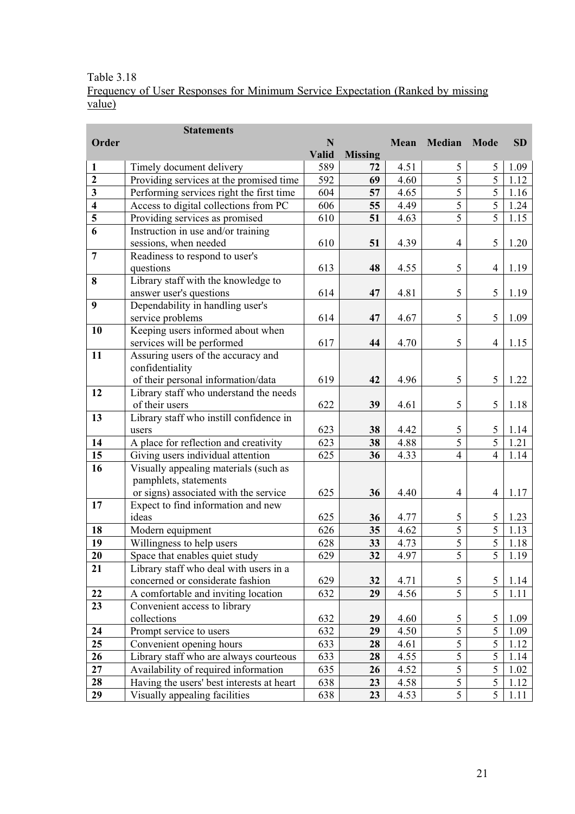# Table 3.18

Frequency of User Responses for Minimum Service Expectation (Ranked by missing value)

|                         | <b>Statements</b>                         |             |                 |            |                          |                                  |           |  |
|-------------------------|-------------------------------------------|-------------|-----------------|------------|--------------------------|----------------------------------|-----------|--|
| Order                   |                                           | $\mathbf N$ |                 | Mean       | Median                   | <b>Mode</b>                      | <b>SD</b> |  |
|                         |                                           | Valid       | <b>Missing</b>  |            |                          |                                  |           |  |
| 1                       | Timely document delivery                  | 589         | 72              | 4.51       | 5                        | 5                                | 1.09      |  |
| $\overline{2}$          | Providing services at the promised time   | 592         | 69              | 4.60       | 5                        | $\overline{5}$                   | 1.12      |  |
| 3                       | Performing services right the first time  |             | 57              | 4.65       | 5                        | 5                                | 1.16      |  |
| $\overline{\mathbf{4}}$ | Access to digital collections from PC     | 606         | 55              | 4.49       | 5                        | $\overline{5}$                   | 1.24      |  |
| $\overline{\mathbf{5}}$ | Providing services as promised            | 610         | 51              | 4.63       | $\overline{5}$           | $\overline{5}$                   | 1.15      |  |
| $\overline{6}$          | Instruction in use and/or training        |             |                 |            |                          |                                  |           |  |
|                         | sessions, when needed                     | 610         | 51              | 4.39       | $\overline{4}$           | 5                                | 1.20      |  |
| $\overline{7}$          | Readiness to respond to user's            |             |                 |            |                          |                                  |           |  |
|                         | questions                                 | 613         | 48              | 4.55       | 5                        | $\overline{4}$                   | 1.19      |  |
| 8                       | Library staff with the knowledge to       |             |                 |            |                          |                                  |           |  |
|                         | answer user's questions                   | 614         | 47              | 4.81       | 5                        | 5                                | 1.19      |  |
| 9                       | Dependability in handling user's          |             |                 |            |                          |                                  |           |  |
|                         | service problems                          | 614         | 47              | 4.67       | 5                        | 5                                | 1.09      |  |
| 10                      | Keeping users informed about when         |             |                 |            |                          |                                  |           |  |
|                         | services will be performed                | 617         | 44              | 4.70       | 5                        | $\overline{4}$                   | 1.15      |  |
| 11                      | Assuring users of the accuracy and        |             |                 |            |                          |                                  |           |  |
|                         | confidentiality                           |             |                 |            |                          |                                  |           |  |
|                         | of their personal information/data        | 619         | 42              | 4.96       | 5                        | 5                                | 1.22      |  |
| 12                      | Library staff who understand the needs    |             |                 |            | 5                        |                                  |           |  |
|                         | of their users                            | 622         |                 | 39<br>4.61 |                          | 5                                | 1.18      |  |
| 13                      | Library staff who instill confidence in   | 623         |                 |            |                          |                                  |           |  |
|                         | users                                     |             | 38              | 4.42       | 5                        | 5                                | 1.14      |  |
| 14                      | A place for reflection and creativity     | 623         | 38              | 4.88       | 5                        | $\overline{5}$<br>$\overline{4}$ | 1.21      |  |
| $\overline{15}$         | Giving users individual attention         | 625         | 36              |            | $\overline{4}$<br>4.33   |                                  | 1.14      |  |
| 16                      | Visually appealing materials (such as     |             |                 |            |                          |                                  |           |  |
|                         | pamphlets, statements                     |             |                 |            |                          |                                  |           |  |
|                         | or signs) associated with the service     | 625         | 36              | 4.40       | $\overline{\mathcal{L}}$ | $\overline{4}$                   | 1.17      |  |
| 17                      | Expect to find information and new        |             |                 |            |                          | 5                                |           |  |
|                         | ideas                                     | 625         | 36              |            | 4.77<br>5                |                                  | 1.23      |  |
| 18                      | Modern equipment                          | 626         | 35              | 4.62       | 5                        | $\overline{5}$                   | 1.13      |  |
| 19                      | Willingness to help users                 | 628         | 33              | 4.73       | $\overline{5}$           | $\overline{5}$                   | 1.18      |  |
| 20                      | Space that enables quiet study            | 629         | 32              | 4.97       | $\overline{5}$           | $\overline{5}$                   | 1.19      |  |
| 21                      | Library staff who deal with users in a    |             |                 |            |                          |                                  |           |  |
|                         | concerned or considerate fashion          | 629         | 32              | 4.71       | 5                        | $\mathfrak s$                    | 1.14      |  |
| 22                      | A comfortable and inviting location       | 632         | 29              | 4.56       | 5                        | 5                                | 1.11      |  |
| 23                      | Convenient access to library              |             |                 |            |                          |                                  |           |  |
|                         | collections                               | 632         | 29              | 4.60       | 5                        | 5                                | 1.09      |  |
| 24                      | Prompt service to users                   | 632         | 5<br>4.50<br>29 |            |                          | 5                                | 1.09      |  |
| 25                      | Convenient opening hours                  | 633         | 28              | 4.61       | 5                        | 5                                | 1.12      |  |
| 26                      | Library staff who are always courteous    | 633         | 28              | 4.55       | 5                        | 5                                | 1.14      |  |
| 27                      | Availability of required information      | 635         | 26              | 4.52       | 5                        | 5                                | 1.02      |  |
| 28                      | Having the users' best interests at heart | 638         | 23              | 4.58       | 5                        | 5                                | 1.12      |  |
| 29                      | Visually appealing facilities             | 638         | 23              | 4.53       | 5                        | 5                                | 1.11      |  |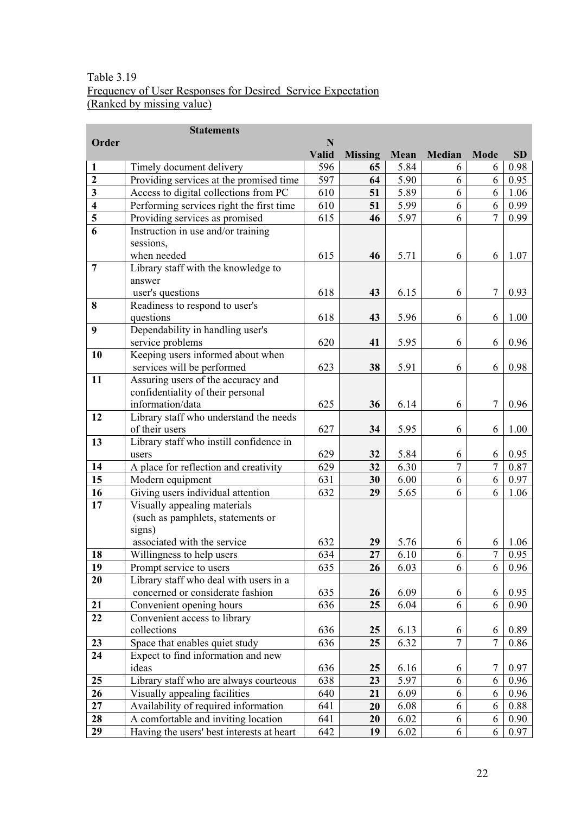# Table 3.19 Frequency of User Responses for Desired Service Expectation (Ranked by missing value)

|                                      | <b>Statements</b>                                                       |              |                |      |                |                  |           |  |
|--------------------------------------|-------------------------------------------------------------------------|--------------|----------------|------|----------------|------------------|-----------|--|
| Order                                | $\mathbf N$                                                             |              |                |      |                |                  |           |  |
|                                      |                                                                         | <b>Valid</b> | <b>Missing</b> | Mean | Median         | <b>Mode</b>      | <b>SD</b> |  |
| $\mathbf{1}$                         | Timely document delivery                                                | 596          | 65             | 5.84 | 6              | 6                | 0.98      |  |
| $\overline{2}$                       | Providing services at the promised time                                 | 597          | 64             | 5.90 | 6              | 6                | 0.95      |  |
| 3                                    | Access to digital collections from PC                                   | 610          | 51             | 5.89 | 6              | 6                | 1.06      |  |
| $\overline{\mathbf{4}}$              | Performing services right the first time                                | 610          | 51             | 5.99 | 6              | 6                | 0.99      |  |
| $\overline{\overline{\overline{5}}}$ | Providing services as promised                                          | 615          | 46             | 5.97 | 6              | $\overline{7}$   | 0.99      |  |
| 6                                    | Instruction in use and/or training                                      |              |                |      |                |                  |           |  |
|                                      | sessions,                                                               |              |                |      |                |                  |           |  |
|                                      | when needed                                                             | 615          | 46             | 5.71 | 6              | 6                | 1.07      |  |
| $\overline{7}$                       | Library staff with the knowledge to                                     |              |                |      |                |                  |           |  |
|                                      | answer                                                                  |              |                |      |                |                  |           |  |
|                                      | user's questions                                                        | 618          | 43             | 6.15 | 6              | $\boldsymbol{7}$ | 0.93      |  |
| 8                                    | Readiness to respond to user's                                          |              |                |      |                |                  |           |  |
|                                      | questions                                                               | 618          | 43             | 5.96 | 6              | 6                | 1.00      |  |
| 9                                    | Dependability in handling user's                                        |              |                |      |                |                  |           |  |
|                                      | service problems                                                        | 620          | 41             | 5.95 | 6              | 6                | 0.96      |  |
| 10                                   | Keeping users informed about when                                       | 623          |                |      |                |                  |           |  |
| 11                                   | services will be performed                                              |              | 38             | 5.91 | 6              | 6                | 0.98      |  |
|                                      | Assuring users of the accuracy and<br>confidentiality of their personal |              |                |      |                |                  |           |  |
|                                      | information/data                                                        | 625          | 36             | 6.14 | 6              | $\tau$           | 0.96      |  |
| 12                                   | Library staff who understand the needs                                  |              |                |      |                |                  |           |  |
|                                      | of their users                                                          | 627          | 34             | 5.95 | 6              | 6                | 1.00      |  |
| 13                                   | Library staff who instill confidence in                                 |              |                |      |                |                  |           |  |
|                                      | users                                                                   | 629          | 32             | 5.84 | 6              | 6                | 0.95      |  |
| 14                                   | A place for reflection and creativity                                   | 629          | 32             | 6.30 | $\overline{7}$ | $\overline{7}$   | 0.87      |  |
| 15                                   | Modern equipment                                                        | 631          | 30             | 6.00 | 6              | 6                | 0.97      |  |
| 16                                   | Giving users individual attention                                       | 632          | 29             | 5.65 | 6              | 6                | 1.06      |  |
| 17                                   | Visually appealing materials                                            |              |                |      |                |                  |           |  |
|                                      | (such as pamphlets, statements or                                       |              |                |      |                |                  |           |  |
|                                      | signs)                                                                  |              |                |      |                |                  |           |  |
|                                      | associated with the service                                             | 632          | 29             | 5.76 | 6              | 6                | 1.06      |  |
| 18                                   | Willingness to help users                                               | 634          | 27             | 6.10 | 6              | $\overline{7}$   | 0.95      |  |
| 19                                   | Prompt service to users                                                 | 635          | 26             | 6.03 | 6              | 6                | 0.96      |  |
| 20                                   | Library staff who deal with users in a                                  |              |                |      |                |                  |           |  |
|                                      | concerned or considerate fashion                                        | 635          | 26             | 6.09 | 6              | 6                | 0.95      |  |
| 21                                   | Convenient opening hours                                                | 636          | 25             | 6.04 | 6              | 6                | 0.90      |  |
| 22                                   | Convenient access to library                                            |              |                |      |                |                  |           |  |
|                                      | collections                                                             | 636          | 25             | 6.13 | 6              | 6                | 0.89      |  |
| 23                                   | Space that enables quiet study                                          | 636          | 25             | 6.32 | $\overline{7}$ | $\boldsymbol{7}$ | 0.86      |  |
| 24                                   | Expect to find information and new                                      |              |                |      |                |                  |           |  |
|                                      | ideas                                                                   | 636          | 25             | 6.16 | 6              | $\boldsymbol{7}$ | 0.97      |  |
| 25                                   | Library staff who are always courteous                                  | 638          | 23             | 5.97 | 6              | 6                | 0.96      |  |
| 26                                   | Visually appealing facilities                                           | 640          | 21             | 6.09 | 6              | 6                | 0.96      |  |
| 27                                   | Availability of required information                                    | 641          | 20             | 6.08 | 6              | 6                | 0.88      |  |
| 28                                   | A comfortable and inviting location                                     | 641          | 20             | 6.02 | 6              | 6                | 0.90      |  |
| 29                                   | Having the users' best interests at heart                               | 642          | 19             | 6.02 | 6              | 6                | 0.97      |  |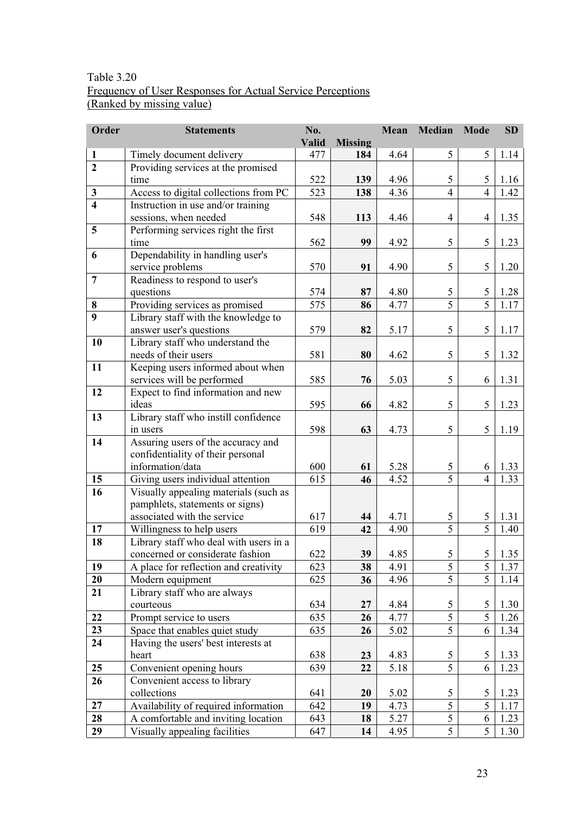# Table 3.20 Frequency of User Responses for Actual Service Perceptions (Ranked by missing value)

| Order                   | <b>Statements</b>                                                       | No.   |                | Mean | Median         | <b>Mode</b>              | SD   |
|-------------------------|-------------------------------------------------------------------------|-------|----------------|------|----------------|--------------------------|------|
|                         |                                                                         | Valid | <b>Missing</b> |      |                |                          |      |
| $\mathbf{1}$            | Timely document delivery                                                | 477   | 184            | 4.64 | 5              | 5                        | 1.14 |
| $\overline{2}$          | Providing services at the promised                                      |       |                |      |                |                          |      |
|                         | time                                                                    | 522   | 139            | 4.96 | 5              | 5                        | 1.16 |
| $\overline{\mathbf{3}}$ | Access to digital collections from PC                                   | 523   | 138            | 4.36 | $\overline{4}$ | $\overline{4}$           | 1.42 |
| $\overline{\mathbf{4}}$ | Instruction in use and/or training                                      |       |                |      |                |                          |      |
|                         | sessions, when needed                                                   | 548   | 113            | 4.46 | $\overline{4}$ | $\overline{\mathcal{L}}$ | 1.35 |
| 5                       | Performing services right the first                                     |       |                |      |                |                          |      |
|                         | time                                                                    | 562   | 99             | 4.92 | 5              | 5                        | 1.23 |
| 6                       | Dependability in handling user's                                        |       |                |      |                |                          |      |
|                         | service problems                                                        | 570   | 91             | 4.90 | 5              | 5                        | 1.20 |
| $\overline{7}$          | Readiness to respond to user's                                          |       |                |      |                |                          |      |
|                         | questions                                                               | 574   | 87             | 4.80 | 5              | $\mathfrak{S}$           | 1.28 |
| 8                       | Providing services as promised                                          | 575   | 86             | 4.77 | $\overline{5}$ | $\overline{5}$           | 1.17 |
| $\boldsymbol{9}$        | Library staff with the knowledge to                                     |       |                |      |                |                          |      |
|                         | answer user's questions                                                 | 579   | 82             | 5.17 | 5              | 5                        | 1.17 |
| 10                      | Library staff who understand the                                        |       |                |      |                |                          |      |
|                         | needs of their users                                                    | 581   | 80             | 4.62 | 5              | 5                        | 1.32 |
| 11                      | Keeping users informed about when                                       |       |                |      |                |                          |      |
|                         | services will be performed                                              | 585   | 76             | 5.03 | 5              | 6                        | 1.31 |
| 12                      | Expect to find information and new                                      |       |                |      | 5              |                          |      |
|                         | ideas                                                                   | 595   | 66             | 4.82 |                | 5                        | 1.23 |
| 13                      | Library staff who instill confidence                                    |       |                |      | 5              | 5                        |      |
| 14                      | in users                                                                | 598   | 63             | 4.73 |                |                          | 1.19 |
|                         | Assuring users of the accuracy and<br>confidentiality of their personal |       |                |      |                |                          |      |
|                         | information/data                                                        | 600   | 61             | 5.28 | 5              | 6                        | 1.33 |
| 15                      | Giving users individual attention                                       | 615   | 46             | 4.52 | $\overline{5}$ | $\overline{4}$           | 1.33 |
| 16                      | Visually appealing materials (such as                                   |       |                |      |                |                          |      |
|                         | pamphlets, statements or signs)                                         |       |                |      |                |                          |      |
|                         | associated with the service                                             | 617   | 44             | 4.71 | 5              | 5                        | 1.31 |
| 17                      | Willingness to help users                                               | 619   | 42             | 4.90 | 5              | $\overline{5}$           | 1.40 |
| 18                      | Library staff who deal with users in a                                  |       |                |      |                |                          |      |
|                         | concerned or considerate fashion                                        | 622   | 39             | 4.85 | 5              | 5                        | 1.35 |
| 19                      | A place for reflection and creativity                                   | 623   | 38             | 4.91 | $\mathfrak s$  | 5                        | 1.37 |
| 20                      | Modern equipment                                                        | 625   | 36             | 4.96 | 5              | 5                        | 1.14 |
| 21                      | Library staff who are always                                            |       |                |      |                |                          |      |
|                         | courteous                                                               | 634   | 27             | 4.84 | 5              | 5                        | 1.30 |
| 22                      | Prompt service to users                                                 | 635   | 26             | 4.77 | 5              | $\overline{5}$           | 1.26 |
| 23                      | Space that enables quiet study                                          | 635   | 26             | 5.02 | $\overline{5}$ | 6                        | 1.34 |
| 24                      | Having the users' best interests at                                     |       |                |      |                |                          |      |
|                         | heart                                                                   | 638   | 23             | 4.83 | 5              | 5                        | 1.33 |
| 25                      | Convenient opening hours                                                | 639   | 22             | 5.18 | 5              | 6                        | 1.23 |
| 26                      | Convenient access to library                                            |       |                |      |                |                          |      |
|                         | collections                                                             | 641   | 20             | 5.02 | 5              | 5                        | 1.23 |
| 27                      | Availability of required information                                    | 642   | 19             | 4.73 | $\overline{5}$ | $\overline{5}$           | 1.17 |
| 28                      | A comfortable and inviting location                                     | 643   | 18             | 5.27 | 5              | 6                        | 1.23 |
| 29                      | Visually appealing facilities                                           | 647   | 14             | 4.95 | 5              | 5                        | 1.30 |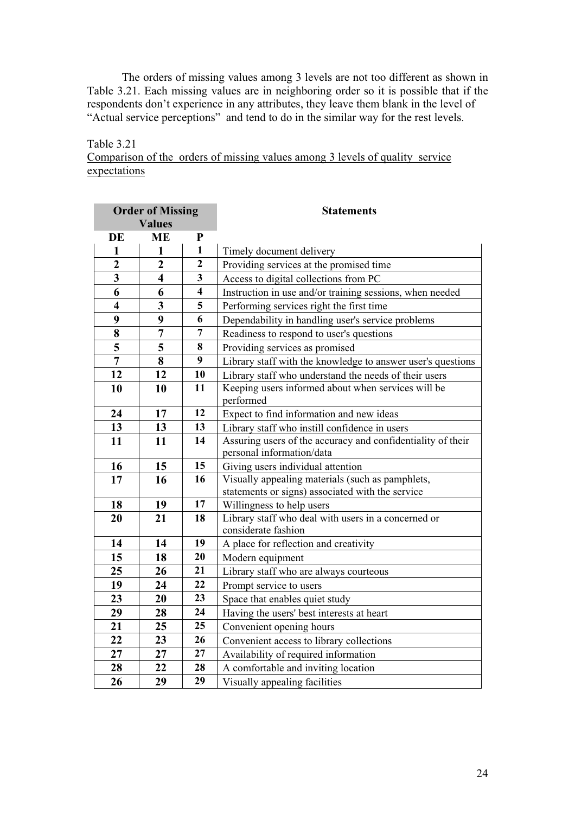The orders of missing values among 3 levels are not too different as shown in Table 3.21. Each missing values are in neighboring order so it is possible that if the respondents don't experience in any attributes, they leave them blank in the level of "Actual service perceptions" and tend to do in the similar way for the rest levels.

Table 3.21 Comparison of the orders of missing values among 3 levels of quality service expectations

| <b>Order of Missing</b> |                         |              | <b>Statements</b>                                               |  |  |
|-------------------------|-------------------------|--------------|-----------------------------------------------------------------|--|--|
| <b>Values</b>           |                         |              |                                                                 |  |  |
| DE                      | <b>ME</b>               | ${\bf P}$    |                                                                 |  |  |
| 1                       | $\mathbf{1}$            | $\mathbf{1}$ | Timely document delivery                                        |  |  |
| $\overline{2}$          | $\overline{2}$          | $\mathbf{2}$ | Providing services at the promised time                         |  |  |
| $\overline{\mathbf{3}}$ | $\overline{\mathbf{4}}$ | 3            | Access to digital collections from PC                           |  |  |
| 6                       | 6                       | 4            | Instruction in use and/or training sessions, when needed        |  |  |
| $\overline{\mathbf{4}}$ | 3                       | 5            | Performing services right the first time                        |  |  |
| 9                       | 9                       | 6            | Dependability in handling user's service problems               |  |  |
| 8                       | 7                       | 7            | Readiness to respond to user's questions                        |  |  |
| 5                       | 5                       | 8            | Providing services as promised                                  |  |  |
| $\overline{7}$          | 8                       | 9            | Library staff with the knowledge to answer user's questions     |  |  |
| 12                      | 12                      | 10           | Library staff who understand the needs of their users           |  |  |
| 10                      | 10                      | 11           | Keeping users informed about when services will be<br>performed |  |  |
| 24                      | 17                      | 12           | Expect to find information and new ideas                        |  |  |
| 13                      | 13                      | 13           | Library staff who instill confidence in users                   |  |  |
| 11                      | 11                      | 14           | Assuring users of the accuracy and confidentiality of their     |  |  |
|                         |                         |              | personal information/data                                       |  |  |
| 16                      | 15                      | 15           | Giving users individual attention                               |  |  |
| 17                      | 16                      | 16           | Visually appealing materials (such as pamphlets,                |  |  |
|                         |                         |              | statements or signs) associated with the service                |  |  |
| 18                      | 19                      | 17           | Willingness to help users                                       |  |  |
| 20                      | 21                      | 18           | Library staff who deal with users in a concerned or             |  |  |
|                         |                         | 19           | considerate fashion                                             |  |  |
| 14                      | 14                      | 20           | A place for reflection and creativity                           |  |  |
| 15                      | 18                      |              | Modern equipment                                                |  |  |
| 25                      | 26                      | 21           | Library staff who are always courteous                          |  |  |
| 19                      | 24                      | 22           | Prompt service to users                                         |  |  |
| 23                      | 20                      | 23           | Space that enables quiet study                                  |  |  |
| 29                      | 28                      | 24           | Having the users' best interests at heart                       |  |  |
| 21                      | 25                      | 25           | Convenient opening hours                                        |  |  |
| 22                      | 23                      | 26           | Convenient access to library collections                        |  |  |
| 27                      | 27                      | 27           | Availability of required information                            |  |  |
| 28                      | 22                      | 28           | A comfortable and inviting location                             |  |  |
| 26                      | 29                      | 29           | Visually appealing facilities                                   |  |  |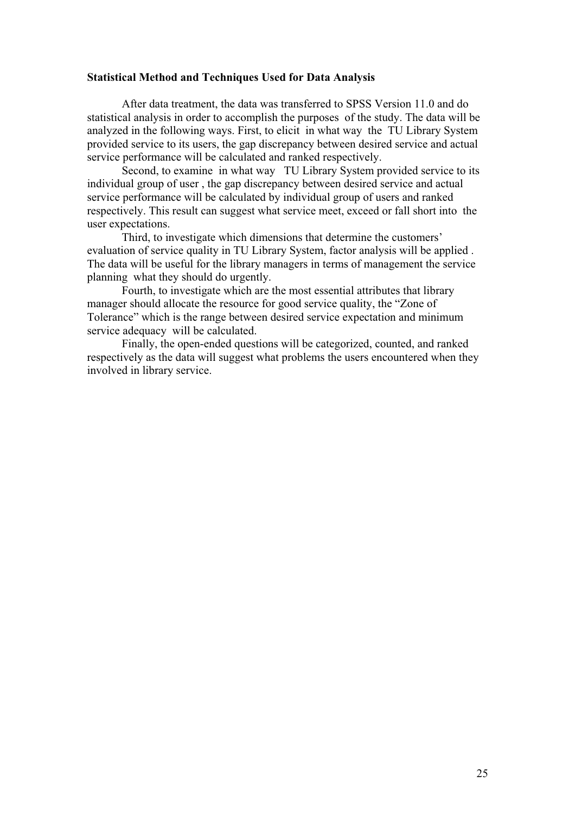#### **Statistical Method and Techniques Used for Data Analysis**

After data treatment, the data was transferred to SPSS Version 11.0 and do statistical analysis in order to accomplish the purposes of the study. The data will be analyzed in the following ways. First, to elicit in what way the TU Library System provided service to its users, the gap discrepancy between desired service and actual service performance will be calculated and ranked respectively.

Second, to examine in what way TU Library System provided service to its individual group of user , the gap discrepancy between desired service and actual service performance will be calculated by individual group of users and ranked respectively. This result can suggest what service meet, exceed or fall short into the user expectations.

Third, to investigate which dimensions that determine the customers' evaluation of service quality in TU Library System, factor analysis will be applied . The data will be useful for the library managers in terms of management the service planning what they should do urgently.

Fourth, to investigate which are the most essential attributes that library manager should allocate the resource for good service quality, the "Zone of Tolerance" which is the range between desired service expectation and minimum service adequacy will be calculated.

Finally, the open-ended questions will be categorized, counted, and ranked respectively as the data will suggest what problems the users encountered when they involved in library service.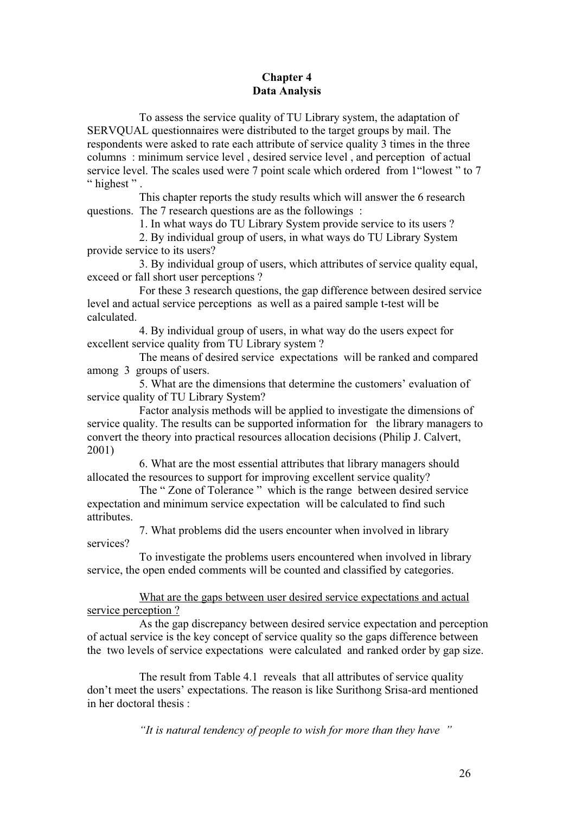# **Chapter 4 Data Analysis**

To assess the service quality of TU Library system, the adaptation of SERVQUAL questionnaires were distributed to the target groups by mail. The respondents were asked to rate each attribute of service quality 3 times in the three columns : minimum service level , desired service level , and perception of actual service level. The scales used were 7 point scale which ordered from 1"lowest " to 7 " highest".

This chapter reports the study results which will answer the 6 research questions. The 7 research questions are as the followings :

1. In what ways do TU Library System provide service to its users ?

2. By individual group of users, in what ways do TU Library System provide service to its users?

3. By individual group of users, which attributes of service quality equal, exceed or fall short user perceptions ?

For these 3 research questions, the gap difference between desired service level and actual service perceptions as well as a paired sample t-test will be calculated.

4. By individual group of users, in what way do the users expect for excellent service quality from TU Library system ?

The means of desired service expectations will be ranked and compared among 3 groups of users.

5. What are the dimensions that determine the customers' evaluation of service quality of TU Library System?

Factor analysis methods will be applied to investigate the dimensions of service quality. The results can be supported information for the library managers to convert the theory into practical resources allocation decisions (Philip J. Calvert, 2001)

6. What are the most essential attributes that library managers should allocated the resources to support for improving excellent service quality?

The " Zone of Tolerance " which is the range between desired service expectation and minimum service expectation will be calculated to find such attributes.

7. What problems did the users encounter when involved in library services?

To investigate the problems users encountered when involved in library service, the open ended comments will be counted and classified by categories.

What are the gaps between user desired service expectations and actual service perception ?

As the gap discrepancy between desired service expectation and perception of actual service is the key concept of service quality so the gaps difference between the two levels of service expectations were calculated and ranked order by gap size.

The result from Table 4.1 reveals that all attributes of service quality don't meet the users' expectations. The reason is like Surithong Srisa-ard mentioned in her doctoral thesis :

*"It is natural tendency of people to wish for more than they have "*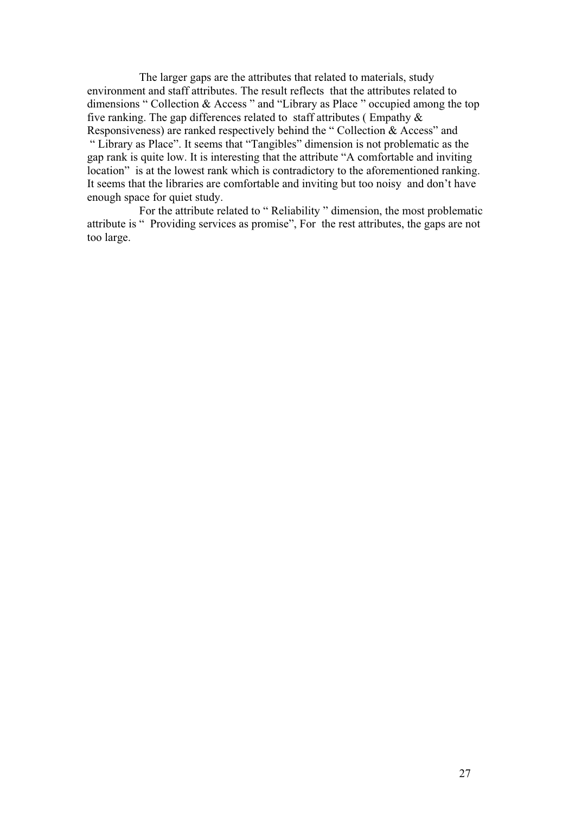The larger gaps are the attributes that related to materials, study environment and staff attributes. The result reflects that the attributes related to dimensions " Collection & Access " and "Library as Place " occupied among the top five ranking. The gap differences related to staff attributes (Empathy  $\&$ Responsiveness) are ranked respectively behind the " Collection & Access" and " Library as Place". It seems that "Tangibles" dimension is not problematic as the gap rank is quite low. It is interesting that the attribute "A comfortable and inviting location" is at the lowest rank which is contradictory to the aforementioned ranking. It seems that the libraries are comfortable and inviting but too noisy and don't have enough space for quiet study.

For the attribute related to " Reliability " dimension, the most problematic attribute is " Providing services as promise", For the rest attributes, the gaps are not too large.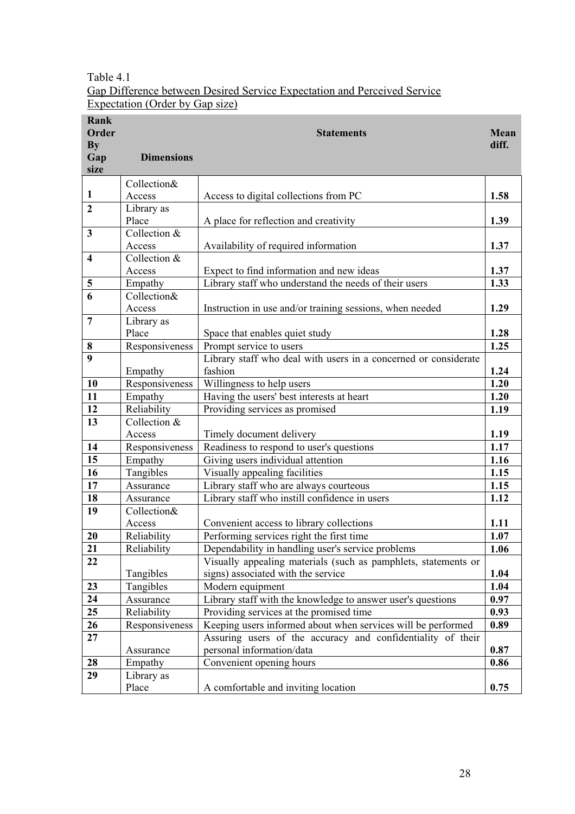# Table 4.1 Gap Difference between Desired Service Expectation and Perceived Service Expectation (Order by Gap size)

| Rank<br>Order<br><b>By</b><br>Gap<br>size | <b>Dimensions</b> | <b>Statements</b>                                               | Mean<br>diff. |
|-------------------------------------------|-------------------|-----------------------------------------------------------------|---------------|
|                                           | Collection&       |                                                                 |               |
| 1                                         | Access            | Access to digital collections from PC                           | 1.58          |
| $\overline{2}$                            | Library as        |                                                                 |               |
|                                           | Place             | A place for reflection and creativity                           | 1.39          |
| 3                                         | Collection &      |                                                                 |               |
|                                           | Access            | Availability of required information                            | 1.37          |
| $\overline{\mathbf{4}}$                   | Collection &      |                                                                 |               |
|                                           | Access            | Expect to find information and new ideas                        | 1.37          |
| 5                                         | Empathy           | Library staff who understand the needs of their users           | 1.33          |
| 6                                         | Collection&       |                                                                 |               |
|                                           | Access            | Instruction in use and/or training sessions, when needed        | 1.29          |
| $\overline{7}$                            | Library as        |                                                                 |               |
|                                           | Place             | Space that enables quiet study                                  | 1.28          |
| 8                                         | Responsiveness    | Prompt service to users                                         | 1.25          |
| $\boldsymbol{9}$                          |                   | Library staff who deal with users in a concerned or considerate |               |
|                                           | Empathy           | fashion                                                         | 1.24          |
| 10                                        | Responsiveness    | Willingness to help users                                       | 1.20          |
| 11                                        | Empathy           | Having the users' best interests at heart                       | 1.20          |
| 12                                        | Reliability       | Providing services as promised                                  | 1.19          |
| 13                                        | Collection &      |                                                                 |               |
|                                           | Access            | Timely document delivery                                        | 1.19          |
| 14                                        | Responsiveness    | Readiness to respond to user's questions                        | 1.17          |
| 15                                        | Empathy           | Giving users individual attention                               | 1.16          |
| 16                                        | Tangibles         | Visually appealing facilities                                   | 1.15          |
| 17                                        | Assurance         | Library staff who are always courteous                          | 1.15          |
| 18                                        | Assurance         | Library staff who instill confidence in users                   | 1.12          |
| 19                                        | Collection&       |                                                                 |               |
|                                           | Access            | Convenient access to library collections                        | 1.11          |
| 20                                        | Reliability       | Performing services right the first time                        | 1.07          |
| 21                                        | Reliability       | Dependability in handling user's service problems               | 1.06          |
| 22                                        |                   | Visually appealing materials (such as pamphlets, statements or  |               |
|                                           | Tangibles         | signs) associated with the service                              | 1.04          |
| 23                                        | Tangibles         | Modern equipment                                                | 1.04          |
| 24                                        | Assurance         | Library staff with the knowledge to answer user's questions     | 0.97          |
| 25                                        | Reliability       | Providing services at the promised time                         | 0.93          |
| 26                                        | Responsiveness    | Keeping users informed about when services will be performed    | 0.89          |
| 27                                        |                   | Assuring users of the accuracy and confidentiality of their     |               |
|                                           | Assurance         | personal information/data                                       | 0.87          |
| 28                                        | Empathy           | Convenient opening hours                                        | 0.86          |
| 29                                        | Library as        |                                                                 |               |
|                                           | Place             | A comfortable and inviting location                             | 0.75          |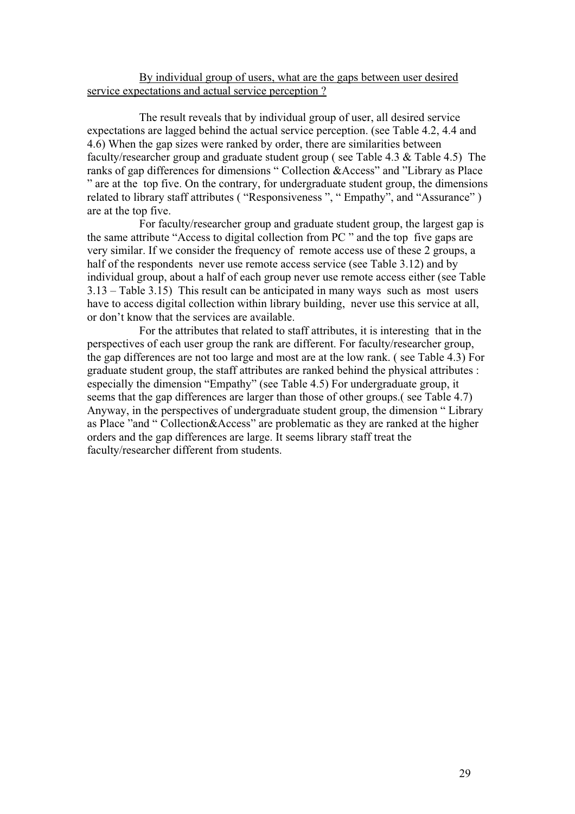# By individual group of users, what are the gaps between user desired service expectations and actual service perception ?

The result reveals that by individual group of user, all desired service expectations are lagged behind the actual service perception. (see Table 4.2, 4.4 and 4.6) When the gap sizes were ranked by order, there are similarities between faculty/researcher group and graduate student group ( see Table 4.3 & Table 4.5) The ranks of gap differences for dimensions " Collection &Access" and "Library as Place " are at the top five. On the contrary, for undergraduate student group, the dimensions related to library staff attributes ( "Responsiveness ", " Empathy", and "Assurance" ) are at the top five.

For faculty/researcher group and graduate student group, the largest gap is the same attribute "Access to digital collection from PC " and the top five gaps are very similar. If we consider the frequency of remote access use of these 2 groups, a half of the respondents never use remote access service (see Table 3.12) and by individual group, about a half of each group never use remote access either (see Table 3.13 – Table 3.15) This result can be anticipated in many ways such as most users have to access digital collection within library building, never use this service at all, or don't know that the services are available.

For the attributes that related to staff attributes, it is interesting that in the perspectives of each user group the rank are different. For faculty/researcher group, the gap differences are not too large and most are at the low rank. ( see Table 4.3) For graduate student group, the staff attributes are ranked behind the physical attributes : especially the dimension "Empathy" (see Table 4.5) For undergraduate group, it seems that the gap differences are larger than those of other groups.( see Table 4.7) Anyway, in the perspectives of undergraduate student group, the dimension " Library as Place "and " Collection&Access" are problematic as they are ranked at the higher orders and the gap differences are large. It seems library staff treat the faculty/researcher different from students.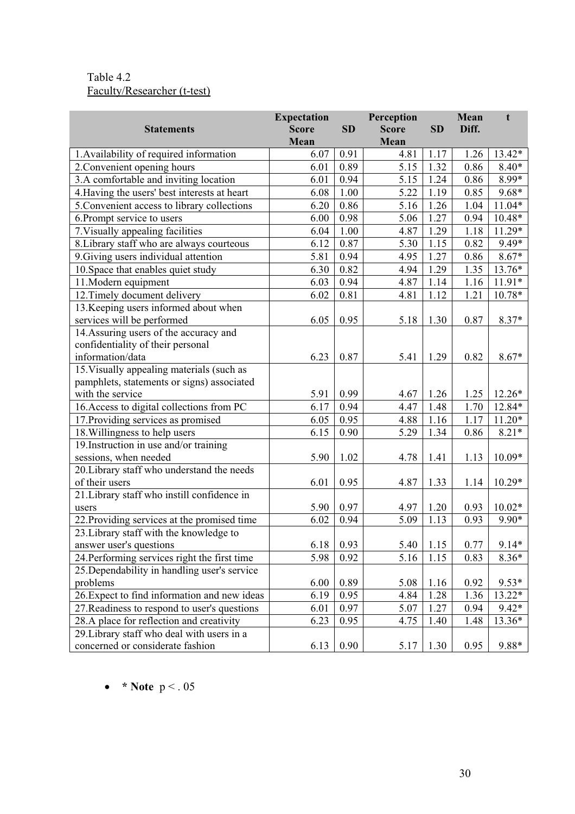# Table 4.2 Faculty/Researcher (t-test)

|                                              | <b>Expectation</b> |           | Perception   |           | Mean  | t        |
|----------------------------------------------|--------------------|-----------|--------------|-----------|-------|----------|
| <b>Statements</b>                            | <b>Score</b>       | <b>SD</b> | <b>Score</b> | <b>SD</b> | Diff. |          |
|                                              | Mean               |           | Mean         |           |       |          |
| 1. Availability of required information      | 6.07               | 0.91      | 4.81         | 1.17      | 1.26  | 13.42*   |
| 2. Convenient opening hours                  | 6.01               | 0.89      | 5.15         | 1.32      | 0.86  | $8.40*$  |
| 3.A comfortable and inviting location        | 6.01               | 0.94      | 5.15         | 1.24      | 0.86  | 8.99*    |
| 4. Having the users' best interests at heart | 6.08               | 1.00      | 5.22         | 1.19      | 0.85  | $9.68*$  |
| 5. Convenient access to library collections  | 6.20               | 0.86      | 5.16         | 1.26      | 1.04  | $11.04*$ |
| 6. Prompt service to users                   | 6.00               | 0.98      | 5.06         | 1.27      | 0.94  | $10.48*$ |
| 7. Visually appealing facilities             | 6.04               | 1.00      | 4.87         | 1.29      | 1.18  | 11.29*   |
| 8. Library staff who are always courteous    | 6.12               | 0.87      | 5.30         | 1.15      | 0.82  | 9.49*    |
| 9. Giving users individual attention         | 5.81               | 0.94      | 4.95         | 1.27      | 0.86  | $8.67*$  |
| 10. Space that enables quiet study           | 6.30               | 0.82      | 4.94         | 1.29      | 1.35  | 13.76*   |
| 11. Modern equipment                         | 6.03               | 0.94      | 4.87         | 1.14      | 1.16  | $11.91*$ |
| 12. Timely document delivery                 | 6.02               | 0.81      | 4.81         | 1.12      | 1.21  | $10.78*$ |
| 13. Keeping users informed about when        |                    |           |              |           |       |          |
| services will be performed                   | 6.05               | 0.95      | 5.18         | 1.30      | 0.87  | 8.37*    |
| 14. Assuring users of the accuracy and       |                    |           |              |           |       |          |
| confidentiality of their personal            |                    |           |              |           |       |          |
| information/data                             | 6.23               | 0.87      | 5.41         | 1.29      | 0.82  | 8.67*    |
| 15. Visually appealing materials (such as    |                    |           |              |           |       |          |
| pamphlets, statements or signs) associated   |                    |           |              |           |       |          |
| with the service                             | 5.91               | 0.99      | 4.67         | 1.26      | 1.25  | $12.26*$ |
| 16. Access to digital collections from PC    | 6.17               | 0.94      | 4.47         | 1.48      | 1.70  | 12.84*   |
| 17. Providing services as promised           | 6.05               | 0.95      | 4.88         | 1.16      | 1.17  | $11.20*$ |
| 18. Willingness to help users                | 6.15               | 0.90      | 5.29         | 1.34      | 0.86  | $8.21*$  |
| 19. Instruction in use and/or training       |                    |           |              |           |       |          |
| sessions, when needed                        | 5.90               | 1.02      | 4.78         | 1.41      | 1.13  | $10.09*$ |
| 20. Library staff who understand the needs   |                    |           |              |           |       |          |
| of their users                               | 6.01               | 0.95      | 4.87         | 1.33      | 1.14  | $10.29*$ |
| 21. Library staff who instill confidence in  |                    |           |              |           |       |          |
| users                                        | 5.90               | 0.97      | 4.97         | 1.20      | 0.93  | $10.02*$ |
| 22. Providing services at the promised time  | 6.02               | 0.94      | 5.09         | 1.13      | 0.93  | 9.90*    |
| 23. Library staff with the knowledge to      |                    |           |              |           |       |          |
| answer user's questions                      | $6.18$ 0.93        |           | 5.40         | 1.15      | 0.77  | $9.14*$  |
| 24. Performing services right the first time | 5.98               | 0.92      | 5.16         | 1.15      | 0.83  | $8.36*$  |
| 25. Dependability in handling user's service |                    |           |              |           |       |          |
| problems                                     | 6.00               | 0.89      | 5.08         | 1.16      | 0.92  | $9.53*$  |
| 26. Expect to find information and new ideas | 6.19               | 0.95      | 4.84         | 1.28      | 1.36  | 13.22*   |
| 27. Readiness to respond to user's questions | 6.01               | 0.97      | 5.07         | 1.27      | 0.94  | $9.42*$  |
| 28.A place for reflection and creativity     | 6.23               | 0.95      | 4.75         | 1.40      | 1.48  | 13.36*   |
| 29. Library staff who deal with users in a   |                    |           |              |           |       |          |
| concerned or considerate fashion             | 6.13               | 0.90      | 5.17         | 1.30      | 0.95  | 9.88*    |

• **\* Note**  $p < .05$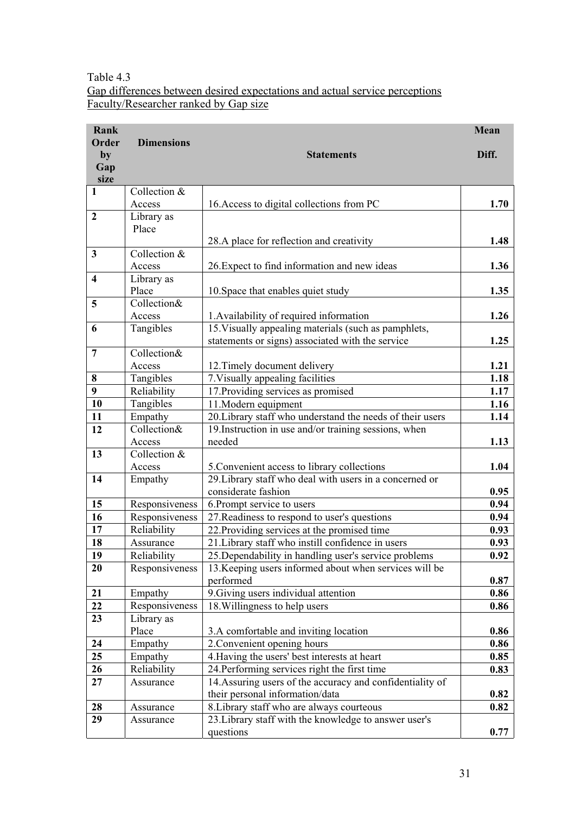Table 4.3 Gap differences between desired expectations and actual service perceptions Faculty/Researcher ranked by Gap size

| Rank                    |                          |                                                                                                                    | Mean         |
|-------------------------|--------------------------|--------------------------------------------------------------------------------------------------------------------|--------------|
| Order<br>by             | <b>Dimensions</b>        | <b>Statements</b>                                                                                                  | Diff.        |
| Gap<br>size             |                          |                                                                                                                    |              |
| $\mathbf{1}$            | Collection &             |                                                                                                                    |              |
|                         | Access                   | 16. Access to digital collections from PC                                                                          | 1.70         |
| $\overline{2}$          | Library as               |                                                                                                                    |              |
|                         | Place                    |                                                                                                                    |              |
|                         |                          | 28.A place for reflection and creativity                                                                           | 1.48         |
| 3                       | Collection &             |                                                                                                                    |              |
|                         | Access                   | 26. Expect to find information and new ideas                                                                       | 1.36         |
| $\overline{\mathbf{4}}$ | Library as               |                                                                                                                    |              |
|                         | Place                    | 10. Space that enables quiet study                                                                                 | 1.35         |
| 5                       | Collection&              |                                                                                                                    |              |
|                         | Access                   | 1. Availability of required information                                                                            | 1.26         |
| 6                       | Tangibles                | 15. Visually appealing materials (such as pamphlets,                                                               |              |
|                         |                          | statements or signs) associated with the service                                                                   | 1.25         |
| $\overline{7}$          | Collection&              |                                                                                                                    |              |
|                         | Access                   | 12. Timely document delivery                                                                                       | 1.21         |
| 8<br>$\boldsymbol{9}$   | Tangibles                | 7. Visually appealing facilities                                                                                   | 1.18<br>1.17 |
| 10                      | Reliability<br>Tangibles | 17. Providing services as promised                                                                                 | 1.16         |
| 11                      | Empathy                  | 11. Modern equipment                                                                                               | 1.14         |
| 12                      | Collection&              | 20. Library staff who understand the needs of their users<br>19. Instruction in use and/or training sessions, when |              |
|                         | Access                   | needed                                                                                                             | 1.13         |
| 13                      | Collection &             |                                                                                                                    |              |
|                         | Access                   | 5. Convenient access to library collections                                                                        | 1.04         |
| 14                      | Empathy                  | 29. Library staff who deal with users in a concerned or                                                            |              |
|                         |                          | considerate fashion                                                                                                | 0.95         |
| 15                      | Responsiveness           | 6. Prompt service to users                                                                                         | 0.94         |
| 16                      | Responsiveness           | 27. Readiness to respond to user's questions                                                                       | 0.94         |
| 17                      | Reliability              | 22. Providing services at the promised time                                                                        | 0.93         |
| 18                      | Assurance                | 21. Library staff who instill confidence in users                                                                  | 0.93         |
| 19                      | Reliability              | 25. Dependability in handling user's service problems                                                              | 0.92         |
| 20                      | Responsiveness           | 13. Keeping users informed about when services will be                                                             |              |
|                         |                          | performed                                                                                                          | 0.87         |
| 21                      | Empathy                  | 9. Giving users individual attention                                                                               | 0.86         |
| 22                      | Responsiveness           | 18. Willingness to help users                                                                                      | 0.86         |
| 23                      | Library as               |                                                                                                                    |              |
|                         | Place                    | 3.A comfortable and inviting location                                                                              | 0.86         |
| 24                      | Empathy                  | 2. Convenient opening hours                                                                                        | 0.86         |
| 25                      | Empathy                  | 4. Having the users' best interests at heart                                                                       | 0.85         |
| 26                      | Reliability              | 24. Performing services right the first time                                                                       | 0.83         |
| 27                      | Assurance                | 14. Assuring users of the accuracy and confidentiality of                                                          |              |
|                         |                          | their personal information/data                                                                                    | 0.82         |
| 28                      | Assurance                | 8. Library staff who are always courteous                                                                          | 0.82         |
| 29                      | Assurance                | 23. Library staff with the knowledge to answer user's                                                              |              |
|                         |                          | questions                                                                                                          | 0.77         |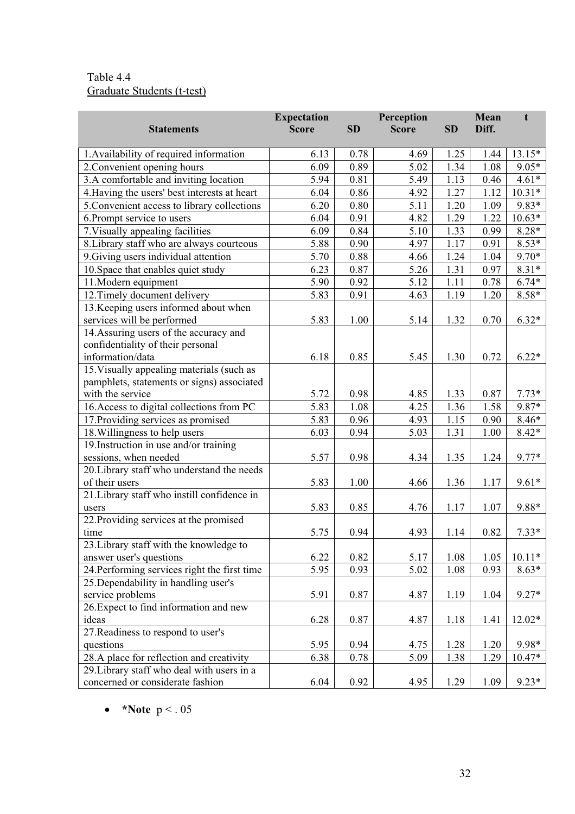# Table 4.4 Graduate Students (t-test)

|                                              | <b>Expectation</b> |           | Perception   |           | Mean  | t        |
|----------------------------------------------|--------------------|-----------|--------------|-----------|-------|----------|
| <b>Statements</b>                            | <b>Score</b>       | <b>SD</b> | <b>Score</b> | <b>SD</b> | Diff. |          |
|                                              |                    |           |              |           |       |          |
| 1. Availability of required information      | 6.13               | 0.78      | 4.69         | 1.25      | 1.44  | 13.15*   |
| 2. Convenient opening hours                  | 6.09               | 0.89      | 5.02         | 1.34      | 1.08  | $9.05*$  |
| 3.A comfortable and inviting location        | 5.94               | 0.81      | 5.49         | 1.13      | 0.46  | $4.61*$  |
| 4. Having the users' best interests at heart | 6.04               | 0.86      | 4.92         | 1.27      | 1.12  | $10.31*$ |
| 5. Convenient access to library collections  | 6.20               | 0.80      | 5.11         | 1.20      | 1.09  | 9.83*    |
| 6. Prompt service to users                   | 6.04               | 0.91      | 4.82         | 1.29      | 1.22  | $10.63*$ |
| 7. Visually appealing facilities             | 6.09               | 0.84      | 5.10         | 1.33      | 0.99  | $8.28*$  |
| 8. Library staff who are always courteous    | 5.88               | 0.90      | 4.97         | 1.17      | 0.91  | $8.53*$  |
| 9. Giving users individual attention         | 5.70               | 0.88      | 4.66         | 1.24      | 1.04  | $9.70*$  |
| 10. Space that enables quiet study           | 6.23               | 0.87      | 5.26         | 1.31      | 0.97  | $8.31*$  |
| 11. Modern equipment                         | 5.90               | 0.92      | 5.12         | 1.11      | 0.78  | $6.74*$  |
| 12. Timely document delivery                 | 5.83               | 0.91      | 4.63         | 1.19      | 1.20  | 8.58*    |
| 13. Keeping users informed about when        |                    |           |              |           |       |          |
| services will be performed                   | 5.83               | 1.00      | 5.14         | 1.32      | 0.70  | $6.32*$  |
| 14. Assuring users of the accuracy and       |                    |           |              |           |       |          |
| confidentiality of their personal            |                    |           |              |           |       |          |
| information/data                             | 6.18               | 0.85      | 5.45         | 1.30      | 0.72  | $6.22*$  |
| 15. Visually appealing materials (such as    |                    |           |              |           |       |          |
| pamphlets, statements or signs) associated   |                    |           |              |           |       |          |
| with the service                             | 5.72               | 0.98      | 4.85         | 1.33      | 0.87  | $7.73*$  |
| 16. Access to digital collections from PC    | 5.83               | 1.08      | 4.25         | 1.36      | 1.58  | 9.87*    |
| 17. Providing services as promised           | 5.83               | 0.96      | 4.93         | 1.15      | 0.90  | $8.46*$  |
| 18. Willingness to help users                | 6.03               | 0.94      | 5.03         | 1.31      | 1.00  | $8.42*$  |
| 19. Instruction in use and/or training       |                    |           |              |           |       |          |
| sessions, when needed                        | 5.57               | 0.98      | 4.34         | 1.35      | 1.24  | $9.77*$  |
| 20. Library staff who understand the needs   |                    |           |              |           |       |          |
| of their users                               | 5.83               | 1.00      | 4.66         | 1.36      | 1.17  | $9.61*$  |
| 21. Library staff who instill confidence in  |                    |           |              |           |       |          |
| users                                        | 5.83               | 0.85      | 4.76         | 1.17      | 1.07  | 9.88*    |
| 22. Providing services at the promised       |                    |           |              |           |       |          |
| time                                         | 5.75               | 0.94      | 4.93         | 1.14      | 0.82  | $7.33*$  |
| 23. Library staff with the knowledge to      |                    |           |              |           |       |          |
| answer user's questions                      | 6.22               | 0.82      | 5.17         | 1.08      | 1.05  | $10.11*$ |
| 24. Performing services right the first time | 5.95               | 0.93      | 5.02         | 1.08      | 0.93  | $8.63*$  |
| 25. Dependability in handling user's         |                    |           |              |           |       |          |
| service problems                             | 5.91               | 0.87      | 4.87         | 1.19      | 1.04  | $9.27*$  |
| 26. Expect to find information and new       |                    |           |              |           |       |          |
| ideas                                        | 6.28               | 0.87      | 4.87         | 1.18      | 1.41  | $12.02*$ |
| 27. Readiness to respond to user's           |                    |           |              |           |       |          |
| questions                                    | 5.95               | 0.94      | 4.75         | 1.28      | 1.20  | 9.98*    |
| 28.A place for reflection and creativity     | 6.38               | 0.78      | 5.09         | 1.38      | 1.29  | $10.47*$ |
| 29. Library staff who deal with users in a   |                    |           |              |           |       |          |
| concerned or considerate fashion             | 6.04               | 0.92      | 4.95         | 1.29      | 1.09  | $9.23*$  |

•  $*$ **Note**  $p < .05$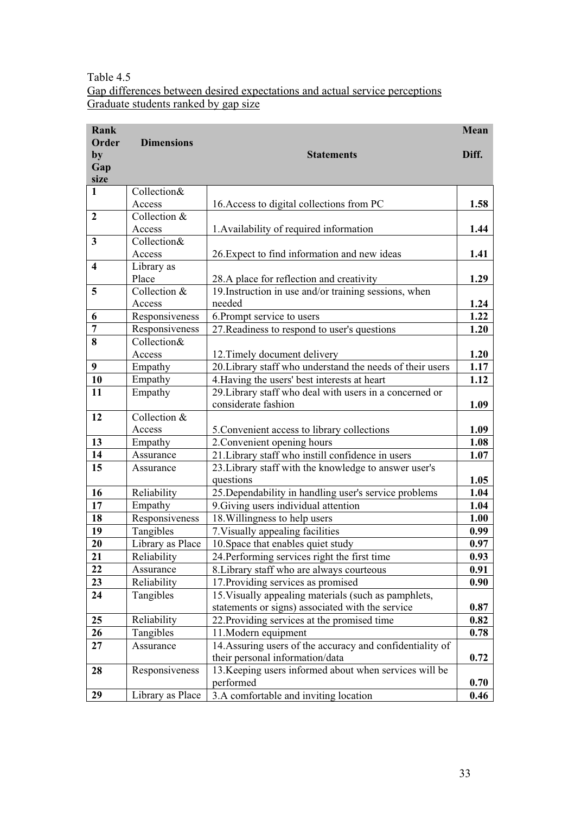# Table 4.5 Gap differences between desired expectations and actual service perceptions Graduate students ranked by gap size

| Rank                    |                      |                                                                                  | Mean         |
|-------------------------|----------------------|----------------------------------------------------------------------------------|--------------|
| Order                   | <b>Dimensions</b>    |                                                                                  |              |
| by                      |                      | <b>Statements</b>                                                                | Diff.        |
| Gap                     |                      |                                                                                  |              |
| size                    |                      |                                                                                  |              |
| $\mathbf{1}$            | Collection&          |                                                                                  |              |
|                         | Access               | 16. Access to digital collections from PC                                        | 1.58         |
| $\overline{2}$          | Collection &         |                                                                                  |              |
|                         | Access               | 1. Availability of required information                                          | 1.44         |
| 3                       | Collection $\&$      |                                                                                  |              |
|                         | Access               | 26. Expect to find information and new ideas                                     | 1.41         |
| $\overline{\mathbf{4}}$ | Library as           |                                                                                  |              |
|                         | Place                | 28.A place for reflection and creativity                                         | 1.29         |
| 5                       | Collection &         | 19. Instruction in use and/or training sessions, when                            |              |
|                         | Access               | needed                                                                           | 1.24         |
| 6                       | Responsiveness       | 6. Prompt service to users                                                       | 1.22         |
| $\overline{7}$          | Responsiveness       | 27. Readiness to respond to user's questions                                     | 1.20         |
| 8                       | Collection&          |                                                                                  |              |
|                         | Access               | 12. Timely document delivery                                                     | 1.20         |
| 9                       | Empathy              | 20. Library staff who understand the needs of their users                        | 1.17         |
| 10                      | Empathy              | 4. Having the users' best interests at heart                                     | 1.12         |
| 11                      | Empathy              | 29. Library staff who deal with users in a concerned or                          |              |
|                         |                      | considerate fashion                                                              | 1.09         |
| 12                      | Collection &         |                                                                                  |              |
| 13                      | Access               | 5. Convenient access to library collections                                      | 1.09<br>1.08 |
| 14                      | Empathy<br>Assurance | 2. Convenient opening hours<br>21. Library staff who instill confidence in users | 1.07         |
| 15                      | Assurance            | 23. Library staff with the knowledge to answer user's                            |              |
|                         |                      | questions                                                                        | 1.05         |
| 16                      | Reliability          | 25. Dependability in handling user's service problems                            | 1.04         |
| 17                      | Empathy              | 9. Giving users individual attention                                             | 1.04         |
| 18                      | Responsiveness       | 18. Willingness to help users                                                    | 1.00         |
| 19                      | Tangibles            | 7. Visually appealing facilities                                                 | 0.99         |
| 20                      | Library as Place     | 10. Space that enables quiet study                                               | 0.97         |
| 21                      | Reliability          | 24. Performing services right the first time                                     | 0.93         |
| 22                      | Assurance            | 8. Library staff who are always courteous                                        | 0.91         |
| 23                      | Reliability          | 17. Providing services as promised                                               | 0.90         |
| 24                      | Tangibles            | 15. Visually appealing materials (such as pamphlets,                             |              |
|                         |                      | statements or signs) associated with the service                                 | 0.87         |
| 25                      | Reliability          | 22. Providing services at the promised time                                      | 0.82         |
| 26                      | Tangibles            | 11. Modern equipment                                                             | 0.78         |
| 27                      | Assurance            | 14. Assuring users of the accuracy and confidentiality of                        |              |
|                         |                      | their personal information/data                                                  | 0.72         |
| 28                      | Responsiveness       | 13. Keeping users informed about when services will be<br>performed              |              |
| 29                      |                      |                                                                                  | 0.70<br>0.46 |
|                         | Library as Place     | 3.A comfortable and inviting location                                            |              |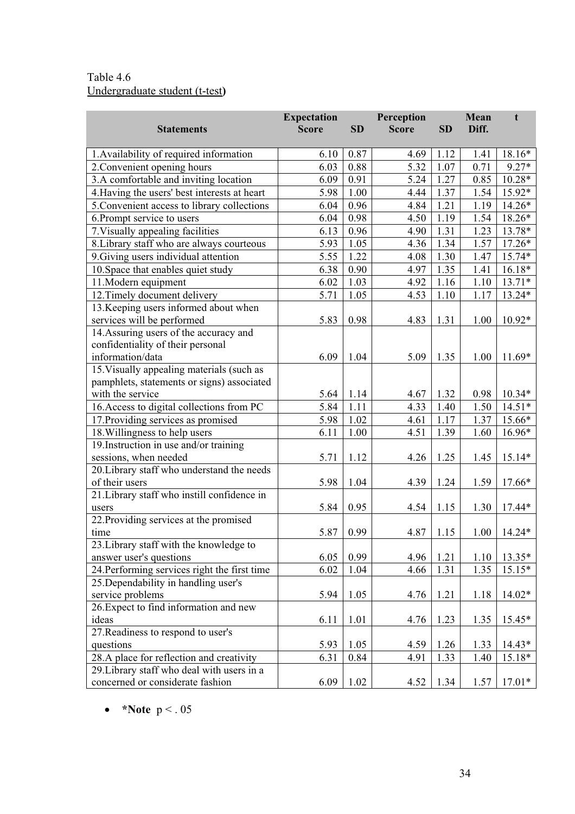# Table 4.6 Undergraduate student (t-test**)**

|                                              | <b>Expectation</b> |           | Perception   |           | Mean  | t        |
|----------------------------------------------|--------------------|-----------|--------------|-----------|-------|----------|
| <b>Statements</b>                            | <b>Score</b>       | <b>SD</b> | <b>Score</b> | <b>SD</b> | Diff. |          |
| 1. Availability of required information      | 6.10               | 0.87      | 4.69         | 1.12      | 1.41  | 18.16*   |
| 2. Convenient opening hours                  | 6.03               | 0.88      | 5.32         | 1.07      | 0.71  | $9.27*$  |
| 3.A comfortable and inviting location        | 6.09               | 0.91      | 5.24         | 1.27      | 0.85  | $10.28*$ |
| 4. Having the users' best interests at heart | 5.98               | 1.00      | 4.44         | 1.37      | 1.54  | 15.92*   |
| 5. Convenient access to library collections  | 6.04               | 0.96      | 4.84         | 1.21      | 1.19  | 14.26*   |
| 6. Prompt service to users                   | 6.04               | 0.98      | 4.50         | 1.19      | 1.54  | 18.26*   |
| 7. Visually appealing facilities             | 6.13               | 0.96      | 4.90         | 1.31      | 1.23  | 13.78*   |
| 8. Library staff who are always courteous    | 5.93               | 1.05      | 4.36         | 1.34      | 1.57  | $17.26*$ |
| 9. Giving users individual attention         | 5.55               | 1.22      | 4.08         | 1.30      | 1.47  | 15.74*   |
| 10. Space that enables quiet study           | 6.38               | 0.90      | 4.97         | 1.35      | 1.41  | $16.18*$ |
| 11. Modern equipment                         | 6.02               | 1.03      | 4.92         | 1.16      | 1.10  | $13.71*$ |
| 12. Timely document delivery                 | 5.71               | 1.05      | 4.53         | 1.10      | 1.17  | 13.24*   |
| 13. Keeping users informed about when        |                    |           |              |           |       |          |
| services will be performed                   | 5.83               | 0.98      | 4.83         | 1.31      | 1.00  | 10.92*   |
| 14. Assuring users of the accuracy and       |                    |           |              |           |       |          |
| confidentiality of their personal            |                    |           |              |           |       |          |
| information/data                             | 6.09               | 1.04      | 5.09         | 1.35      | 1.00  | $11.69*$ |
| 15. Visually appealing materials (such as    |                    |           |              |           |       |          |
| pamphlets, statements or signs) associated   |                    |           |              |           |       |          |
| with the service                             | 5.64               | 1.14      | 4.67         | 1.32      | 0.98  | $10.34*$ |
| 16. Access to digital collections from PC    | 5.84               | 1.11      | 4.33         | 1.40      | 1.50  | $14.51*$ |
| 17. Providing services as promised           | 5.98               | 1.02      | 4.61         | 1.17      | 1.37  | 15.66*   |
| 18. Willingness to help users                | 6.11               | 1.00      | 4.51         | 1.39      | 1.60  | 16.96*   |
| 19. Instruction in use and/or training       |                    |           |              |           |       |          |
| sessions, when needed                        | 5.71               | 1.12      | 4.26         | 1.25      | 1.45  | $15.14*$ |
| 20. Library staff who understand the needs   |                    |           |              |           |       |          |
| of their users                               | 5.98               | 1.04      | 4.39         | 1.24      | 1.59  | 17.66*   |
| 21. Library staff who instill confidence in  |                    |           |              |           |       |          |
| users                                        | 5.84               | 0.95      | 4.54         | 1.15      | 1.30  | 17.44*   |
| 22. Providing services at the promised       |                    |           |              |           |       |          |
| time                                         | 5.87               | 0.99      | 4.87         | 1.15      | 1.00  | 14.24*   |
| 23. Library staff with the knowledge to      |                    |           |              |           |       |          |
| answer user's questions                      | 6.05               | 0.99      | 4.96         | 1.21      | 1.10  | 13.35*   |
| 24. Performing services right the first time | 6.02               | 1.04      | 4.66         | 1.31      | 1.35  | $15.15*$ |
| 25. Dependability in handling user's         |                    |           |              |           |       |          |
| service problems                             | 5.94               | 1.05      | 4.76         | 1.21      | 1.18  | 14.02*   |
| 26. Expect to find information and new       |                    |           |              |           |       |          |
| ideas                                        | 6.11               | 1.01      | 4.76         | 1.23      | 1.35  | 15.45*   |
| 27. Readiness to respond to user's           |                    |           |              |           |       |          |
| questions                                    | 5.93               | 1.05      | 4.59         | 1.26      | 1.33  | $14.43*$ |
| 28.A place for reflection and creativity     | 6.31               | 0.84      | 4.91         | 1.33      | 1.40  | 15.18*   |
| 29. Library staff who deal with users in a   |                    |           |              |           |       |          |
| concerned or considerate fashion             | 6.09               | 1.02      | 4.52         | 1.34      | 1.57  | $17.01*$ |

•  $*$ **Note**  $p < .05$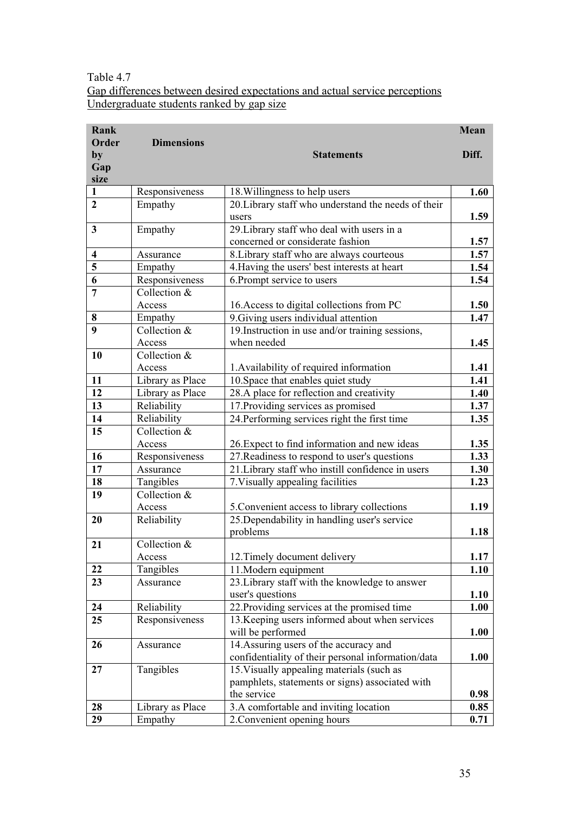# Table 4.7 Gap differences between desired expectations and actual service perceptions Undergraduate students ranked by gap size

| Rank                    |                           |                                                     | Mean  |
|-------------------------|---------------------------|-----------------------------------------------------|-------|
| Order                   | <b>Dimensions</b>         |                                                     |       |
| by                      |                           | <b>Statements</b>                                   | Diff. |
| Gap                     |                           |                                                     |       |
| size<br>$\mathbf{1}$    | Responsiveness            | 18. Willingness to help users                       | 1.60  |
| $\overline{2}$          | Empathy                   | 20. Library staff who understand the needs of their |       |
|                         |                           | users                                               | 1.59  |
| $\overline{\mathbf{3}}$ | Empathy                   | 29. Library staff who deal with users in a          |       |
|                         |                           | concerned or considerate fashion                    | 1.57  |
| $\overline{\mathbf{4}}$ | Assurance                 | 8. Library staff who are always courteous           | 1.57  |
| 5                       | Empathy                   | 4. Having the users' best interests at heart        | 1.54  |
| 6                       | Responsiveness            | 6. Prompt service to users                          | 1.54  |
| $\overline{7}$          | Collection &              |                                                     |       |
|                         | Access                    | 16. Access to digital collections from PC           | 1.50  |
| 8                       | Empathy                   | 9. Giving users individual attention                | 1.47  |
| $\boldsymbol{9}$        | Collection &              | 19. Instruction in use and/or training sessions,    |       |
|                         | Access                    | when needed                                         | 1.45  |
| 10                      | Collection &              |                                                     |       |
|                         | Access                    | 1. Availability of required information             | 1.41  |
| 11                      | Library as Place          | 10. Space that enables quiet study                  | 1.41  |
| 12                      | Library as Place          | 28.A place for reflection and creativity            | 1.40  |
| 13                      | Reliability               | 17. Providing services as promised                  | 1.37  |
| 14                      | Reliability               | 24. Performing services right the first time        | 1.35  |
| 15                      | Collection &              |                                                     |       |
|                         | Access                    | 26. Expect to find information and new ideas        | 1.35  |
| 16                      | Responsiveness            | 27. Readiness to respond to user's questions        | 1.33  |
| 17                      | Assurance                 | 21. Library staff who instill confidence in users   | 1.30  |
| 18<br>19                | Tangibles<br>Collection & | 7. Visually appealing facilities                    | 1.23  |
|                         | Access                    | 5. Convenient access to library collections         | 1.19  |
| 20                      | Reliability               | 25. Dependability in handling user's service        |       |
|                         |                           | problems                                            | 1.18  |
| 21                      | Collection &              |                                                     |       |
|                         | Access                    | 12. Timely document delivery                        | 1.17  |
| 22                      | Tangibles                 | 11. Modern equipment                                | 1.10  |
| 23                      | Assurance                 | 23. Library staff with the knowledge to answer      |       |
|                         |                           | user's questions                                    | 1.10  |
| 24                      | Reliability               | 22. Providing services at the promised time         | 1.00  |
| 25                      | Responsiveness            | 13. Keeping users informed about when services      |       |
|                         |                           | will be performed                                   | 1.00  |
| 26                      | Assurance                 | 14. Assuring users of the accuracy and              |       |
|                         |                           | confidentiality of their personal information/data  | 1.00  |
| 27                      | Tangibles                 | 15. Visually appealing materials (such as           |       |
|                         |                           | pamphlets, statements or signs) associated with     |       |
|                         |                           | the service                                         | 0.98  |
| 28                      | Library as Place          | 3.A comfortable and inviting location               | 0.85  |
| 29                      | Empathy                   | 2. Convenient opening hours                         | 0.71  |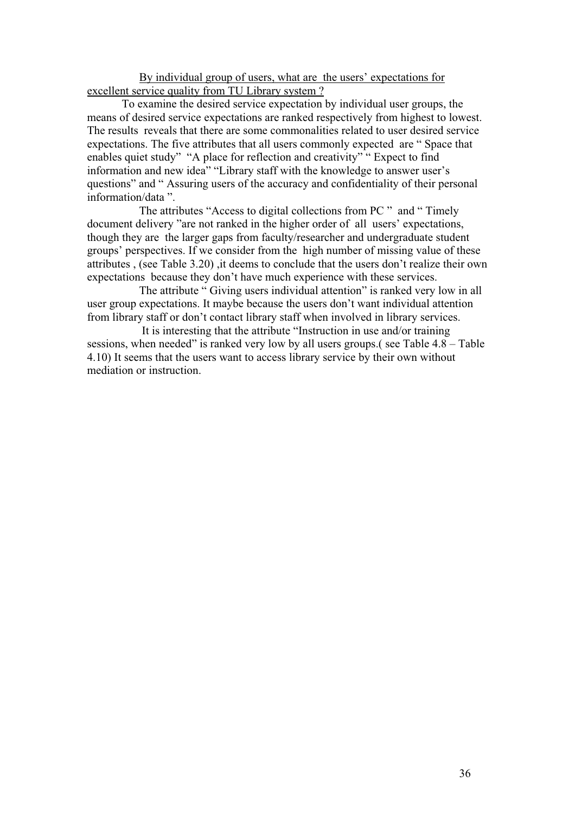By individual group of users, what are the users' expectations for excellent service quality from TU Library system ?

To examine the desired service expectation by individual user groups, the means of desired service expectations are ranked respectively from highest to lowest. The results reveals that there are some commonalities related to user desired service expectations. The five attributes that all users commonly expected are " Space that enables quiet study" "A place for reflection and creativity" " Expect to find information and new idea" "Library staff with the knowledge to answer user's questions" and " Assuring users of the accuracy and confidentiality of their personal information/data ".

 The attributes "Access to digital collections from PC " and " Timely document delivery "are not ranked in the higher order of all users' expectations, though they are the larger gaps from faculty/researcher and undergraduate student groups' perspectives. If we consider from the high number of missing value of these attributes , (see Table 3.20) ,it deems to conclude that the users don't realize their own expectations because they don't have much experience with these services.

The attribute " Giving users individual attention" is ranked very low in all user group expectations. It maybe because the users don't want individual attention from library staff or don't contact library staff when involved in library services.

 It is interesting that the attribute "Instruction in use and/or training sessions, when needed" is ranked very low by all users groups.( see Table 4.8 – Table 4.10) It seems that the users want to access library service by their own without mediation or instruction.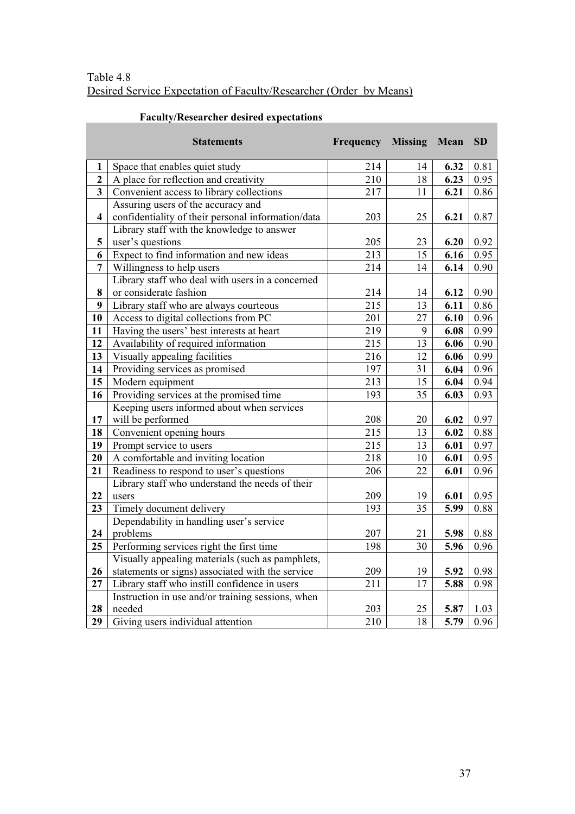# Table 4.8 Desired Service Expectation of Faculty/Researcher (Order by Means)

|                         | <b>Statements</b>                                  | Frequency | <b>Missing</b>  | Mean | <b>SD</b> |
|-------------------------|----------------------------------------------------|-----------|-----------------|------|-----------|
| 1                       | Space that enables quiet study                     | 214       | 14              | 6.32 | 0.81      |
| $\mathbf{2}$            | A place for reflection and creativity              | 210       | 18              | 6.23 | 0.95      |
| $\overline{\mathbf{3}}$ | Convenient access to library collections           | 217       | 11              | 6.21 | 0.86      |
|                         | Assuring users of the accuracy and                 |           |                 |      |           |
| $\overline{\mathbf{4}}$ | confidentiality of their personal information/data | 203       | 25              | 6.21 | 0.87      |
|                         | Library staff with the knowledge to answer         |           |                 |      |           |
| 5                       | user's questions                                   | 205       | 23              | 6.20 | 0.92      |
| 6                       | Expect to find information and new ideas           | 213       | 15              | 6.16 | 0.95      |
| $\overline{7}$          | Willingness to help users                          | 214       | 14              | 6.14 | 0.90      |
|                         | Library staff who deal with users in a concerned   |           |                 |      |           |
| 8                       | or considerate fashion                             | 214       | 14              | 6.12 | 0.90      |
| $\boldsymbol{9}$        | Library staff who are always courteous             | 215       | 13              | 6.11 | 0.86      |
| 10                      | Access to digital collections from PC              | 201       | 27              | 6.10 | 0.96      |
| 11                      | Having the users' best interests at heart          | 219       | 9               | 6.08 | 0.99      |
| 12                      | Availability of required information               | 215       | 13              | 6.06 | 0.90      |
| 13                      | Visually appealing facilities                      | 216       | 12              | 6.06 | 0.99      |
| 14                      | Providing services as promised                     | 197       | 31              | 6.04 | 0.96      |
| 15                      | Modern equipment                                   | 213       | 15              | 6.04 | 0.94      |
| 16                      | Providing services at the promised time            | 193       | 35              | 6.03 | 0.93      |
|                         | Keeping users informed about when services         |           |                 |      |           |
| 17                      | will be performed                                  | 208       | 20              | 6.02 | 0.97      |
| 18                      | Convenient opening hours                           | 215       | 13              | 6.02 | 0.88      |
| 19                      | Prompt service to users                            | 215       | 13              | 6.01 | 0.97      |
| 20                      | A comfortable and inviting location                | 218       | 10              | 6.01 | 0.95      |
| 21                      | Readiness to respond to user's questions           | 206       | 22              | 6.01 | 0.96      |
|                         | Library staff who understand the needs of their    |           |                 |      |           |
| 22                      | users                                              | 209       | 19              | 6.01 | 0.95      |
| 23                      | Timely document delivery                           | 193       | $\overline{35}$ | 5.99 | 0.88      |
|                         | Dependability in handling user's service           |           |                 |      |           |
| 24                      | problems                                           | 207       | 21              | 5.98 | 0.88      |
| 25                      | Performing services right the first time           | 198       | 30              | 5.96 | 0.96      |
|                         | Visually appealing materials (such as pamphlets,   |           |                 |      |           |
| 26                      | statements or signs) associated with the service   | 209       | 19              | 5.92 | 0.98      |
| 27                      | Library staff who instill confidence in users      | 211       | 17              | 5.88 | 0.98      |
|                         | Instruction in use and/or training sessions, when  |           |                 |      |           |
| 28                      | needed                                             | 203       | 25              | 5.87 | 1.03      |
| 29                      | Giving users individual attention                  | 210       | 18              | 5.79 | 0.96      |

# **Faculty/Researcher desired expectations**

**COL**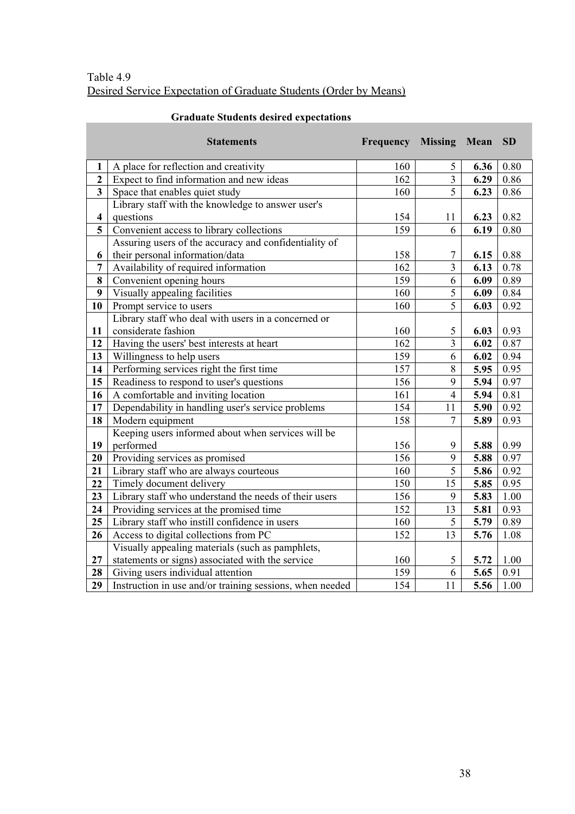**Contract** 

|                         | <b>Statements</b>                                        | Frequency | Missing Mean   |      | <b>SD</b> |
|-------------------------|----------------------------------------------------------|-----------|----------------|------|-----------|
| 1                       | A place for reflection and creativity                    | 160       | 5              | 6.36 | 0.80      |
| $\mathbf{2}$            | Expect to find information and new ideas                 | 162       | 3              | 6.29 | 0.86      |
| 3                       | Space that enables quiet study                           | 160       | 5              | 6.23 | 0.86      |
|                         | Library staff with the knowledge to answer user's        |           |                |      |           |
| $\overline{\mathbf{4}}$ | questions                                                | 154       | 11             | 6.23 | 0.82      |
| 5                       | Convenient access to library collections                 | 159       | 6              | 6.19 | 0.80      |
|                         | Assuring users of the accuracy and confidentiality of    |           |                |      |           |
| 6                       | their personal information/data                          | 158       | 7              | 6.15 | 0.88      |
| 7                       | Availability of required information                     | 162       | $\overline{3}$ | 6.13 | 0.78      |
| 8                       | Convenient opening hours                                 | 159       | 6              | 6.09 | 0.89      |
| 9                       | Visually appealing facilities                            | 160       | $\overline{5}$ | 6.09 | 0.84      |
| 10                      | Prompt service to users                                  | 160       | 5              | 6.03 | 0.92      |
|                         | Library staff who deal with users in a concerned or      |           |                |      |           |
| 11                      | considerate fashion                                      | 160       | $\mathfrak{S}$ | 6.03 | 0.93      |
| 12                      | Having the users' best interests at heart                | 162       | $\overline{3}$ | 6.02 | 0.87      |
| 13                      | Willingness to help users                                | 159       | 6              | 6.02 | 0.94      |
| 14                      | Performing services right the first time                 | 157       | 8              | 5.95 | 0.95      |
| 15                      | Readiness to respond to user's questions                 | 156       | 9              | 5.94 | 0.97      |
| 16                      | A comfortable and inviting location                      | 161       | $\overline{4}$ | 5.94 | 0.81      |
| 17                      | Dependability in handling user's service problems        | 154       | 11             | 5.90 | 0.92      |
| 18                      | Modern equipment                                         | 158       | $\overline{7}$ | 5.89 | 0.93      |
|                         | Keeping users informed about when services will be       |           |                |      |           |
| 19                      | performed                                                | 156       | 9              | 5.88 | 0.99      |
| 20                      | Providing services as promised                           | 156       | 9              | 5.88 | 0.97      |
| 21                      | Library staff who are always courteous                   | 160       | $\overline{5}$ | 5.86 | 0.92      |
| 22                      | Timely document delivery                                 | 150       | 15             | 5.85 | 0.95      |
| 23                      | Library staff who understand the needs of their users    | 156       | 9              | 5.83 | 1.00      |
| 24                      | Providing services at the promised time                  | 152       | 13             | 5.81 | 0.93      |
| 25                      | Library staff who instill confidence in users            | 160       | 5              | 5.79 | 0.89      |
| 26                      | Access to digital collections from PC                    | 152       | 13             | 5.76 | 1.08      |
|                         | Visually appealing materials (such as pamphlets,         |           |                |      |           |
| 27                      | statements or signs) associated with the service         | 160       | 5              | 5.72 | 1.00      |
| 28                      | Giving users individual attention                        | 159       | 6              | 5.65 | 0.91      |
| 29                      | Instruction in use and/or training sessions, when needed | 154       | 11             | 5.56 | 1.00      |

# **Graduate Students desired expectations**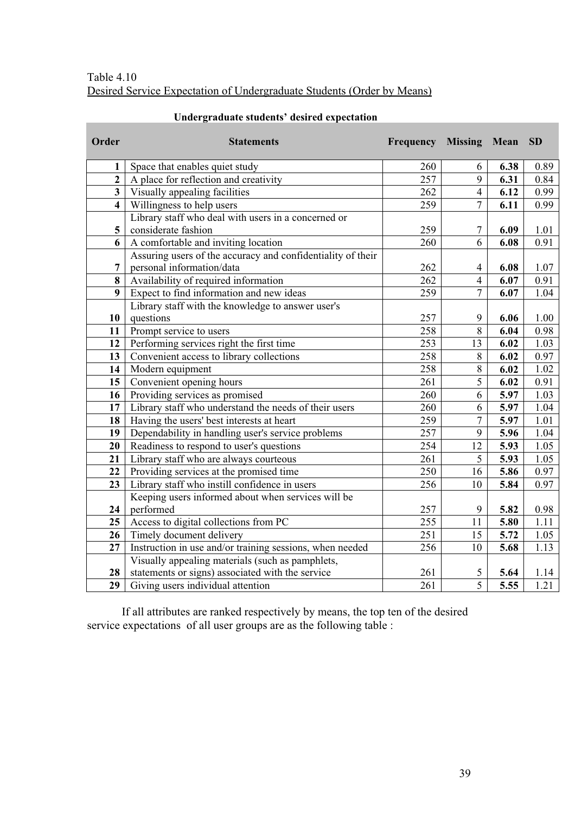# Table 4.10 Desired Service Expectation of Undergraduate Students (Order by Means)

**Contract** 

| Order                   | <b>Statements</b>                                           | <b>Frequency Missing Mean</b> |                |      | <b>SD</b> |
|-------------------------|-------------------------------------------------------------|-------------------------------|----------------|------|-----------|
| 1                       | Space that enables quiet study                              | 260                           | 6              | 6.38 | 0.89      |
| $\overline{2}$          | A place for reflection and creativity                       | 257                           | 9              | 6.31 | 0.84      |
| $\overline{3}$          | Visually appealing facilities                               | 262                           | $\overline{4}$ | 6.12 | 0.99      |
| $\overline{\mathbf{4}}$ | Willingness to help users                                   | 259                           | $\overline{7}$ | 6.11 | 0.99      |
|                         | Library staff who deal with users in a concerned or         |                               |                |      |           |
| 5                       | considerate fashion                                         | 259                           | 7              | 6.09 | 1.01      |
| 6                       | A comfortable and inviting location                         | 260                           | 6              | 6.08 | 0.91      |
|                         | Assuring users of the accuracy and confidentiality of their |                               |                |      |           |
| 7                       | personal information/data                                   | 262                           | 4              | 6.08 | 1.07      |
| 8                       | Availability of required information                        | 262                           | $\overline{4}$ | 6.07 | 0.91      |
| 9                       | Expect to find information and new ideas                    | 259                           | $\overline{7}$ | 6.07 | 1.04      |
|                         | Library staff with the knowledge to answer user's           |                               |                |      |           |
| 10                      | questions                                                   | 257                           | 9              | 6.06 | 1.00      |
| 11                      | Prompt service to users                                     | 258                           | 8              | 6.04 | 0.98      |
| 12                      | Performing services right the first time                    | 253                           | 13             | 6.02 | 1.03      |
| 13                      | Convenient access to library collections                    | 258                           | 8              | 6.02 | 0.97      |
| 14                      | Modern equipment                                            | 258                           | 8              | 6.02 | 1.02      |
| 15                      | Convenient opening hours                                    | 261                           | 5              | 6.02 | 0.91      |
| 16                      | Providing services as promised                              | 260                           | 6              | 5.97 | 1.03      |
| 17                      | Library staff who understand the needs of their users       | 260                           | 6              | 5.97 | 1.04      |
| 18                      | Having the users' best interests at heart                   | 259                           | $\overline{7}$ | 5.97 | 1.01      |
| 19                      | Dependability in handling user's service problems           | 257                           | 9              | 5.96 | 1.04      |
| 20                      | Readiness to respond to user's questions                    | 254                           | 12             | 5.93 | 1.05      |
| 21                      | Library staff who are always courteous                      | 261                           | 5              | 5.93 | 1.05      |
| 22                      | Providing services at the promised time                     | 250                           | 16             | 5.86 | 0.97      |
| 23                      | Library staff who instill confidence in users               | 256                           | 10             | 5.84 | 0.97      |
|                         | Keeping users informed about when services will be          |                               |                |      |           |
| 24                      | performed                                                   | 257                           | 9              | 5.82 | 0.98      |
| 25                      | Access to digital collections from PC                       | 255                           | 11             | 5.80 | 1.11      |
| 26                      | Timely document delivery                                    | 251                           | 15             | 5.72 | 1.05      |
| 27                      | Instruction in use and/or training sessions, when needed    | 256                           | 10             | 5.68 | 1.13      |
|                         | Visually appealing materials (such as pamphlets,            |                               |                |      |           |
| 28                      | statements or signs) associated with the service            | 261                           | 5              | 5.64 | 1.14      |
| 29                      | Giving users individual attention                           | 261                           | $\overline{5}$ | 5.55 | 1.21      |

# **Undergraduate students' desired expectation**

If all attributes are ranked respectively by means, the top ten of the desired service expectations of all user groups are as the following table :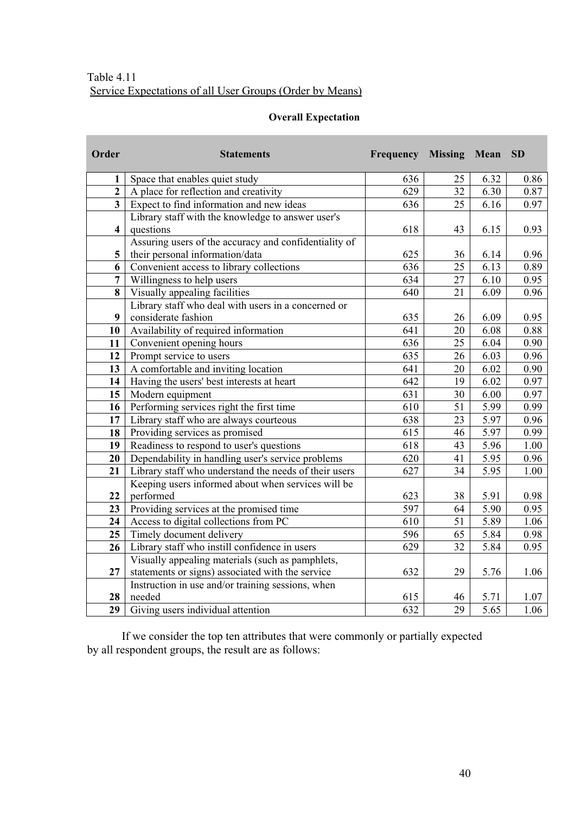# Table 4.11 Service Expectations of all User Groups (Order by Means)

# **Overall Expectation**

| Order                   | <b>Statements</b>                                     | Frequency | <b>Missing</b> | Mean              | <b>SD</b> |
|-------------------------|-------------------------------------------------------|-----------|----------------|-------------------|-----------|
| 1                       | Space that enables quiet study                        | 636       | 25             | 6.32              | 0.86      |
| $\overline{2}$          | A place for reflection and creativity                 | 629       | 32             | 6.30              | 0.87      |
| $\overline{\mathbf{3}}$ | Expect to find information and new ideas              | 636       | 25             | 6.16              | 0.97      |
|                         | Library staff with the knowledge to answer user's     |           |                |                   |           |
| $\overline{\mathbf{4}}$ | questions                                             | 618       | 43             | 6.15              | 0.93      |
|                         | Assuring users of the accuracy and confidentiality of |           |                |                   |           |
| 5                       | their personal information/data                       | 625       | 36             | 6.14              | 0.96      |
| 6                       | Convenient access to library collections              | 636       | 25             | 6.13              | 0.89      |
| $\overline{7}$          | Willingness to help users                             | 634       | 27             | 6.10              | 0.95      |
| 8                       | Visually appealing facilities                         | 640       | 21             | 6.09              | 0.96      |
|                         | Library staff who deal with users in a concerned or   |           |                |                   |           |
| 9                       | considerate fashion                                   | 635       | 26             | 6.09              | 0.95      |
| 10                      | Availability of required information                  | 641       | 20             | 6.08              | 0.88      |
| 11                      | Convenient opening hours                              | 636       | 25             | 6.04              | 0.90      |
| 12                      | Prompt service to users                               | 635       | 26             | 6.03              | 0.96      |
| 13                      | A comfortable and inviting location                   | 641       | 20             | 6.02              | 0.90      |
| 14                      | Having the users' best interests at heart             | 642       | 19             | 6.02              | 0.97      |
| 15                      | Modern equipment                                      | 631       | 30             | 6.00              | 0.97      |
| 16                      | Performing services right the first time              | 610       | 51             | 5.99              | 0.99      |
| 17                      | Library staff who are always courteous                | 638       | 23             | 5.97              | 0.96      |
| 18                      | Providing services as promised                        | 615       | 46             | 5.97              | 0.99      |
| 19                      | Readiness to respond to user's questions              | 618       | 43             | 5.96              | 1.00      |
| 20                      | Dependability in handling user's service problems     | 620       | 41             | 5.95              | 0.96      |
| 21                      | Library staff who understand the needs of their users | 627       | 34             | 5.95              | 1.00      |
|                         | Keeping users informed about when services will be    |           |                |                   |           |
| 22                      | performed                                             | 623       | 38             | 5.91              | 0.98      |
| 23                      | Providing services at the promised time               | 597       | 64             | 5.90              | 0.95      |
| 24                      | Access to digital collections from PC                 | 610       | 51             | 5.89              | 1.06      |
| 25                      | Timely document delivery                              | 596       | 65             | 5.84              | 0.98      |
| 26                      | Library staff who instill confidence in users         | 629       | 32             | 5.84              | 0.95      |
|                         | Visually appealing materials (such as pamphlets,      |           |                |                   |           |
| 27                      | statements or signs) associated with the service      | 632       | 29             | 5.76              | 1.06      |
|                         | Instruction in use and/or training sessions, when     |           |                |                   |           |
| 28                      | needed                                                | 615       | 46             | 5.71              | 1.07      |
| 29                      | Giving users individual attention                     | 632       | 29             | $\overline{5.65}$ | 1.06      |

If we consider the top ten attributes that were commonly or partially expected by all respondent groups, the result are as follows: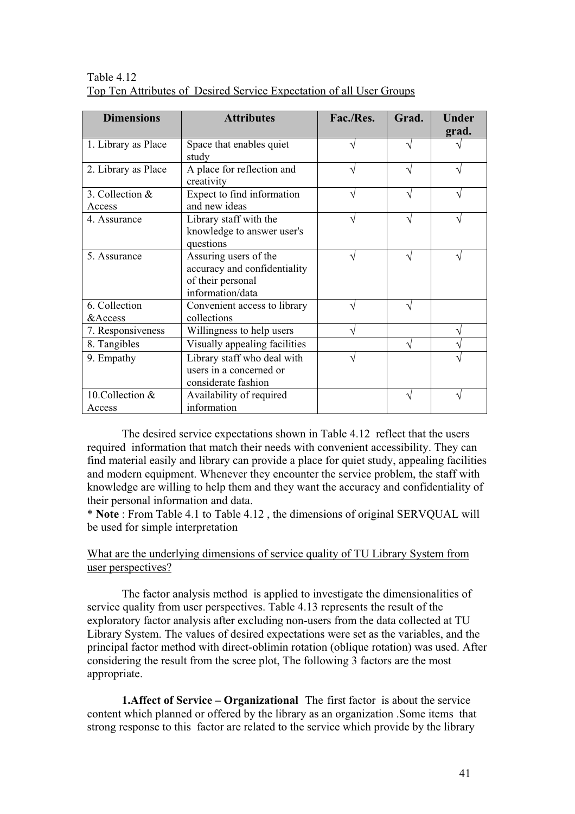| <b>Dimensions</b>          | <b>Attributes</b>                                                                              | Fac./Res. | Grad. | <b>Under</b><br>grad. |
|----------------------------|------------------------------------------------------------------------------------------------|-----------|-------|-----------------------|
| 1. Library as Place        | Space that enables quiet<br>study                                                              |           |       |                       |
| 2. Library as Place        | A place for reflection and<br>creativity                                                       |           |       |                       |
| 3. Collection &<br>Access  | Expect to find information<br>and new ideas                                                    |           |       |                       |
| 4. Assurance               | Library staff with the<br>knowledge to answer user's<br>questions                              |           |       |                       |
| 5. Assurance               | Assuring users of the<br>accuracy and confidentiality<br>of their personal<br>information/data |           |       |                       |
| 6. Collection<br>& Access  | Convenient access to library<br>collections                                                    |           |       |                       |
| 7. Responsiveness          | Willingness to help users                                                                      |           |       |                       |
| 8. Tangibles               | Visually appealing facilities                                                                  |           | N     |                       |
| 9. Empathy                 | Library staff who deal with<br>users in a concerned or<br>considerate fashion                  |           |       |                       |
| 10. Collection &<br>Access | Availability of required<br>information                                                        |           |       |                       |

Table 4.12 Top Ten Attributes of Desired Service Expectation of all User Groups

The desired service expectations shown in Table 4.12 reflect that the users required information that match their needs with convenient accessibility. They can find material easily and library can provide a place for quiet study, appealing facilities and modern equipment. Whenever they encounter the service problem, the staff with knowledge are willing to help them and they want the accuracy and confidentiality of their personal information and data.

\* **Note** : From Table 4.1 to Table 4.12 , the dimensions of original SERVQUAL will be used for simple interpretation

# What are the underlying dimensions of service quality of TU Library System from user perspectives?

The factor analysis method is applied to investigate the dimensionalities of service quality from user perspectives. Table 4.13 represents the result of the exploratory factor analysis after excluding non-users from the data collected at TU Library System. The values of desired expectations were set as the variables, and the principal factor method with direct-oblimin rotation (oblique rotation) was used. After considering the result from the scree plot, The following 3 factors are the most appropriate.

**1.Affect of Service – Organizational** The first factor is about the service content which planned or offered by the library as an organization .Some items that strong response to this factor are related to the service which provide by the library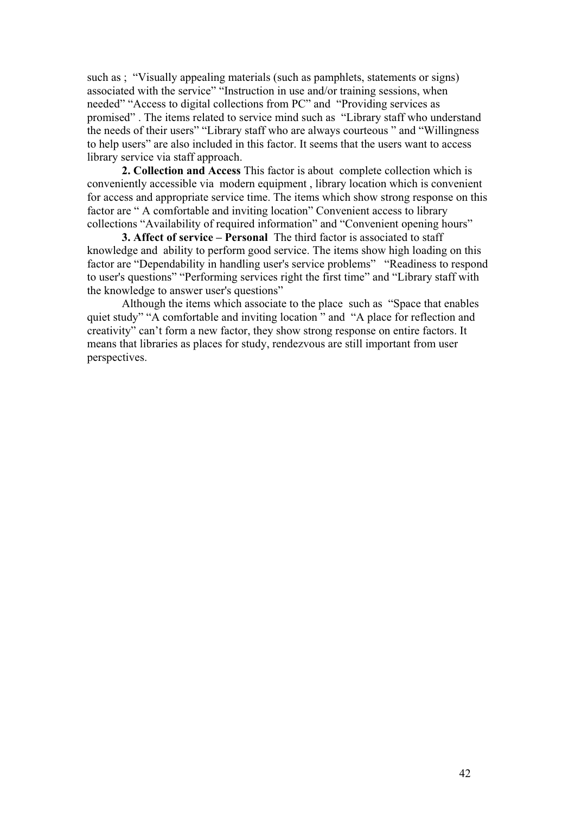such as ; "Visually appealing materials (such as pamphlets, statements or signs) associated with the service" "Instruction in use and/or training sessions, when needed" "Access to digital collections from PC" and "Providing services as promised" . The items related to service mind such as "Library staff who understand the needs of their users" "Library staff who are always courteous " and "Willingness to help users" are also included in this factor. It seems that the users want to access library service via staff approach.

**2. Collection and Access** This factor is about complete collection which is conveniently accessible via modern equipment , library location which is convenient for access and appropriate service time. The items which show strong response on this factor are " A comfortable and inviting location" Convenient access to library collections "Availability of required information" and "Convenient opening hours"

**3. Affect of service – Personal** The third factor is associated to staff knowledge and ability to perform good service. The items show high loading on this factor are "Dependability in handling user's service problems" "Readiness to respond to user's questions" "Performing services right the first time" and "Library staff with the knowledge to answer user's questions"

Although the items which associate to the place such as "Space that enables quiet study" "A comfortable and inviting location " and "A place for reflection and creativity" can't form a new factor, they show strong response on entire factors. It means that libraries as places for study, rendezvous are still important from user perspectives.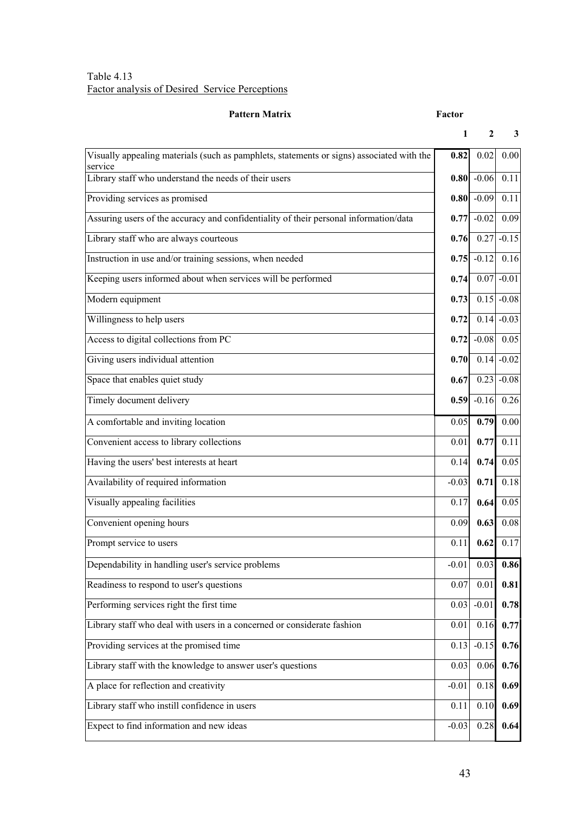#### Table 4.13 Factor analysis of Desired Service Perceptions

#### **Pattern Matrix Factor**

|                                                                                                      | 1       | 2            | 3       |
|------------------------------------------------------------------------------------------------------|---------|--------------|---------|
| Visually appealing materials (such as pamphlets, statements or signs) associated with the<br>service | 0.82    | 0.02         | 0.00    |
| Library staff who understand the needs of their users                                                |         | $0.80$ -0.06 | 0.11    |
| Providing services as promised                                                                       | 0.80    | $-0.09$      | 0.11    |
| Assuring users of the accuracy and confidentiality of their personal information/data                | 0.77    | $-0.02$      | 0.09    |
| Library staff who are always courteous                                                               | 0.76    | 0.27         | $-0.15$ |
| Instruction in use and/or training sessions, when needed                                             | 0.75    | $-0.12$      | 0.16    |
| Keeping users informed about when services will be performed                                         | 0.74    | 0.07         | $-0.01$ |
| Modern equipment                                                                                     | 0.73    | 0.15         | $-0.08$ |
| Willingness to help users                                                                            | 0.72    | 0.14         | $-0.03$ |
| Access to digital collections from PC                                                                | 0.72    | $-0.08$      | 0.05    |
| Giving users individual attention                                                                    | 0.70    | 0.14         | $-0.02$ |
| Space that enables quiet study                                                                       | 0.67    | 0.23         | $-0.08$ |
| Timely document delivery                                                                             | 0.59    | $-0.16$      | 0.26    |
| A comfortable and inviting location                                                                  | 0.05    | 0.79         | 0.00    |
| Convenient access to library collections                                                             | 0.01    | 0.77         | 0.11    |
| Having the users' best interests at heart                                                            | 0.14    | 0.74         | 0.05    |
| Availability of required information                                                                 | $-0.03$ | 0.71         | 0.18    |
| Visually appealing facilities                                                                        | 0.17    | 0.64         | 0.05    |
| Convenient opening hours                                                                             | 0.09    | 0.63         | 0.08    |
| Prompt service to users                                                                              | 0.11    | 0.62         | 0.17    |
| Dependability in handling user's service problems                                                    | $-0.01$ | 0.03         | 0.86    |
| Readiness to respond to user's questions                                                             | 0.07    | 0.01         | 0.81    |
| Performing services right the first time                                                             | 0.03    | $-0.01$      | 0.78    |
| Library staff who deal with users in a concerned or considerate fashion                              | 0.01    | 0.16         | 0.77    |
| Providing services at the promised time                                                              | 0.13    | $-0.15$      | 0.76    |
| Library staff with the knowledge to answer user's questions                                          | 0.03    | 0.06         | 0.76    |
| A place for reflection and creativity                                                                | $-0.01$ | 0.18         | 0.69    |
| Library staff who instill confidence in users                                                        | 0.11    | 0.10         | 0.69    |

Expect to find information and new ideas  $-0.03 \times 0.28$  0.64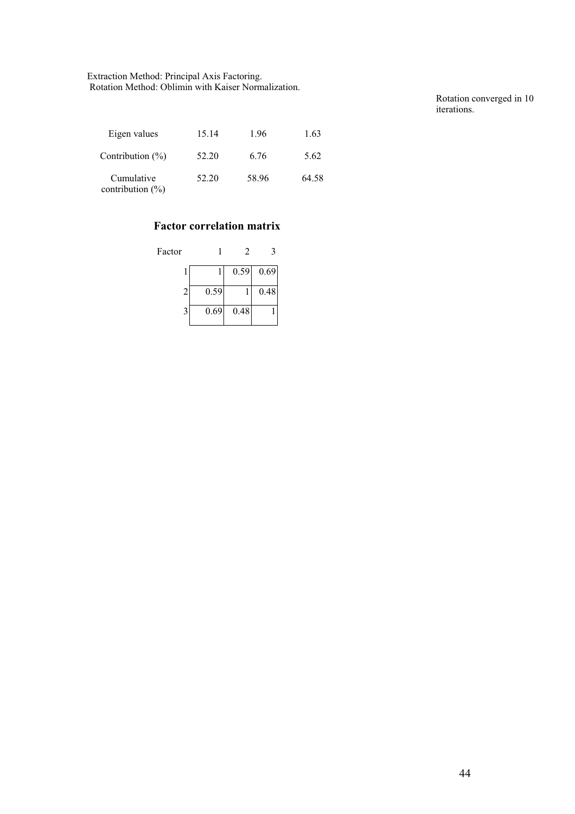Extraction Method: Principal Axis Factoring. Rotation Method: Oblimin with Kaiser Normalization.

Rotation converged in 10 iterations.

| Eigen values                       | 15.14 | 1.96  | 1.63  |
|------------------------------------|-------|-------|-------|
| Contribution $(\% )$               | 52.20 | 6.76  | 5.62  |
| Cumulative<br>contribution $(\% )$ | 52.20 | 58.96 | 64.58 |

# **Factor correlation matrix**

| Factor |      | 2    |      |
|--------|------|------|------|
|        |      | 0.59 | 0.69 |
| 2      | 0.59 |      | 0.48 |
|        | 0.69 | 0.48 |      |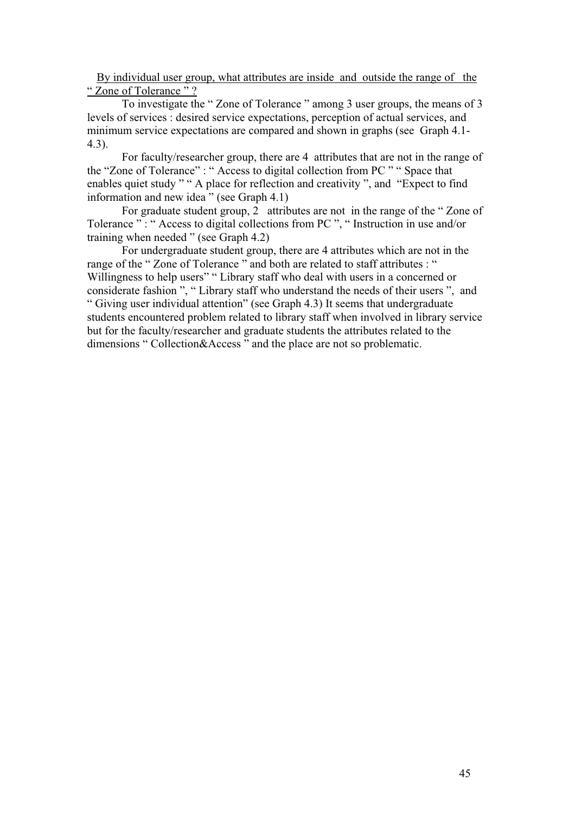By individual user group, what attributes are inside and outside the range of the " Zone of Tolerance"?

To investigate the " Zone of Tolerance " among 3 user groups, the means of 3 levels of services : desired service expectations, perception of actual services, and minimum service expectations are compared and shown in graphs (see Graph 4.1- 4.3).

For faculty/researcher group, there are 4 attributes that are not in the range of the "Zone of Tolerance" : " Access to digital collection from PC " " Space that enables quiet study " " A place for reflection and creativity ", and "Expect to find information and new idea" (see Graph 4.1)

For graduate student group, 2 attributes are not in the range of the " Zone of Tolerance ": " Access to digital collections from PC ", " Instruction in use and/or training when needed " (see Graph 4.2)

For undergraduate student group, there are 4 attributes which are not in the range of the " Zone of Tolerance " and both are related to staff attributes : " Willingness to help users" " Library staff who deal with users in a concerned or considerate fashion ", " Library staff who understand the needs of their users ", and " Giving user individual attention" (see Graph 4.3) It seems that undergraduate students encountered problem related to library staff when involved in library service but for the faculty/researcher and graduate students the attributes related to the dimensions " Collection&Access " and the place are not so problematic.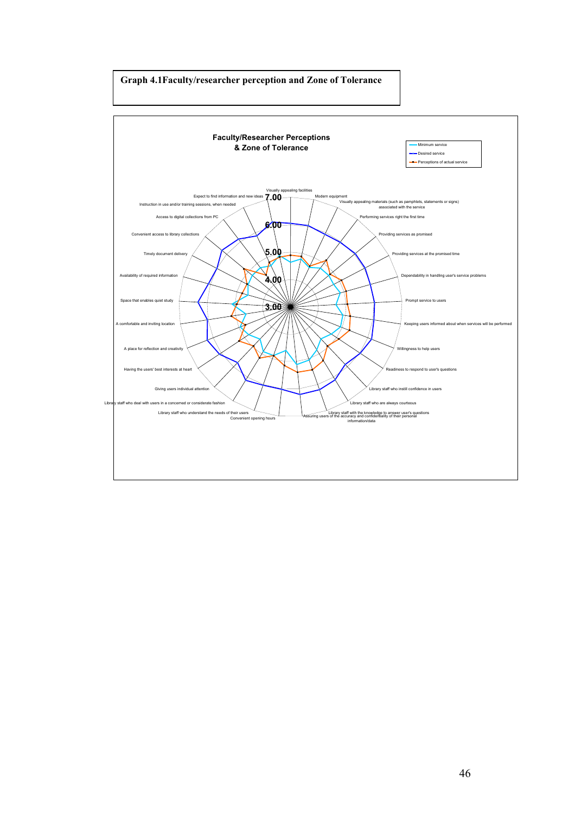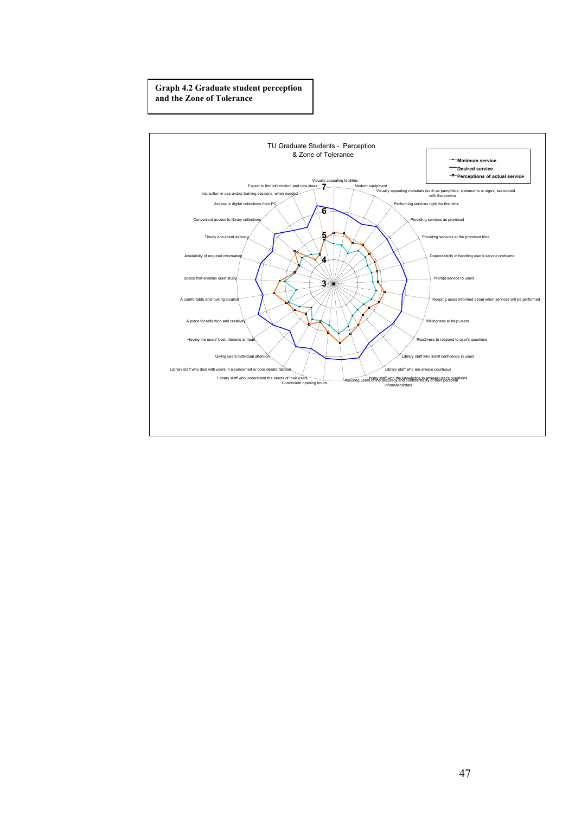#### **Graph 4.2 Graduate student perception and the Zone of Tolerance**

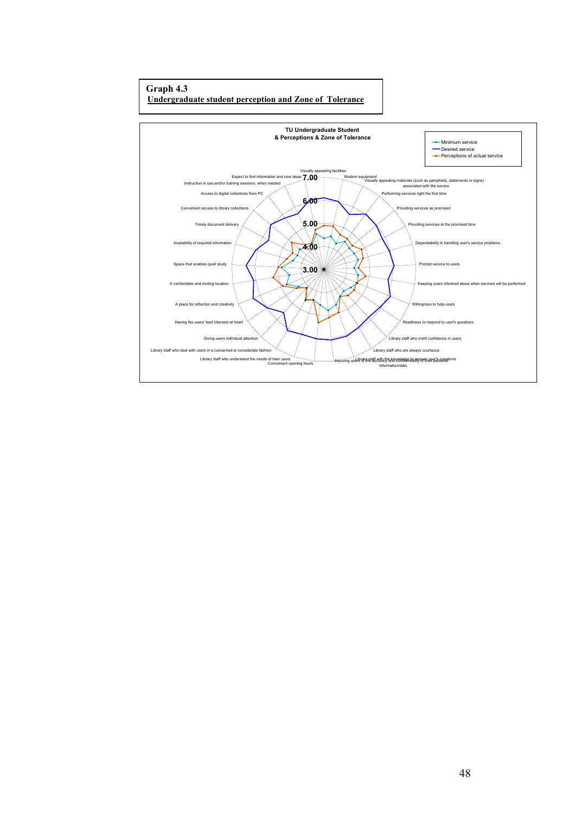#### **Graph 4.3 Undergraduate student perception and Zone of Tolerance**

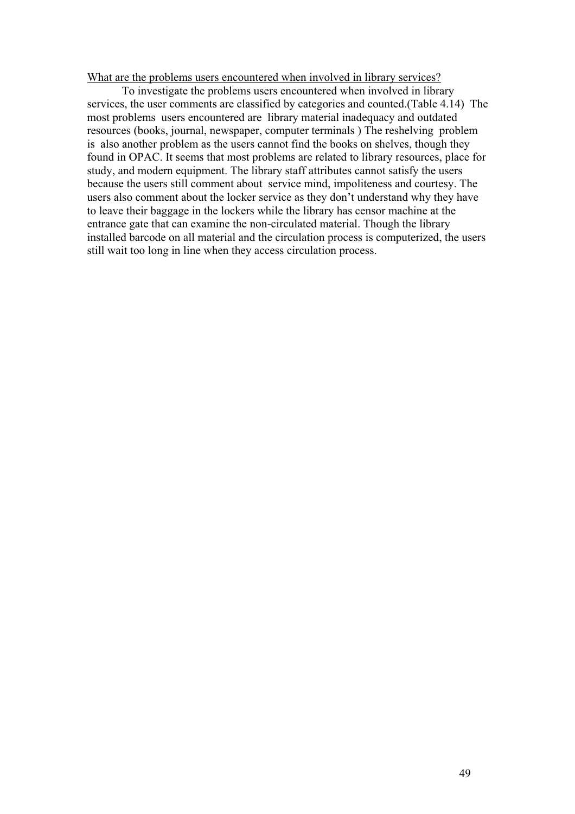What are the problems users encountered when involved in library services?

To investigate the problems users encountered when involved in library services, the user comments are classified by categories and counted.(Table 4.14) The most problems users encountered are library material inadequacy and outdated resources (books, journal, newspaper, computer terminals ) The reshelving problem is also another problem as the users cannot find the books on shelves, though they found in OPAC. It seems that most problems are related to library resources, place for study, and modern equipment. The library staff attributes cannot satisfy the users because the users still comment about service mind, impoliteness and courtesy. The users also comment about the locker service as they don't understand why they have to leave their baggage in the lockers while the library has censor machine at the entrance gate that can examine the non-circulated material. Though the library installed barcode on all material and the circulation process is computerized, the users still wait too long in line when they access circulation process.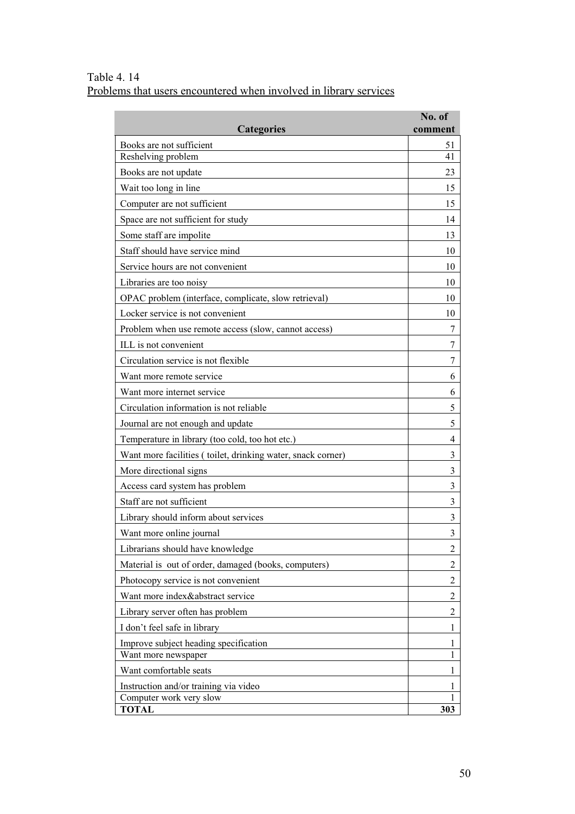Table 4. 14 Problems that users encountered when involved in library services

|                                                             | No. of   |
|-------------------------------------------------------------|----------|
| <b>Categories</b>                                           | comment  |
| Books are not sufficient<br>Reshelving problem              | 51<br>41 |
| Books are not update                                        | 23       |
| Wait too long in line                                       | 15       |
| Computer are not sufficient                                 | 15       |
| Space are not sufficient for study                          | 14       |
| Some staff are impolite                                     | 13       |
| Staff should have service mind                              | 10       |
| Service hours are not convenient                            | 10       |
| Libraries are too noisy                                     | 10       |
| OPAC problem (interface, complicate, slow retrieval)        | 10       |
| Locker service is not convenient                            | 10       |
| Problem when use remote access (slow, cannot access)        | 7        |
| ILL is not convenient                                       | 7        |
| Circulation service is not flexible                         | 7        |
| Want more remote service                                    | 6        |
| Want more internet service                                  | 6        |
| Circulation information is not reliable                     | 5        |
| Journal are not enough and update                           | 5        |
| Temperature in library (too cold, too hot etc.)             | 4        |
| Want more facilities (toilet, drinking water, snack corner) | 3        |
| More directional signs                                      | 3        |
| Access card system has problem                              | 3        |
| Staff are not sufficient                                    | 3        |
| Library should inform about services                        | 3        |
| Want more online journal                                    | 3        |
| Librarians should have knowledge                            | 2        |
| Material is out of order, damaged (books, computers)        | 2        |
| Photocopy service is not convenient                         | 2        |
| Want more index&abstract service                            | 2        |
| Library server often has problem                            | 2        |
| I don't feel safe in library                                | 1        |
| Improve subject heading specification                       | 1        |
| Want more newspaper                                         | 1        |
| Want comfortable seats                                      | 1        |
| Instruction and/or training via video                       | 1<br>1   |
| Computer work very slow<br><b>TOTAL</b>                     | 303      |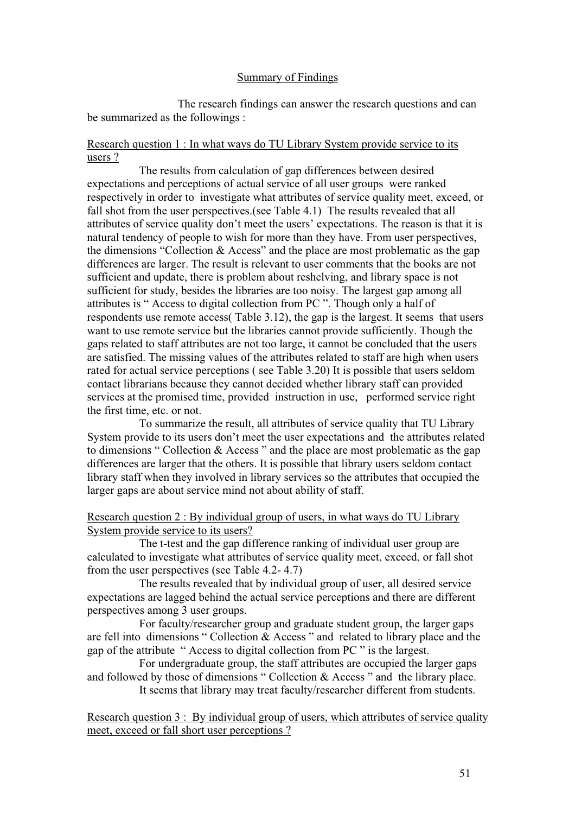#### Summary of Findings

The research findings can answer the research questions and can be summarized as the followings :

# Research question 1 : In what ways do TU Library System provide service to its users ?

The results from calculation of gap differences between desired expectations and perceptions of actual service of all user groups were ranked respectively in order to investigate what attributes of service quality meet, exceed, or fall shot from the user perspectives.(see Table 4.1) The results revealed that all attributes of service quality don't meet the users' expectations. The reason is that it is natural tendency of people to wish for more than they have. From user perspectives, the dimensions "Collection & Access" and the place are most problematic as the gap differences are larger. The result is relevant to user comments that the books are not sufficient and update, there is problem about reshelving, and library space is not sufficient for study, besides the libraries are too noisy. The largest gap among all attributes is " Access to digital collection from PC ". Though only a half of respondents use remote access( Table 3.12), the gap is the largest. It seems that users want to use remote service but the libraries cannot provide sufficiently. Though the gaps related to staff attributes are not too large, it cannot be concluded that the users are satisfied. The missing values of the attributes related to staff are high when users rated for actual service perceptions ( see Table 3.20) It is possible that users seldom contact librarians because they cannot decided whether library staff can provided services at the promised time, provided instruction in use, performed service right the first time, etc. or not.

To summarize the result, all attributes of service quality that TU Library System provide to its users don't meet the user expectations and the attributes related to dimensions " Collection & Access " and the place are most problematic as the gap differences are larger that the others. It is possible that library users seldom contact library staff when they involved in library services so the attributes that occupied the larger gaps are about service mind not about ability of staff.

Research question 2 : By individual group of users, in what ways do TU Library System provide service to its users?

The t-test and the gap difference ranking of individual user group are calculated to investigate what attributes of service quality meet, exceed, or fall shot from the user perspectives (see Table 4.2- 4.7)

The results revealed that by individual group of user, all desired service expectations are lagged behind the actual service perceptions and there are different perspectives among 3 user groups.

For faculty/researcher group and graduate student group, the larger gaps are fell into dimensions " Collection & Access " and related to library place and the gap of the attribute " Access to digital collection from PC " is the largest.

For undergraduate group, the staff attributes are occupied the larger gaps and followed by those of dimensions " Collection & Access " and the library place. It seems that library may treat faculty/researcher different from students.

Research question 3 : By individual group of users, which attributes of service quality meet, exceed or fall short user perceptions ?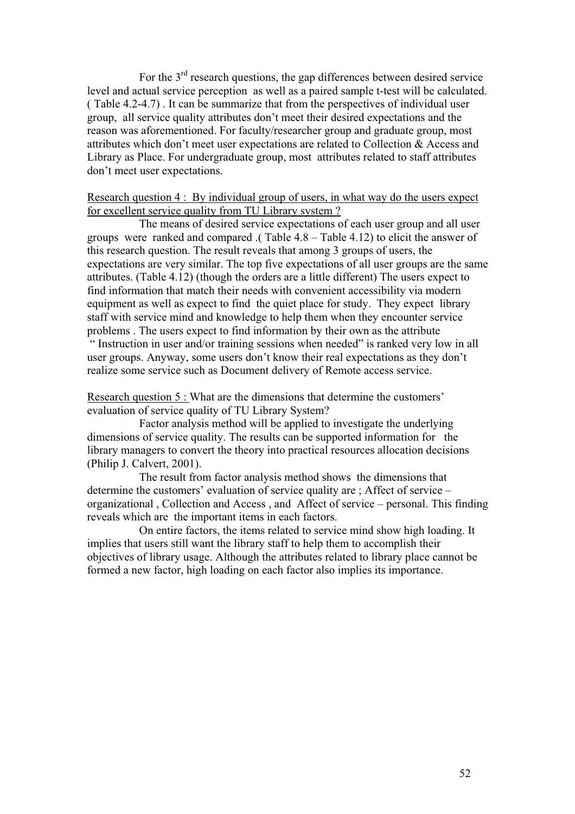For the 3<sup>rd</sup> research questions, the gap differences between desired service level and actual service perception as well as a paired sample t-test will be calculated. ( Table 4.2-4.7) . It can be summarize that from the perspectives of individual user group, all service quality attributes don't meet their desired expectations and the reason was aforementioned. For faculty/researcher group and graduate group, most attributes which don't meet user expectations are related to Collection & Access and Library as Place. For undergraduate group, most attributes related to staff attributes don't meet user expectations.

# Research question 4 : By individual group of users, in what way do the users expect for excellent service quality from TU Library system ?

The means of desired service expectations of each user group and all user groups were ranked and compared .( Table 4.8 – Table 4.12) to elicit the answer of this research question. The result reveals that among 3 groups of users, the expectations are very similar. The top five expectations of all user groups are the same attributes. (Table 4.12) (though the orders are a little different) The users expect to find information that match their needs with convenient accessibility via modern equipment as well as expect to find the quiet place for study. They expect library staff with service mind and knowledge to help them when they encounter service problems . The users expect to find information by their own as the attribute

 " Instruction in user and/or training sessions when needed" is ranked very low in all user groups. Anyway, some users don't know their real expectations as they don't realize some service such as Document delivery of Remote access service.

Research question 5 : What are the dimensions that determine the customers' evaluation of service quality of TU Library System?

Factor analysis method will be applied to investigate the underlying dimensions of service quality. The results can be supported information for the library managers to convert the theory into practical resources allocation decisions (Philip J. Calvert, 2001).

The result from factor analysis method shows the dimensions that determine the customers' evaluation of service quality are ; Affect of service – organizational , Collection and Access , and Affect of service – personal. This finding reveals which are the important items in each factors.

On entire factors, the items related to service mind show high loading. It implies that users still want the library staff to help them to accomplish their objectives of library usage. Although the attributes related to library place cannot be formed a new factor, high loading on each factor also implies its importance.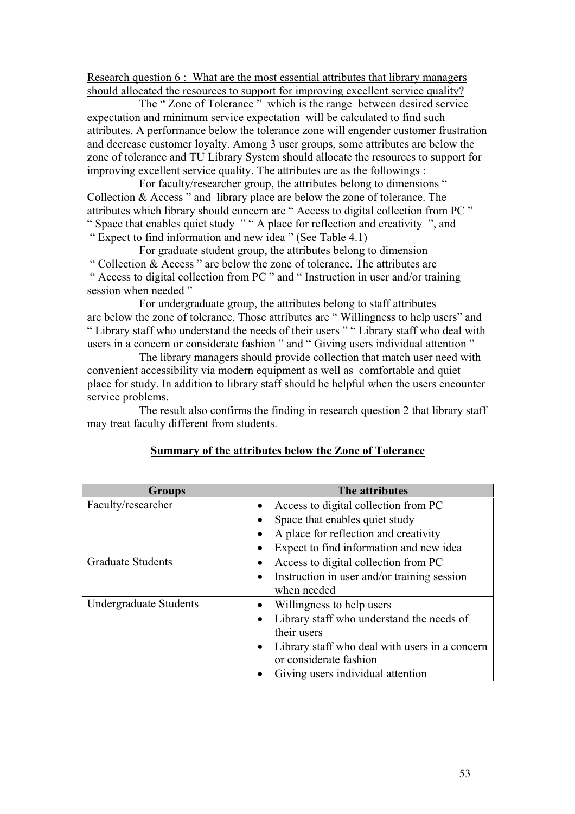Research question 6 : What are the most essential attributes that library managers should allocated the resources to support for improving excellent service quality?

The " Zone of Tolerance " which is the range between desired service expectation and minimum service expectation will be calculated to find such attributes. A performance below the tolerance zone will engender customer frustration and decrease customer loyalty. Among 3 user groups, some attributes are below the zone of tolerance and TU Library System should allocate the resources to support for improving excellent service quality. The attributes are as the followings :

For faculty/researcher group, the attributes belong to dimensions " Collection & Access " and library place are below the zone of tolerance. The attributes which library should concern are " Access to digital collection from PC " " Space that enables quiet study " " A place for reflection and creativity ", and " Expect to find information and new idea " (See Table 4.1)

For graduate student group, the attributes belong to dimension " Collection & Access " are below the zone of tolerance. The attributes are " Access to digital collection from PC " and " Instruction in user and/or training session when needed "

For undergraduate group, the attributes belong to staff attributes are below the zone of tolerance. Those attributes are " Willingness to help users" and " Library staff who understand the needs of their users " " Library staff who deal with users in a concern or considerate fashion " and " Giving users individual attention "

The library managers should provide collection that match user need with convenient accessibility via modern equipment as well as comfortable and quiet place for study. In addition to library staff should be helpful when the users encounter service problems.

The result also confirms the finding in research question 2 that library staff may treat faculty different from students.

| <b>Groups</b>                 | The attributes                                              |
|-------------------------------|-------------------------------------------------------------|
| Faculty/researcher            | Access to digital collection from PC<br>$\bullet$           |
|                               | Space that enables quiet study                              |
|                               | A place for reflection and creativity<br>$\bullet$          |
|                               | Expect to find information and new idea                     |
| <b>Graduate Students</b>      | Access to digital collection from PC                        |
|                               | Instruction in user and/or training session<br>$\bullet$    |
|                               | when needed                                                 |
| <b>Undergraduate Students</b> | Willingness to help users<br>$\bullet$                      |
|                               | Library staff who understand the needs of<br>$\bullet$      |
|                               | their users                                                 |
|                               | Library staff who deal with users in a concern<br>$\bullet$ |
|                               | or considerate fashion                                      |
|                               | Giving users individual attention                           |

#### **Summary of the attributes below the Zone of Tolerance**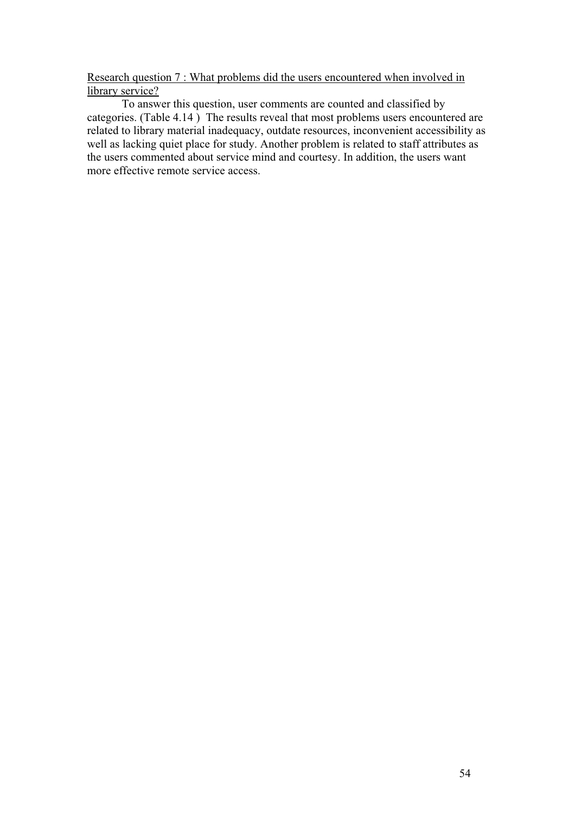Research question 7 : What problems did the users encountered when involved in library service?

To answer this question, user comments are counted and classified by categories. (Table 4.14 ) The results reveal that most problems users encountered are related to library material inadequacy, outdate resources, inconvenient accessibility as well as lacking quiet place for study. Another problem is related to staff attributes as the users commented about service mind and courtesy. In addition, the users want more effective remote service access.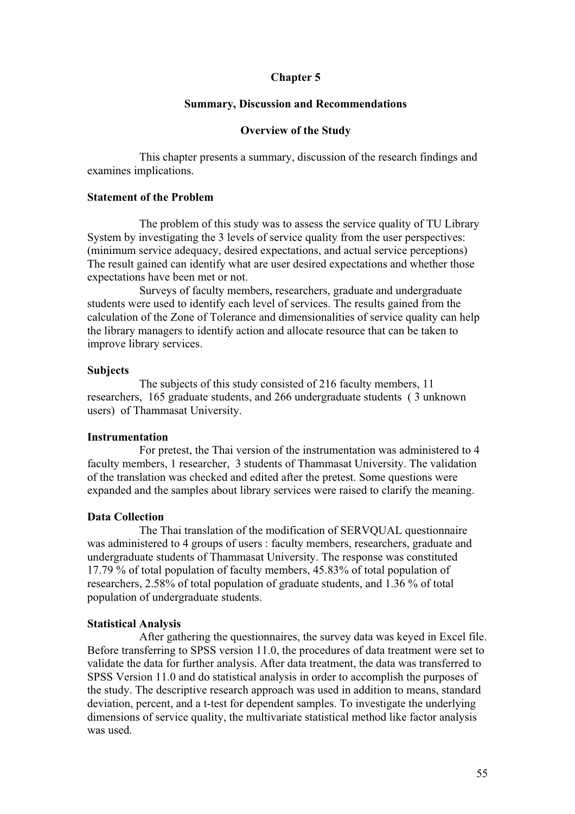# **Chapter 5**

#### **Summary, Discussion and Recommendations**

#### **Overview of the Study**

This chapter presents a summary, discussion of the research findings and examines implications.

# **Statement of the Problem**

The problem of this study was to assess the service quality of TU Library System by investigating the 3 levels of service quality from the user perspectives: (minimum service adequacy, desired expectations, and actual service perceptions) The result gained can identify what are user desired expectations and whether those expectations have been met or not.

Surveys of faculty members, researchers, graduate and undergraduate students were used to identify each level of services. The results gained from the calculation of the Zone of Tolerance and dimensionalities of service quality can help the library managers to identify action and allocate resource that can be taken to improve library services.

#### **Subjects**

The subjects of this study consisted of 216 faculty members, 11 researchers, 165 graduate students, and 266 undergraduate students ( 3 unknown users) of Thammasat University.

#### **Instrumentation**

For pretest, the Thai version of the instrumentation was administered to 4 faculty members, 1 researcher, 3 students of Thammasat University. The validation of the translation was checked and edited after the pretest. Some questions were expanded and the samples about library services were raised to clarify the meaning.

# **Data Collection**

The Thai translation of the modification of SERVQUAL questionnaire was administered to 4 groups of users : faculty members, researchers, graduate and undergraduate students of Thammasat University. The response was constituted 17.79 % of total population of faculty members, 45.83% of total population of researchers, 2.58% of total population of graduate students, and 1.36 % of total population of undergraduate students.

# **Statistical Analysis**

After gathering the questionnaires, the survey data was keyed in Excel file. Before transferring to SPSS version 11.0, the procedures of data treatment were set to validate the data for further analysis. After data treatment, the data was transferred to SPSS Version 11.0 and do statistical analysis in order to accomplish the purposes of the study. The descriptive research approach was used in addition to means, standard deviation, percent, and a t-test for dependent samples. To investigate the underlying dimensions of service quality, the multivariate statistical method like factor analysis was used.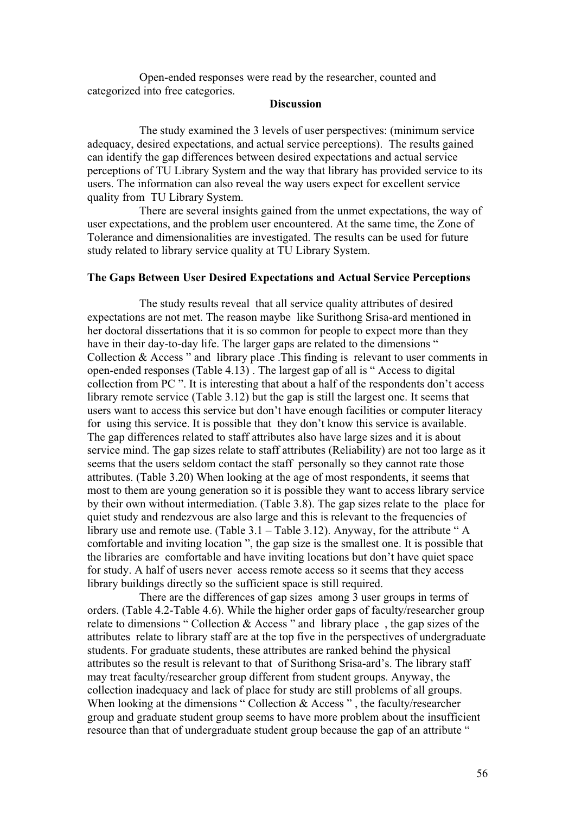Open-ended responses were read by the researcher, counted and categorized into free categories.

# **Discussion**

The study examined the 3 levels of user perspectives: (minimum service adequacy, desired expectations, and actual service perceptions). The results gained can identify the gap differences between desired expectations and actual service perceptions of TU Library System and the way that library has provided service to its users. The information can also reveal the way users expect for excellent service quality from TU Library System.

There are several insights gained from the unmet expectations, the way of user expectations, and the problem user encountered. At the same time, the Zone of Tolerance and dimensionalities are investigated. The results can be used for future study related to library service quality at TU Library System.

#### **The Gaps Between User Desired Expectations and Actual Service Perceptions**

The study results reveal that all service quality attributes of desired expectations are not met. The reason maybe like Surithong Srisa-ard mentioned in her doctoral dissertations that it is so common for people to expect more than they have in their day-to-day life. The larger gaps are related to the dimensions " Collection & Access " and library place .This finding is relevant to user comments in open-ended responses (Table 4.13) . The largest gap of all is " Access to digital collection from PC ". It is interesting that about a half of the respondents don't access library remote service (Table 3.12) but the gap is still the largest one. It seems that users want to access this service but don't have enough facilities or computer literacy for using this service. It is possible that they don't know this service is available. The gap differences related to staff attributes also have large sizes and it is about service mind. The gap sizes relate to staff attributes (Reliability) are not too large as it seems that the users seldom contact the staff personally so they cannot rate those attributes. (Table 3.20) When looking at the age of most respondents, it seems that most to them are young generation so it is possible they want to access library service by their own without intermediation. (Table 3.8). The gap sizes relate to the place for quiet study and rendezvous are also large and this is relevant to the frequencies of library use and remote use. (Table 3.1 – Table 3.12). Anyway, for the attribute " A comfortable and inviting location ", the gap size is the smallest one. It is possible that the libraries are comfortable and have inviting locations but don't have quiet space for study. A half of users never access remote access so it seems that they access library buildings directly so the sufficient space is still required.

There are the differences of gap sizes among 3 user groups in terms of orders. (Table 4.2-Table 4.6). While the higher order gaps of faculty/researcher group relate to dimensions " Collection & Access " and library place , the gap sizes of the attributes relate to library staff are at the top five in the perspectives of undergraduate students. For graduate students, these attributes are ranked behind the physical attributes so the result is relevant to that of Surithong Srisa-ard's. The library staff may treat faculty/researcher group different from student groups. Anyway, the collection inadequacy and lack of place for study are still problems of all groups. When looking at the dimensions " Collection & Access ", the faculty/researcher group and graduate student group seems to have more problem about the insufficient resource than that of undergraduate student group because the gap of an attribute "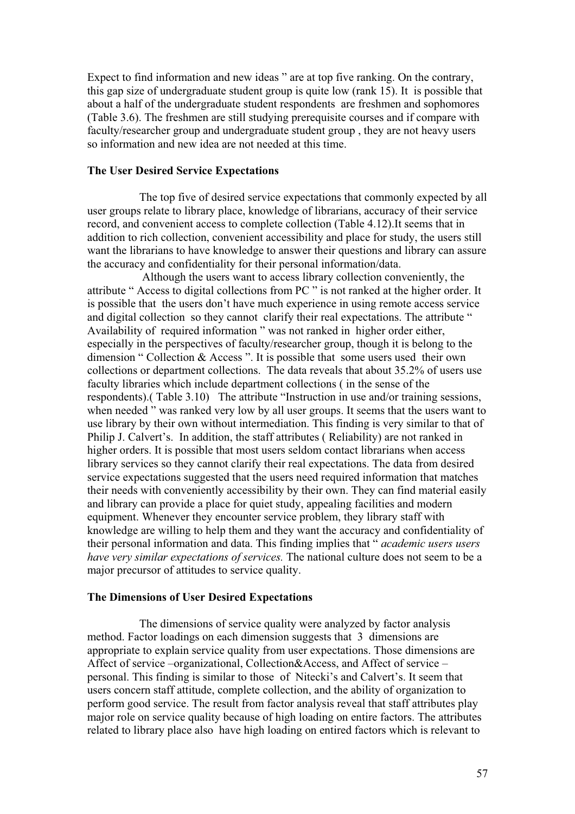Expect to find information and new ideas " are at top five ranking. On the contrary, this gap size of undergraduate student group is quite low (rank 15). It is possible that about a half of the undergraduate student respondents are freshmen and sophomores (Table 3.6). The freshmen are still studying prerequisite courses and if compare with faculty/researcher group and undergraduate student group , they are not heavy users so information and new idea are not needed at this time.

#### **The User Desired Service Expectations**

The top five of desired service expectations that commonly expected by all user groups relate to library place, knowledge of librarians, accuracy of their service record, and convenient access to complete collection (Table 4.12).It seems that in addition to rich collection, convenient accessibility and place for study, the users still want the librarians to have knowledge to answer their questions and library can assure the accuracy and confidentiality for their personal information/data.

 Although the users want to access library collection conveniently, the attribute " Access to digital collections from PC " is not ranked at the higher order. It is possible that the users don't have much experience in using remote access service and digital collection so they cannot clarify their real expectations. The attribute " Availability of required information " was not ranked in higher order either, especially in the perspectives of faculty/researcher group, though it is belong to the dimension " Collection & Access ". It is possible that some users used their own collections or department collections. The data reveals that about 35.2% of users use faculty libraries which include department collections ( in the sense of the respondents).( Table 3.10) The attribute "Instruction in use and/or training sessions, when needed " was ranked very low by all user groups. It seems that the users want to use library by their own without intermediation. This finding is very similar to that of Philip J. Calvert's. In addition, the staff attributes ( Reliability) are not ranked in higher orders. It is possible that most users seldom contact librarians when access library services so they cannot clarify their real expectations. The data from desired service expectations suggested that the users need required information that matches their needs with conveniently accessibility by their own. They can find material easily and library can provide a place for quiet study, appealing facilities and modern equipment. Whenever they encounter service problem, they library staff with knowledge are willing to help them and they want the accuracy and confidentiality of their personal information and data. This finding implies that " *academic users users have very similar expectations of services.* The national culture does not seem to be a major precursor of attitudes to service quality.

#### **The Dimensions of User Desired Expectations**

The dimensions of service quality were analyzed by factor analysis method. Factor loadings on each dimension suggests that 3 dimensions are appropriate to explain service quality from user expectations. Those dimensions are Affect of service –organizational, Collection&Access, and Affect of service – personal. This finding is similar to those of Nitecki's and Calvert's. It seem that users concern staff attitude, complete collection, and the ability of organization to perform good service. The result from factor analysis reveal that staff attributes play major role on service quality because of high loading on entire factors. The attributes related to library place also have high loading on entired factors which is relevant to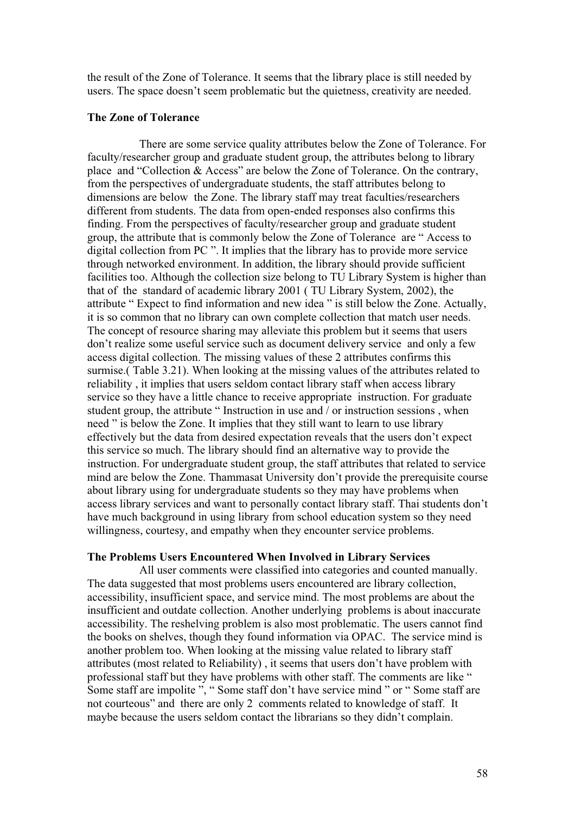the result of the Zone of Tolerance. It seems that the library place is still needed by users. The space doesn't seem problematic but the quietness, creativity are needed.

#### **The Zone of Tolerance**

There are some service quality attributes below the Zone of Tolerance. For faculty/researcher group and graduate student group, the attributes belong to library place and "Collection & Access" are below the Zone of Tolerance. On the contrary, from the perspectives of undergraduate students, the staff attributes belong to dimensions are below the Zone. The library staff may treat faculties/researchers different from students. The data from open-ended responses also confirms this finding. From the perspectives of faculty/researcher group and graduate student group, the attribute that is commonly below the Zone of Tolerance are " Access to digital collection from PC ". It implies that the library has to provide more service through networked environment. In addition, the library should provide sufficient facilities too. Although the collection size belong to TU Library System is higher than that of the standard of academic library 2001 ( TU Library System, 2002), the attribute " Expect to find information and new idea " is still below the Zone. Actually, it is so common that no library can own complete collection that match user needs. The concept of resource sharing may alleviate this problem but it seems that users don't realize some useful service such as document delivery service and only a few access digital collection. The missing values of these 2 attributes confirms this surmise.( Table 3.21). When looking at the missing values of the attributes related to reliability , it implies that users seldom contact library staff when access library service so they have a little chance to receive appropriate instruction. For graduate student group, the attribute " Instruction in use and / or instruction sessions , when need " is below the Zone. It implies that they still want to learn to use library effectively but the data from desired expectation reveals that the users don't expect this service so much. The library should find an alternative way to provide the instruction. For undergraduate student group, the staff attributes that related to service mind are below the Zone. Thammasat University don't provide the prerequisite course about library using for undergraduate students so they may have problems when access library services and want to personally contact library staff. Thai students don't have much background in using library from school education system so they need willingness, courtesy, and empathy when they encounter service problems.

#### **The Problems Users Encountered When Involved in Library Services**

All user comments were classified into categories and counted manually. The data suggested that most problems users encountered are library collection, accessibility, insufficient space, and service mind. The most problems are about the insufficient and outdate collection. Another underlying problems is about inaccurate accessibility. The reshelving problem is also most problematic. The users cannot find the books on shelves, though they found information via OPAC. The service mind is another problem too. When looking at the missing value related to library staff attributes (most related to Reliability) , it seems that users don't have problem with professional staff but they have problems with other staff. The comments are like " Some staff are impolite ", " Some staff don't have service mind " or " Some staff are not courteous" and there are only 2 comments related to knowledge of staff. It maybe because the users seldom contact the librarians so they didn't complain.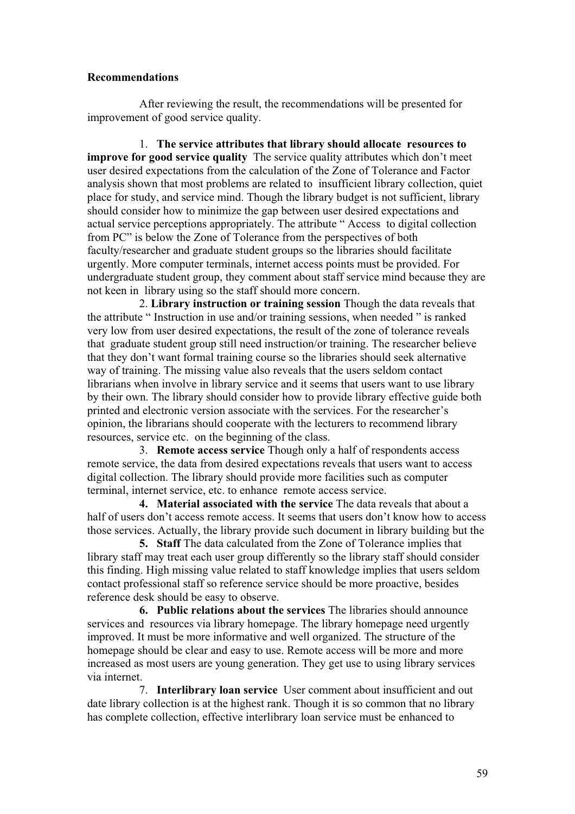# **Recommendations**

After reviewing the result, the recommendations will be presented for improvement of good service quality.

1. **The service attributes that library should allocate resources to improve for good service quality** The service quality attributes which don't meet user desired expectations from the calculation of the Zone of Tolerance and Factor analysis shown that most problems are related to insufficient library collection, quiet place for study, and service mind. Though the library budget is not sufficient, library should consider how to minimize the gap between user desired expectations and actual service perceptions appropriately. The attribute " Access to digital collection from PC" is below the Zone of Tolerance from the perspectives of both faculty/researcher and graduate student groups so the libraries should facilitate urgently. More computer terminals, internet access points must be provided. For undergraduate student group, they comment about staff service mind because they are not keen in library using so the staff should more concern.

2. **Library instruction or training session** Though the data reveals that the attribute " Instruction in use and/or training sessions, when needed " is ranked very low from user desired expectations, the result of the zone of tolerance reveals that graduate student group still need instruction/or training. The researcher believe that they don't want formal training course so the libraries should seek alternative way of training. The missing value also reveals that the users seldom contact librarians when involve in library service and it seems that users want to use library by their own. The library should consider how to provide library effective guide both printed and electronic version associate with the services. For the researcher's opinion, the librarians should cooperate with the lecturers to recommend library resources, service etc. on the beginning of the class.

3. **Remote access service** Though only a half of respondents access remote service, the data from desired expectations reveals that users want to access digital collection. The library should provide more facilities such as computer terminal, internet service, etc. to enhance remote access service.

**4. Material associated with the service** The data reveals that about a half of users don't access remote access. It seems that users don't know how to access those services. Actually, the library provide such document in library building but the

**5. Staff** The data calculated from the Zone of Tolerance implies that library staff may treat each user group differently so the library staff should consider this finding. High missing value related to staff knowledge implies that users seldom contact professional staff so reference service should be more proactive, besides reference desk should be easy to observe.

**6. Public relations about the services** The libraries should announce services and resources via library homepage. The library homepage need urgently improved. It must be more informative and well organized. The structure of the homepage should be clear and easy to use. Remote access will be more and more increased as most users are young generation. They get use to using library services via internet.

7. **Interlibrary loan service** User comment about insufficient and out date library collection is at the highest rank. Though it is so common that no library has complete collection, effective interlibrary loan service must be enhanced to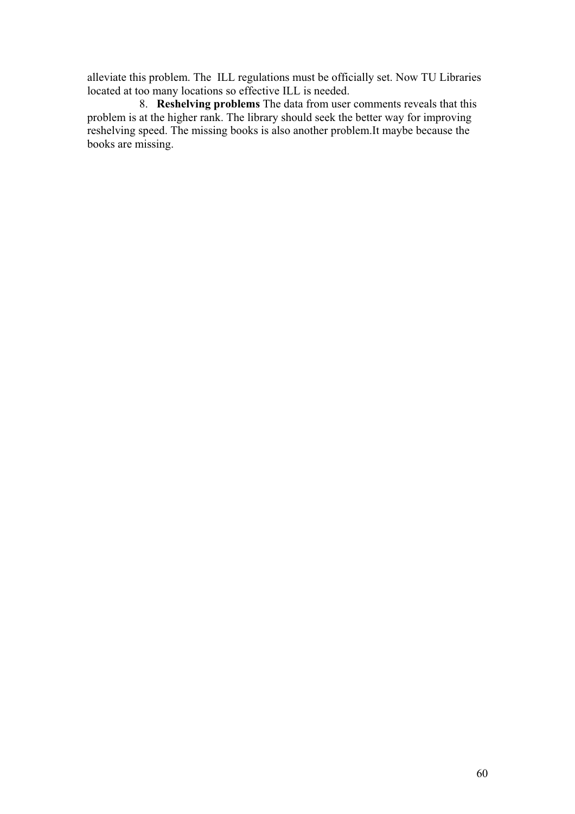alleviate this problem. The ILL regulations must be officially set. Now TU Libraries located at too many locations so effective ILL is needed.

8. **Reshelving problems** The data from user comments reveals that this problem is at the higher rank. The library should seek the better way for improving reshelving speed. The missing books is also another problem.It maybe because the books are missing.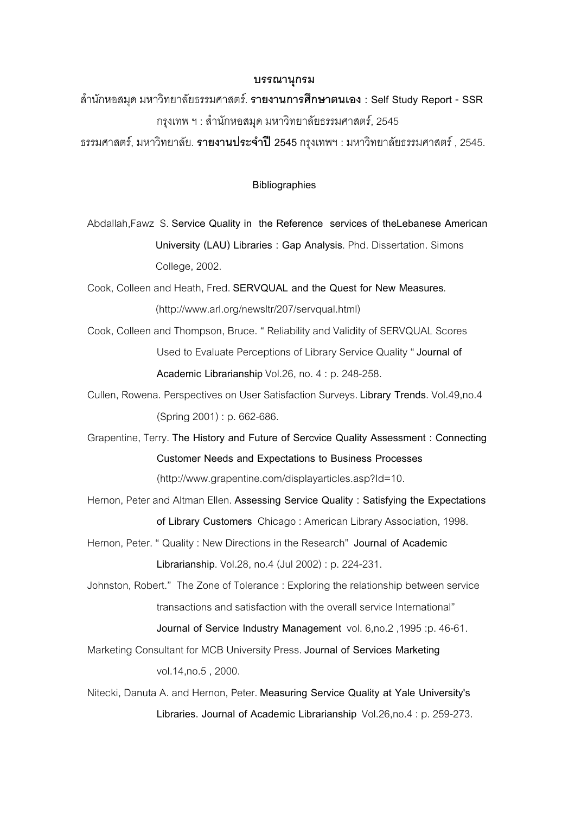#### **¦¦µ»¦¤**

µÎ ®°¤ ´ » ¤®µª·¥µ¨´¥¦¦¤«µ¦r. **¦µ¥µµ¦«¹¬µÁ° : Self Study Report - SSR** กรุงเทพ ฯ : สำนักหอสมุด มหาวิทยาลัยธรรมศาสตร์, 2545

¦¦¤«µ¦r, ¤®µª·¥µ¨´¥. **¦µ¥µ¦³Îµe 2545** ¦Á¡² » : ¤®µª¥µ¨ · ´¥¦¦¤«µ¦r , 2545.

#### **Bibliographies**

Abdallah,Fawz S. **Service Quality in the Reference services of theLebanese American University (LAU) Libraries : Gap Analysis**. Phd. Dissertation. Simons College, 2002.

Cook, Colleen and Heath, Fred. **SERVQUAL and the Quest for New Measures**. (http://www.arl.org/newsltr/207/servqual.html)

Cook, Colleen and Thompson, Bruce. " Reliability and Validity of SERVQUAL Scores Used to Evaluate Perceptions of Library Service Quality " **Journal of Academic Librarianship** Vol.26, no. 4 : p. 248-258.

Cullen, Rowena. Perspectives on User Satisfaction Surveys. **Library Trends**. Vol.49,no.4 (Spring 2001) : p. 662-686.

Grapentine, Terry. **The History and Future of Sercvice Quality Assessment : Connecting Customer Needs and Expectations to Business Processes** (http://www.grapentine.com/displayarticles.asp?Id=10.

Hernon, Peter and Altman Ellen. **Assessing Service Quality : Satisfying the Expectations of Library Customers** Chicago : American Library Association, 1998.

Hernon, Peter. " Quality : New Directions in the Research" **Journal of Academic Librarianship**. Vol.28, no.4 (Jul 2002) : p. 224-231.

Johnston, Robert." The Zone of Tolerance : Exploring the relationship between service transactions and satisfaction with the overall service International" **Journal of Service Industry Management** vol. 6,no.2 ,1995 :p. 46-61.

Marketing Consultant for MCB University Press. **Journal of Services Marketing** vol.14,no.5 , 2000.

Nitecki, Danuta A. and Hernon, Peter. **Measuring Service Quality at Yale University's Libraries. Journal of Academic Librarianship** Vol.26,no.4 : p. 259-273.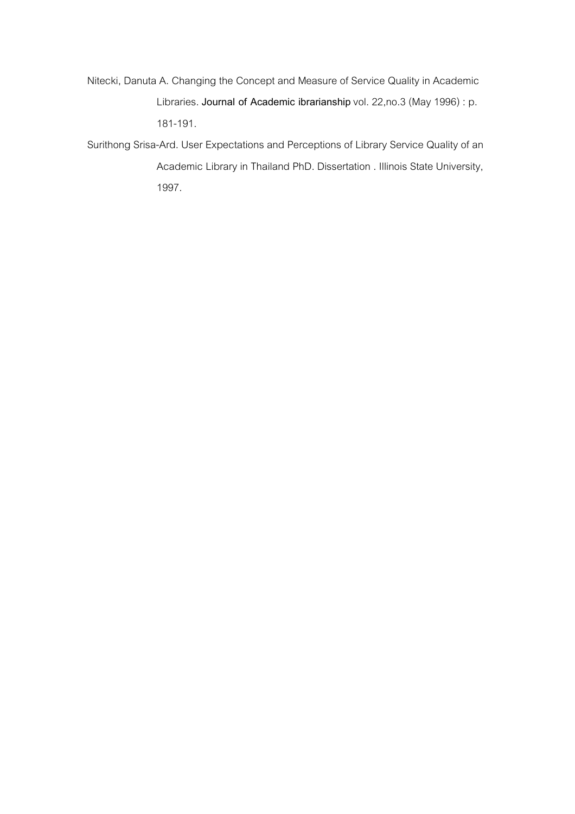Nitecki, Danuta A. Changing the Concept and Measure of Service Quality in Academic Libraries. **Journal of Academic ibrarianship** vol. 22,no.3 (May 1996) : p. 181-191.

Surithong Srisa-Ard. User Expectations and Perceptions of Library Service Quality of an Academic Library in Thailand PhD. Dissertation . Illinois State University, 1997.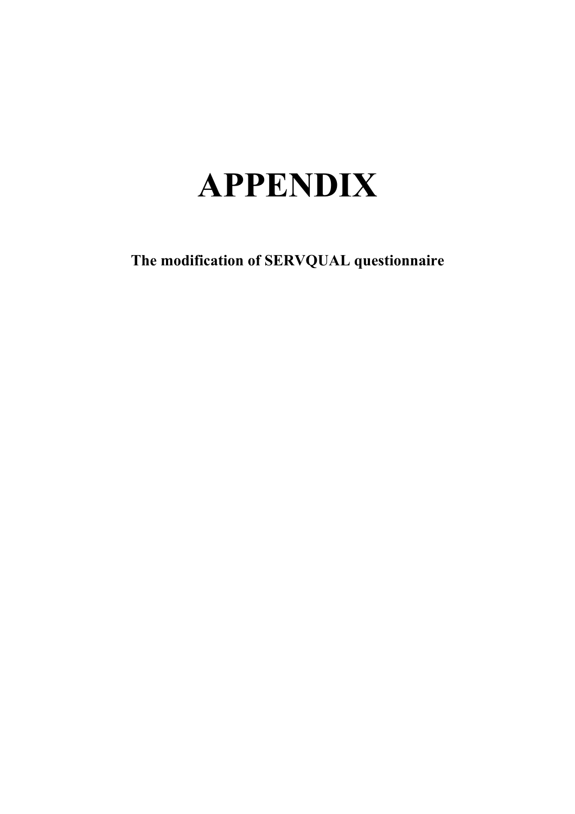# **APPENDIX**

**The modification of SERVQUAL questionnaire**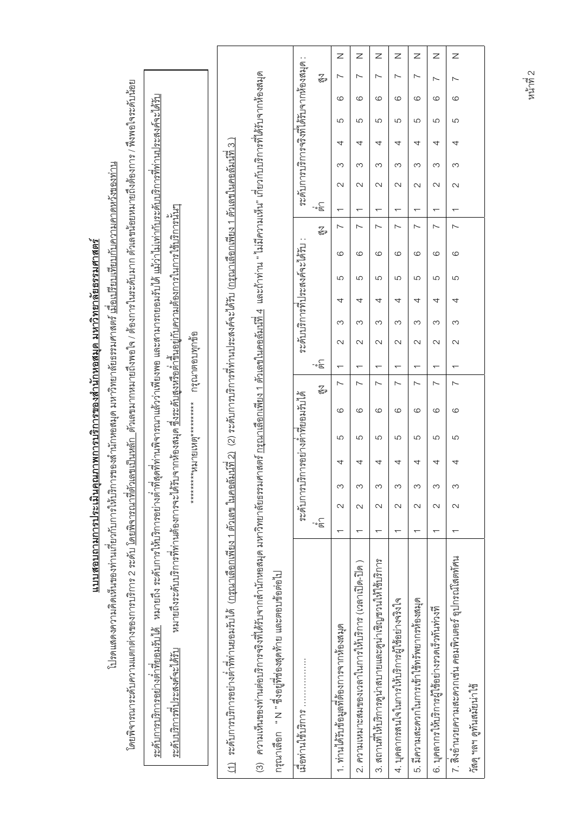|                                                                                                                                                                                                                                                                                      |                                                                                                                                                                                                                                                                                                                 |                                 |                                                                                                                                                                       |                                                                                                                                                     |                                                        |                                          |         | Z                                        | z                                                                            | Z                                                       | Ζ                                             | Z                                          | Z                                              | $\mathsf{z}$                                        |                           |
|--------------------------------------------------------------------------------------------------------------------------------------------------------------------------------------------------------------------------------------------------------------------------------------|-----------------------------------------------------------------------------------------------------------------------------------------------------------------------------------------------------------------------------------------------------------------------------------------------------------------|---------------------------------|-----------------------------------------------------------------------------------------------------------------------------------------------------------------------|-----------------------------------------------------------------------------------------------------------------------------------------------------|--------------------------------------------------------|------------------------------------------|---------|------------------------------------------|------------------------------------------------------------------------------|---------------------------------------------------------|-----------------------------------------------|--------------------------------------------|------------------------------------------------|-----------------------------------------------------|---------------------------|
|                                                                                                                                                                                                                                                                                      |                                                                                                                                                                                                                                                                                                                 |                                 |                                                                                                                                                                       |                                                                                                                                                     |                                                        |                                          | з<br>Са | $\overline{\phantom{0}}$                 | $\overline{\phantom{0}}$                                                     | $\overline{\phantom{0}}$                                | $\sim$                                        | $\sim$                                     | $\sim$                                         | $\overline{ }$                                      |                           |
|                                                                                                                                                                                                                                                                                      |                                                                                                                                                                                                                                                                                                                 |                                 |                                                                                                                                                                       |                                                                                                                                                     |                                                        |                                          |         | ဖ                                        | ပ                                                                            | ဖ                                                       | G                                             | ဖ                                          | G                                              | $\circ$                                             |                           |
|                                                                                                                                                                                                                                                                                      |                                                                                                                                                                                                                                                                                                                 |                                 |                                                                                                                                                                       |                                                                                                                                                     |                                                        | ระดับการบริการจริงที่ได้รับจากห้องสมุด : |         | 5                                        | 5                                                                            | 5                                                       | 5                                             | 5                                          | 5                                              | 5                                                   |                           |
|                                                                                                                                                                                                                                                                                      |                                                                                                                                                                                                                                                                                                                 |                                 |                                                                                                                                                                       |                                                                                                                                                     |                                                        |                                          |         | 4                                        | 4                                                                            | 4                                                       | 4                                             | 4                                          | 4                                              | 4                                                   |                           |
|                                                                                                                                                                                                                                                                                      |                                                                                                                                                                                                                                                                                                                 |                                 |                                                                                                                                                                       |                                                                                                                                                     |                                                        |                                          |         | က                                        | က                                                                            | S                                                       | က                                             | S                                          | S                                              | S                                                   |                           |
|                                                                                                                                                                                                                                                                                      |                                                                                                                                                                                                                                                                                                                 |                                 |                                                                                                                                                                       |                                                                                                                                                     |                                                        |                                          |         | $\sim$                                   | $\sim$                                                                       | $\sim$                                                  | $\sim$                                        | $\sim$                                     | $\mathbf{\sim}$                                | $\sim$                                              |                           |
|                                                                                                                                                                                                                                                                                      |                                                                                                                                                                                                                                                                                                                 |                                 |                                                                                                                                                                       |                                                                                                                                                     |                                                        |                                          | .<br>ತ° | $\overline{\phantom{0}}$                 | $\overline{\phantom{0}}$                                                     | $\overline{\phantom{0}}$                                | $\overline{\phantom{0}}$                      | $\overline{\phantom{0}}$                   | $\overline{\phantom{0}}$                       | $\overline{\phantom{0}}$                            |                           |
|                                                                                                                                                                                                                                                                                      |                                                                                                                                                                                                                                                                                                                 |                                 |                                                                                                                                                                       |                                                                                                                                                     |                                                        |                                          | Z<br>T  | $\sim$                                   | $\overline{\phantom{0}}$                                                     | $\overline{\phantom{0}}$                                | $\sim$                                        | $\sim$                                     | $\sim$                                         | $\sim$                                              |                           |
|                                                                                                                                                                                                                                                                                      |                                                                                                                                                                                                                                                                                                                 |                                 |                                                                                                                                                                       |                                                                                                                                                     |                                                        | ระดับบริการที่ประสงค์จะได้รับ :          |         | ဖ                                        | ဖ                                                                            | ပ                                                       | ဖ                                             | ဖ                                          | G                                              | 6                                                   |                           |
|                                                                                                                                                                                                                                                                                      |                                                                                                                                                                                                                                                                                                                 |                                 |                                                                                                                                                                       |                                                                                                                                                     |                                                        |                                          |         | ပ                                        | 5                                                                            | 5                                                       | 5                                             | 5                                          | 5                                              | 5                                                   |                           |
|                                                                                                                                                                                                                                                                                      |                                                                                                                                                                                                                                                                                                                 |                                 |                                                                                                                                                                       |                                                                                                                                                     |                                                        |                                          |         | 4                                        | 4                                                                            | 4                                                       | 4                                             | 4                                          | 4                                              | 4                                                   |                           |
|                                                                                                                                                                                                                                                                                      |                                                                                                                                                                                                                                                                                                                 |                                 |                                                                                                                                                                       |                                                                                                                                                     |                                                        |                                          |         | က                                        | ω                                                                            | S                                                       | $\infty$                                      | က                                          | S                                              | က                                                   |                           |
|                                                                                                                                                                                                                                                                                      |                                                                                                                                                                                                                                                                                                                 |                                 |                                                                                                                                                                       |                                                                                                                                                     |                                                        |                                          |         | $\sim$                                   | $\sim$                                                                       | $\sim$                                                  | $\sim$                                        | $\sim$                                     | $\sim$                                         | $\sim$                                              |                           |
|                                                                                                                                                                                                                                                                                      |                                                                                                                                                                                                                                                                                                                 | กรุณาตอบทุกข้อ                  |                                                                                                                                                                       |                                                                                                                                                     |                                                        |                                          | ్తే-    | $\overline{\phantom{0}}$                 | $\overline{\phantom{0}}$                                                     | $\overline{\phantom{0}}$                                | $\overline{\phantom{0}}$                      | $\overline{\phantom{0}}$                   | $\overline{\phantom{0}}$                       | $\overline{\phantom{0}}$                            |                           |
|                                                                                                                                                                                                                                                                                      |                                                                                                                                                                                                                                                                                                                 |                                 |                                                                                                                                                                       |                                                                                                                                                     |                                                        |                                          | з<br>Са | $\sim$                                   | ∼                                                                            | $\overline{\phantom{0}}$                                | $\sim$                                        | $\sim$                                     | $\sim$                                         | $\sim$                                              |                           |
|                                                                                                                                                                                                                                                                                      |                                                                                                                                                                                                                                                                                                                 |                                 |                                                                                                                                                                       |                                                                                                                                                     |                                                        |                                          |         | ဖ                                        | ပ                                                                            | ဖ                                                       | $\circ$                                       | ဖ                                          | G                                              | $\circ$                                             |                           |
| รของสำนักหอสมุด มหาวิทยาลัยธรรมศาสตร์ <u>เมื่อเปรียบเทียบกับความคาดหวังของท่าน</u>                                                                                                                                                                                                   |                                                                                                                                                                                                                                                                                                                 | **********8317818987*********** |                                                                                                                                                                       |                                                                                                                                                     |                                                        | ระดับการบริการอย่างตำที่ยอมรับได้        |         | 5                                        | ယ                                                                            | 5                                                       | 5                                             | ယ                                          | ပ                                              | 5                                                   |                           |
|                                                                                                                                                                                                                                                                                      |                                                                                                                                                                                                                                                                                                                 |                                 |                                                                                                                                                                       |                                                                                                                                                     |                                                        |                                          |         | 4                                        | 4                                                                            | 4                                                       | 4                                             | 4                                          | 4                                              | 4                                                   |                           |
|                                                                                                                                                                                                                                                                                      |                                                                                                                                                                                                                                                                                                                 |                                 |                                                                                                                                                                       |                                                                                                                                                     |                                                        |                                          |         | S                                        | ω                                                                            | S                                                       | S                                             | S                                          | S                                              | S                                                   |                           |
|                                                                                                                                                                                                                                                                                      |                                                                                                                                                                                                                                                                                                                 |                                 |                                                                                                                                                                       |                                                                                                                                                     |                                                        |                                          |         | $\mathbf{\Omega}$                        | $\mathbf{\Omega}$                                                            | $\sim$                                                  | $\sim$                                        | $\sim$                                     | $\sim$                                         | $\mathbf{\Omega}$                                   |                           |
|                                                                                                                                                                                                                                                                                      |                                                                                                                                                                                                                                                                                                                 |                                 |                                                                                                                                                                       |                                                                                                                                                     |                                                        |                                          | ႞ၜၟ     | $\overline{\phantom{0}}$                 | $\overline{\phantom{0}}$                                                     | $\overline{\phantom{0}}$                                | $\overline{ }$                                | $\overline{\phantom{0}}$                   | $\overline{\phantom{0}}$                       | $\overline{\phantom{0}}$                            |                           |
| โดยพิจารณาระดับความแตกต่างของการบริการ 2 ระดับ <u>โดยพิจารณาที่ผงสนปีนหลัก</u> ตัวเลขมายถึงของการ ในระดับมา ตัวเลขมัยยหมายถึงตัองการ / พึ่งพอใจระดับน้อย<br>แบบสอบถามการประเมินคุณภาพการบริการของสำนักหอสมุด มหาวิทยาลัยธรรมศาสตร์<br>โปรดแสดงความคิดเห็นของท่านเกี่ยวกับการให้บริกา | <u>ระดับการบริการอย่างตำที่ยอมรับได้</u> หมายถึง ระดับการให้บริการอย่างตำที่สุดที่ท่านติวว่าเพียงพระสามารถยอมรับไม่ไม่ท่าวบระดับบริการที่ท่านประสงค์จะได้รับ<br>หมายถึงระดับบริการที่ท่านต้องการจะได้รับจากห้องสมุด ซึ่งระดับสูงหรือต่ำขึ้นอยู่กับความต้องการในการใช้บริการน้ำ<br>ระดับบริการที่ประสงค์จะได้รับ |                                 | <u>(1)</u> ระดับการบริการตำที่ท่านยอมรับได้ (กรุณาเลือกเฟียง 1 ตัวเดข ในคอลัมน์ที่2) (2)ระดับกรบวิการที่ท่านประสงค์จะได้รับ (กรุณาเลือกเฟียง 1 ตัวเลขในคอลัมน์ที่ 3 ) | (3) ความเห็นของท่านต่อบริการจริงที่ได้รับจากสำนักหอสมุด มหาวิทยาลัยธรรมศาลของเคย ก็วเลย ในละมีการ ก็มีความเห็น" เกี่ยวกับบริการที่ได้รับจากห้องสมุด | กรุณาเสือก " N " ซึ่งอยู่ที่ช่องสุดท้าย และตอบช้อต่อไป |                                          |         | 1. ท่านได้รับข้อมูลที่ต้องการจากห้องสมุด | ความเหมาะสมของเวลาในการให้บริการ (เวลาเปิด-ปิด )<br>$\overline{\mathcal{N}}$ | 3. สถานที่ให้บริการดูน่าสบายและดูน่าเชิญชวนให้ใช้บริการ | 4. บุคลากรสนใจในการให้บริการผู้ใช้อย่างจริงใจ | 5. มีความสะดวกในการเข้าใช้ทรัพยากรท้องสมุด | 6. บุคลากรให้บริการผู้ใช้อย่างรวดเร็วทันท่วงที | 7. สิงอำนวยความสะดวกเช่น คอมพิวเตอร์ อุปกรณ์โสตทัศน | วัสดุ ฯลฯ ดูทันสมัยน่าใช้ |

ราชี 2<br>หน้าที่ 2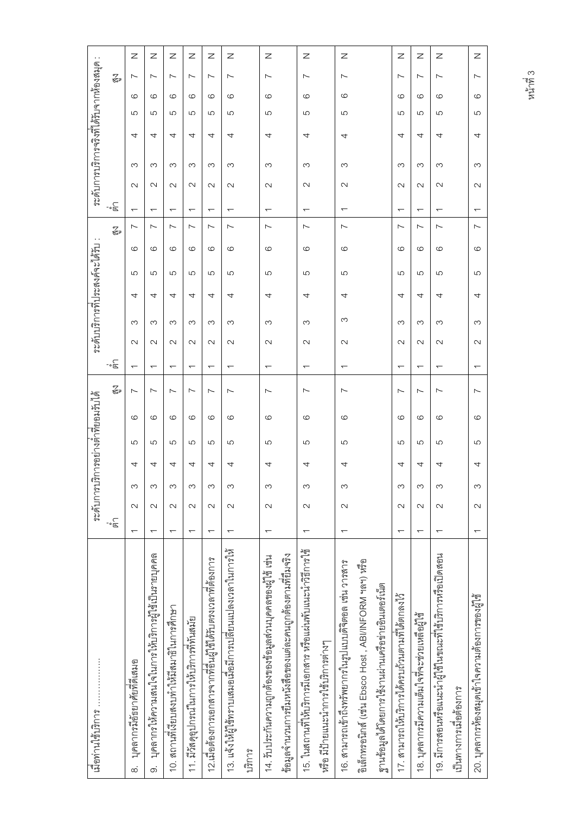| เมอท่านใช้บริการ                                             |                          |                   |   |   |   | ระดับการบริการอย่างดำที่ยอมรับได้ |                          |        |   | ระดับบริการที่ประสงค์จะได้รับ |   |         |                          |                          |                      | ระดับการบริการจริงที่ได้รับจากห้องสมุด |              |                          | $\ddotsc$ |  |
|--------------------------------------------------------------|--------------------------|-------------------|---|---|---|-----------------------------------|--------------------------|--------|---|-------------------------------|---|---------|--------------------------|--------------------------|----------------------|----------------------------------------|--------------|--------------------------|-----------|--|
|                                                              | .<br>ತ∘                  |                   |   |   |   | Z<br>Za                           | -్వే                     |        |   |                               |   |         | Z<br>Ga                  | ్<br>తె                  |                      |                                        |              | $\mathbb{Z}$             |           |  |
| บุคลากรมิอัธยาศัยทิตเสมอ<br>$\infty$                         | $\overline{\phantom{0}}$ | $\sim$            | က | 4 | ပ | $\sim$<br>G                       | $\overline{\phantom{0}}$ | $\sim$ | က | 4                             | ပ | $\circ$ | $\sim$                   | $\overline{\phantom{0}}$ | က<br>$\sim$          | 4                                      | G<br>ပ       | $\overline{\phantom{0}}$ | z         |  |
| บุคลากรให้ความสนใจในการให้บริการผู้ใช้เป็นรายบุคคล<br>တ      | $\overline{\phantom{0}}$ | $\sim$            | S | 4 | ပ | $\sim$<br>G                       | $\overline{ }$           | $\sim$ | က | 4                             | ပ | $\circ$ | $\sim$                   | $\overline{\phantom{0}}$ | က<br>$\sim$          | 4                                      | G<br>ပ       | ∼                        | z         |  |
| 10. สถานที่เงี่ยบสงบทำให้มีสมาธิในการศึกษา                   | $\overline{\phantom{0}}$ | $\sim$            | S | 4 | ပ | $\overline{\phantom{0}}$<br>ပ     | ᅮ                        | $\sim$ | က | 4                             | ပ | ဖ       | $\overline{\phantom{0}}$ | $\overline{\phantom{0}}$ | က<br>$\sim$          | 4                                      | ဖ<br>ယ       | $\overline{\phantom{0}}$ | z         |  |
| 11. มีวัสดุอุปกรณ์ในการให้บริการที่ทันสมัย                   | ↽                        | $\sim$            | က | 4 | 5 | $\sim$<br>G                       | $\overline{ }$           | $\sim$ | က | 4                             | ပ | ဖ       | $\sim$                   | $\overline{\phantom{0}}$ | က<br>$\sim$          | 4                                      | $\circ$<br>ပ | $\sim$                   | z         |  |
| 12.เมื่อต้องการเอกสารจากที่อื่นผู้ เช้าตัวบตรงเวลาที่ต้องการ | $\overline{\phantom{0}}$ | $\sim$            | S | 4 | ပ | ∼<br>ဖ                            | $\overline{\phantom{0}}$ | $\sim$ | က | 4                             | ပ | ဖ       | ∼                        | $\overline{\phantom{0}}$ | S<br>$\sim$          | 4                                      | ဖ<br>5       | ∼                        | z         |  |
| 13. แจ้งให้ผู้ใช้ทราบเสมอเมื่อมการเปลี่ยนแปลงเวลาในการให้    |                          | $\sim$            | S | 4 | 5 | $\overline{\phantom{0}}$<br>G     | $\overline{\phantom{0}}$ | $\sim$ | က | 4                             | ပ | G       | ∼                        | $\overline{ }$           | S<br>$\sim$          | 4                                      | G<br>ပ       | $\overline{\phantom{0}}$ | Ζ         |  |
| บวิการ                                                       |                          |                   |   |   |   |                                   |                          |        |   |                               |   |         |                          |                          |                      |                                        |              |                          |           |  |
| 14. รับประกันความถูกต้องของข้อมูลส่วนบุคคลของผู้ใช้ เช่น     | $\overline{\phantom{0}}$ | $\mathbf{\sim}$   | S | 4 | 5 | $\overline{ }$<br>G               | $\overline{\phantom{0}}$ | $\sim$ | S | 4                             | 5 | $\circ$ | Ľ                        | $\overline{\phantom{0}}$ | S<br>$\sim$          | 4                                      | G<br>5       | Ľ                        | Ζ         |  |
| ช้อมูดจำนวนการปืนหนังสือของแต่ละคนถูกต้องตามที่ยิมจริง       |                          |                   |   |   |   |                                   |                          |        |   |                               |   |         |                          |                          |                      |                                        |              |                          |           |  |
| 15. ในสถานที่ให้บริการมีเอกสาร หรือแผ่นพับแนะนำวิธีการใช้    |                          | $\sim$            | က | 4 | ပ | $\sim$<br>စ                       | $\overline{\phantom{0}}$ | $\sim$ | ო | 4                             | ပ | ဖ       | $\overline{\phantom{0}}$ | ᠇                        | က<br>$\sim$          | 4                                      | ဖ<br>ပ       | $\overline{\phantom{0}}$ | Ζ         |  |
| หรือ มีป้ายแนะนำการใช้บริการต่างๆ                            |                          |                   |   |   |   |                                   |                          |        |   |                               |   |         |                          |                          |                      |                                        |              |                          |           |  |
| 16. สามารถเข้าถึงทรัพยากรในรูปแบบดิจิตอล เช่น วารสาร         | $\overline{ }$           | $\mathbf{\Omega}$ | S | 4 | 5 | $\sim$<br>G                       | $\overline{ }$           | $\sim$ | က | 4                             | 5 | $\circ$ | $\overline{\phantom{0}}$ | $\overline{ }$           | က<br>$\sim$          | 4                                      | G<br>5       | $\overline{\phantom{0}}$ | Ζ         |  |
| อิเล็กทาอนิกส์ (เช่น Ebsco Host , ABI/INFORM ฯลฯ) หรือ       |                          |                   |   |   |   |                                   |                          |        |   |                               |   |         |                          |                          |                      |                                        |              |                          |           |  |
| ฐานข้อมูลได้โดยการใช้งานผ่านเครือข่ายอินเตอร์เน็ต            |                          |                   |   |   |   |                                   |                          |        |   |                               |   |         |                          |                          |                      |                                        |              |                          |           |  |
| 17. สามารถให้บริการได้ครบถ้านตามที่ได้ตกลงไว้                | $\overline{ }$           | $\sim$            | က | 4 | ပ | $\overline{\phantom{0}}$<br>G     | ↽                        | $\sim$ | က | 4                             | ပ | ဖ       | $\overline{\phantom{0}}$ | ᡪ                        | က<br>$\sim$          | 4                                      | ဖ<br>5       | $\overline{\phantom{0}}$ | z         |  |
| 18. บุคลากรมีความเต็มใจที่จะช่วยเหลือผู้ใช้                  | $\overline{\phantom{0}}$ | $\sim$            | S | 4 | ပ | ∼<br>G                            | $\overline{\phantom{0}}$ | $\sim$ | က | 4                             | ပ | $\circ$ | $\overline{\phantom{0}}$ | $\overline{\phantom{0}}$ | က<br>$\sim$          | 4                                      | G<br>ပ       | ∼                        | z         |  |
| 19. มีการสอนหรือแนะนำผู้เข้ามาณะที่เข้บริการหรือเปิดสอน      | ᡪ                        | $\mathbf{\Omega}$ | S | 4 | ပ | $\sim$<br>G                       | $\overline{ }$           | $\sim$ | S | 4                             | ပ | ဖ       | $\sim$                   | $\overline{\phantom{0}}$ | S<br>$\mathbf{\sim}$ | 4                                      | ဖ<br>ပ       | $\overline{\phantom{0}}$ | z         |  |
| เป็นทางการเมอต้องการ                                         |                          |                   |   |   |   |                                   |                          |        |   |                               |   |         |                          |                          |                      |                                        |              |                          |           |  |
| 20. บุคลากรห้องสมุดเข้าใจความศ้องการของผู้เชื                | ᠇                        | $\sim$            | S | 4 | ပ | $\sim$<br>ဖ                       | T                        | $\sim$ | က | 4                             | ပ | $\circ$ | Ľ                        | ᠇                        | က<br>$\sim$          | 4                                      | ဖ<br>ပ       | $\sim$                   | Z         |  |